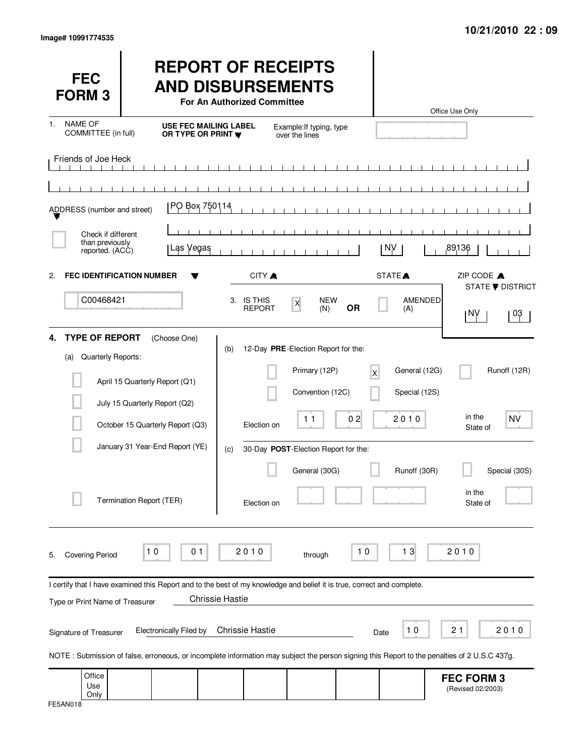| <b>FEC</b><br><b>FORM3</b>                               |                                                                                                                                                                                | <b>REPORT OF RECEIPTS</b><br><b>AND DISBURSEMENTS</b><br>For An Authorized Committee |                                                                          |                         |                                | Office Use Only                        |                               |
|----------------------------------------------------------|--------------------------------------------------------------------------------------------------------------------------------------------------------------------------------|--------------------------------------------------------------------------------------|--------------------------------------------------------------------------|-------------------------|--------------------------------|----------------------------------------|-------------------------------|
| NAME OF<br>1.<br>COMMITTEE (in full)                     | OR TYPE OR PRINT W                                                                                                                                                             | <b>USE FEC MAILING LABEL</b>                                                         | Example: If typing, type<br>over the lines                               |                         |                                |                                        |                               |
| Friends of Joe Heck                                      |                                                                                                                                                                                |                                                                                      |                                                                          |                         |                                |                                        |                               |
| ADDRESS (number and street)                              | PO Box 750114                                                                                                                                                                  |                                                                                      |                                                                          |                         |                                |                                        |                               |
| Check if different<br>than previously<br>reported. (ACC) | Las Vegas                                                                                                                                                                      |                                                                                      |                                                                          |                         | NV.                            | 89136                                  |                               |
| $\mathbf{2}$                                             | <b>FEC IDENTIFICATION NUMBER</b>                                                                                                                                               | CITY A                                                                               |                                                                          |                         | STATE <sup>A</sup>             | ZIP CODE A                             |                               |
| C00468421<br><b>TYPE OF REPORT</b>                       |                                                                                                                                                                                | 3. IS THIS<br><b>REPORT</b>                                                          | <b>NEW</b><br>$\pmb{\mathsf{X}}$<br>(N)                                  | <b>OR</b>               | AMENDED<br>(A)                 | 1 N.N                                  | <b>STATE ▼ DISTRICT</b><br>03 |
| 4.<br>Quarterly Reports:<br>(a)                          | (Choose One)<br>April 15 Quarterly Report (Q1)                                                                                                                                 | (b)                                                                                  | 12-Day PRE-Election Report for the:<br>Primary (12P)<br>Convention (12C) | $\overline{\mathsf{x}}$ | General (12G)<br>Special (12S) |                                        | Runoff (12R)                  |
|                                                          | July 15 Quarterly Report (Q2)<br>October 15 Quarterly Report (Q3)                                                                                                              | Election on                                                                          | 11                                                                       | 02                      | 2010                           | in the<br>State of                     | <b>NV</b>                     |
|                                                          | January 31 Year-End Report (YE)<br>Termination Report (TER)                                                                                                                    | (c)<br>Election on                                                                   | 30-Day POST-Election Report for the:<br>General (30G)                    |                         | Runoff (30R)                   | in the<br>State of                     | Special (30S)                 |
| <b>Covering Period</b><br>5.                             | 0 <sub>1</sub><br>10                                                                                                                                                           | 2010                                                                                 | through                                                                  | 10                      | 13                             | 2010                                   |                               |
| Type or Print Name of Treasurer                          | I certify that I have examined this Report and to the best of my knowledge and belief it is true, correct and complete.                                                        | <b>Chrissie Hastie</b>                                                               |                                                                          |                         |                                |                                        |                               |
| Signature of Treasurer                                   | <b>Electronically Filed by</b><br>NOTE: Submission of false, erroneous, or incomplete information may subject the person signing this Report to the penalties of 2 U.S.C 437g. | <b>Chrissie Hastie</b>                                                               |                                                                          |                         | 10<br>Date                     | 21                                     | 2010                          |
| Office<br>Use<br>Only                                    |                                                                                                                                                                                |                                                                                      |                                                                          |                         |                                | <b>FEC FORM 3</b><br>(Revised 02/2003) |                               |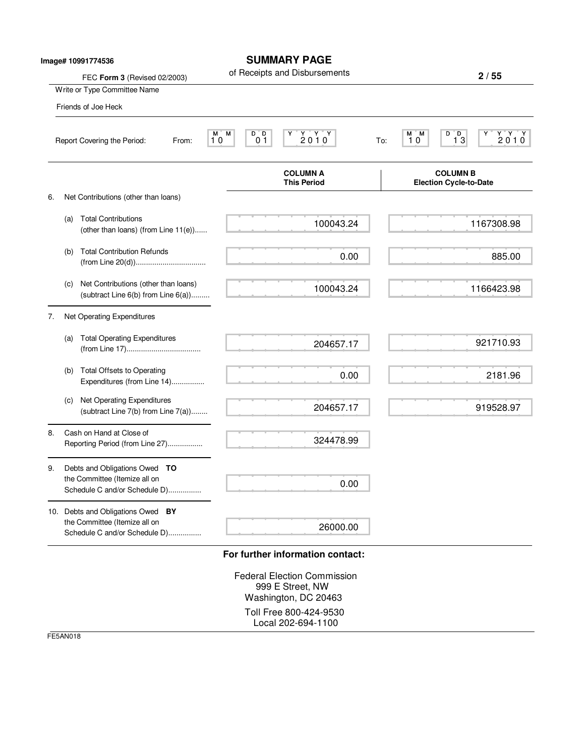|    |     | Image# 10991774536<br>FEC Form 3 (Revised 02/2003)                                              | <b>SUMMARY PAGE</b><br>of Receipts and Disbursements                                                    |     | 2/55                                                                                    |
|----|-----|-------------------------------------------------------------------------------------------------|---------------------------------------------------------------------------------------------------------|-----|-----------------------------------------------------------------------------------------|
|    |     | Write or Type Committee Name                                                                    |                                                                                                         |     |                                                                                         |
|    |     | Friends of Joe Heck                                                                             |                                                                                                         |     |                                                                                         |
|    |     | Report Covering the Period:<br>From:                                                            | $\begin{array}{cc}\nY & Y & Y \\ 2 & 0 & 1 & 0\n\end{array}$<br>M<br>D D<br>M ī<br>0 <sub>1</sub><br>10 | To: | $\begin{array}{c}\nY \ Y \ Y \\ 2010\n\end{array}$<br>M M<br>$D^{\bullet}D$<br>13<br>10 |
|    |     |                                                                                                 | <b>COLUMN A</b><br><b>This Period</b>                                                                   |     | <b>COLUMN B</b><br><b>Election Cycle-to-Date</b>                                        |
| 6. |     | Net Contributions (other than loans)                                                            |                                                                                                         |     |                                                                                         |
|    | (a) | <b>Total Contributions</b><br>(other than loans) (from Line 11(e))                              | 100043.24                                                                                               |     | 1167308.98                                                                              |
|    | (b) | <b>Total Contribution Refunds</b>                                                               | 0.00                                                                                                    |     | 885.00                                                                                  |
|    | (c) | Net Contributions (other than loans)<br>(subtract Line $6(b)$ from Line $6(a)$ )                | 100043.24                                                                                               |     | 1166423.98                                                                              |
| 7. |     | Net Operating Expenditures                                                                      |                                                                                                         |     |                                                                                         |
|    | (a) | <b>Total Operating Expenditures</b>                                                             | 204657.17                                                                                               |     | 921710.93                                                                               |
|    | (b) | <b>Total Offsets to Operating</b><br>Expenditures (from Line 14)                                | 0.00                                                                                                    |     | 2181.96                                                                                 |
|    | (c) | Net Operating Expenditures<br>(subtract Line 7(b) from Line 7(a))                               | 204657.17                                                                                               |     | 919528.97                                                                               |
| 8. |     | Cash on Hand at Close of<br>Reporting Period (from Line 27)                                     | 324478.99                                                                                               |     |                                                                                         |
| 9. |     | Debts and Obligations Owed TO<br>the Committee (Itemize all on<br>Schedule C and/or Schedule D) | 0.00                                                                                                    |     |                                                                                         |
|    |     | 10. Debts and Obligations Owed BY                                                               |                                                                                                         |     |                                                                                         |
|    |     | the Committee (Itemize all on<br>Schedule C and/or Schedule D)                                  | 26000.00                                                                                                |     |                                                                                         |
|    |     |                                                                                                 | For further information contact:<br><b>Federal Election Commission</b><br>999 E Street, NW              |     |                                                                                         |

Washington, DC 20463 Toll Free 800-424-9530 Local 202-694-1100

FE5AN018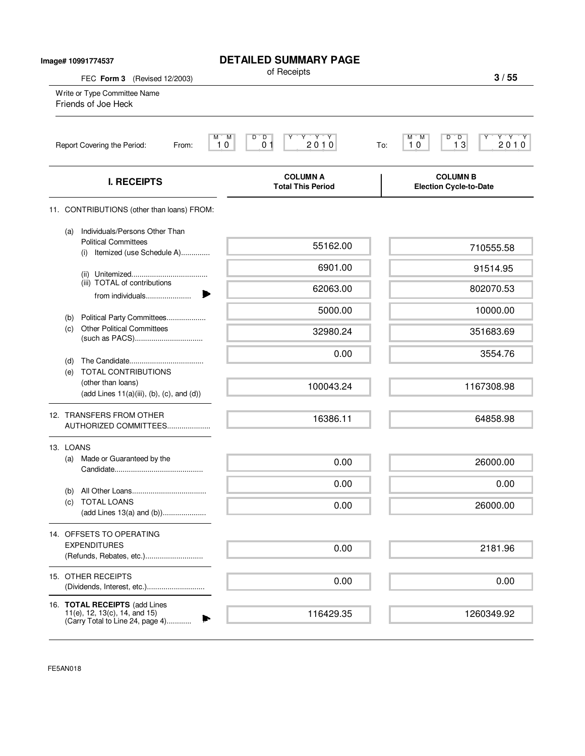| Image# 10991774537           |                                                                                                        | <b>DETAILED SUMMARY PAGE</b><br>of Receipts                                                                                                 |                                                                                                              |
|------------------------------|--------------------------------------------------------------------------------------------------------|---------------------------------------------------------------------------------------------------------------------------------------------|--------------------------------------------------------------------------------------------------------------|
| FEC Form 3 (Revised 12/2003) |                                                                                                        |                                                                                                                                             | 3/55                                                                                                         |
|                              | Write or Type Committee Name<br>Friends of Joe Heck                                                    |                                                                                                                                             |                                                                                                              |
|                              | Report Covering the Period:<br>From:                                                                   | D<br>$\begin{array}{c}\n \begin{array}{c}\n \text{Y} \\  \text{2010}\n \end{array}\n \end{array}$<br>M.<br>M<br>D<br>$\overline{0}$ 1<br>10 | $D^{\prime\prime}$ $D$<br>$\begin{array}{c} Y \ Y \ 2 \ 0 \ 1 \ 0 \end{array}$<br>М<br>'M<br>13<br>10<br>To: |
|                              | <b>I. RECEIPTS</b>                                                                                     | <b>COLUMN A</b><br><b>Total This Period</b>                                                                                                 | <b>COLUMN B</b><br><b>Election Cycle-to-Date</b>                                                             |
|                              | 11. CONTRIBUTIONS (other than loans) FROM:                                                             |                                                                                                                                             |                                                                                                              |
|                              | Individuals/Persons Other Than<br>(a)<br><b>Political Committees</b><br>(i) Itemized (use Schedule A)  | 55162.00                                                                                                                                    | 710555.58                                                                                                    |
|                              |                                                                                                        | 6901.00                                                                                                                                     | 91514.95                                                                                                     |
|                              | (iii) TOTAL of contributions<br>from individuals                                                       | 62063.00                                                                                                                                    | 802070.53                                                                                                    |
|                              | Political Party Committees<br>(b)                                                                      | 5000.00                                                                                                                                     | 10000.00                                                                                                     |
|                              | <b>Other Political Committees</b><br>(c)                                                               | 32980.24                                                                                                                                    | 351683.69                                                                                                    |
|                              | (d)                                                                                                    | 0.00                                                                                                                                        | 3554.76                                                                                                      |
|                              | <b>TOTAL CONTRIBUTIONS</b><br>(e)<br>(other than loans)<br>$(add Lines 11(a)(iii), (b), (c), and (d))$ | 100043.24                                                                                                                                   | 1167308.98                                                                                                   |
|                              | 12. TRANSFERS FROM OTHER<br>AUTHORIZED COMMITTEES                                                      | 16386.11                                                                                                                                    | 64858.98                                                                                                     |
|                              | 13. LOANS                                                                                              |                                                                                                                                             |                                                                                                              |
|                              | Made or Guaranteed by the<br>(a)                                                                       | 0.00                                                                                                                                        | 26000.00                                                                                                     |
|                              | (b)                                                                                                    | 0.00                                                                                                                                        | 0.00                                                                                                         |
|                              | <b>TOTAL LOANS</b><br>(C)<br>(add Lines 13(a) and (b))                                                 | 0.00                                                                                                                                        | 26000.00                                                                                                     |
|                              | 14. OFFSETS TO OPERATING                                                                               |                                                                                                                                             |                                                                                                              |
|                              | <b>EXPENDITURES</b><br>(Refunds, Rebates, etc.)                                                        | 0.00                                                                                                                                        | 2181.96                                                                                                      |
|                              | 15. OTHER RECEIPTS                                                                                     | 0.00                                                                                                                                        | 0.00                                                                                                         |
|                              | 16. TOTAL RECEIPTS (add Lines<br>11(e), 12, 13(c), 14, and 15)                                         | 116429.35                                                                                                                                   | 1260349.92                                                                                                   |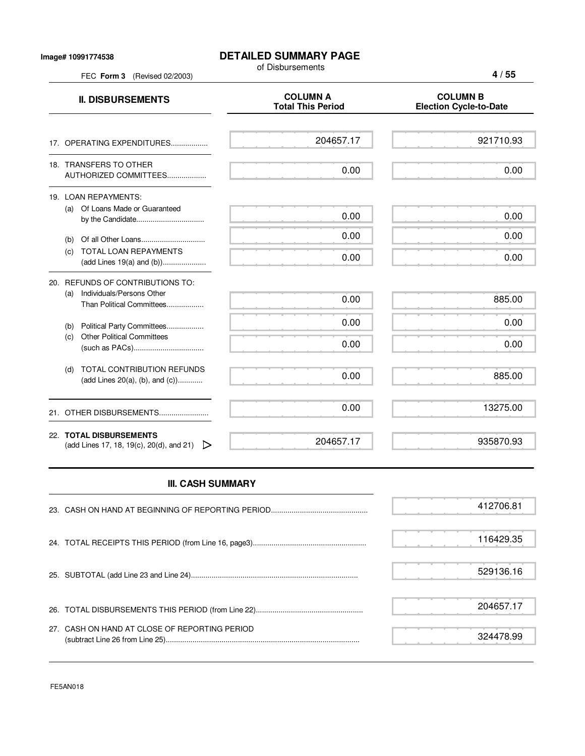## **DETAILED SUMMARY PAGE**

of Disbursements

FEC **Form 3** (Revised 02/2003)

**4 / 55**

| <b>II. DISBURSEMENTS</b>                                                                          | <b>COLUMN A</b><br><b>Total This Period</b> | <b>COLUMN B</b><br><b>Election Cycle-to-Date</b> |
|---------------------------------------------------------------------------------------------------|---------------------------------------------|--------------------------------------------------|
| 17. OPERATING EXPENDITURES                                                                        | 204657.17                                   | 921710.93                                        |
| 18. TRANSFERS TO OTHER<br>AUTHORIZED COMMITTEES                                                   | 0.00                                        | 0.00                                             |
| 19. LOAN REPAYMENTS:<br>Of Loans Made or Guaranteed<br>(a)                                        | 0.00                                        | 0.00                                             |
| (b)                                                                                               | 0.00                                        | 0.00                                             |
| TOTAL LOAN REPAYMENTS<br>(C)                                                                      | 0.00                                        | 0.00                                             |
| 20. REFUNDS OF CONTRIBUTIONS TO:<br>Individuals/Persons Other<br>(a)<br>Than Political Committees | 0.00                                        | 885.00                                           |
| Political Party Committees<br>(b)                                                                 | 0.00                                        | 0.00                                             |
| <b>Other Political Committees</b><br>(c)                                                          | 0.00                                        | 0.00                                             |
| TOTAL CONTRIBUTION REFUNDS<br>(d)<br>(add Lines 20(a), (b), and (c))                              | 0.00                                        | 885.00                                           |
| 21. OTHER DISBURSEMENTS                                                                           | 0.00                                        | 13275.00                                         |
| 22. TOTAL DISBURSEMENTS<br>(add Lines 17, 18, 19(c), 20(d), and 21)                               | 204657.17                                   | 935870.93                                        |

## **III. CASH SUMMARY**

|                                               | 412706.81 |
|-----------------------------------------------|-----------|
|                                               | 116429.35 |
|                                               | 529136.16 |
|                                               | 204657.17 |
| 27. CASH ON HAND AT CLOSE OF REPORTING PERIOD | 324478.99 |

FE5AN018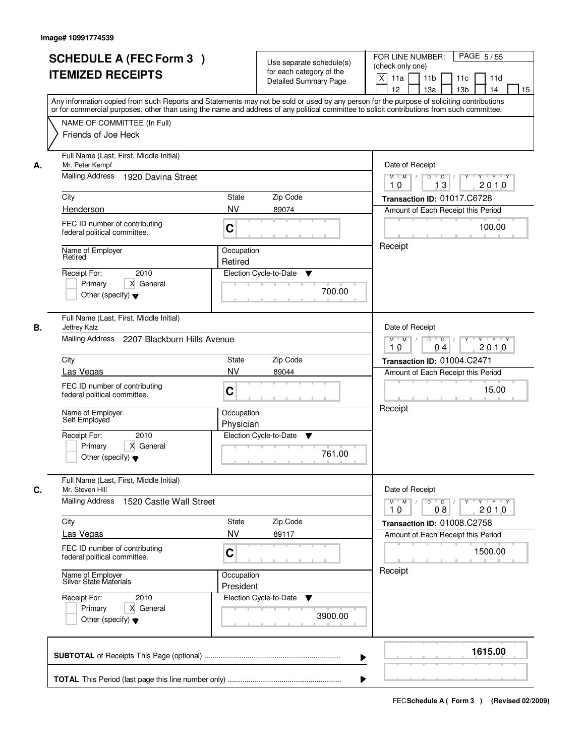|    | <b>SCHEDULE A (FEC Form 3)</b><br><b>ITEMIZED RECEIPTS</b><br>Any information copied from such Reports and Statements may not be sold or used by any person for the purpose of soliciting contributions<br>or for commercial purposes, other than using the name and address of any political committee to solicit contributions from such committee. |                         | Use separate schedule(s)<br>for each category of the<br><b>Detailed Summary Page</b> | PAGE 5/55<br>FOR LINE NUMBER:<br>(check only one)<br>X<br>11a<br>11 <sub>b</sub><br>11c<br>11d<br>12<br>13 <sub>b</sub><br>13a<br>14<br>15 |
|----|-------------------------------------------------------------------------------------------------------------------------------------------------------------------------------------------------------------------------------------------------------------------------------------------------------------------------------------------------------|-------------------------|--------------------------------------------------------------------------------------|--------------------------------------------------------------------------------------------------------------------------------------------|
|    | NAME OF COMMITTEE (In Full)<br>Friends of Joe Heck                                                                                                                                                                                                                                                                                                    |                         |                                                                                      |                                                                                                                                            |
| А. | Full Name (Last, First, Middle Initial)<br>Mr. Peter Kempf<br>Mailing Address<br>1920 Davina Street                                                                                                                                                                                                                                                   |                         |                                                                                      | Date of Receipt<br>$M$ $M$<br>$D$ $D$ $1$<br>13<br>2010<br>10                                                                              |
|    | City                                                                                                                                                                                                                                                                                                                                                  | State                   | Zip Code                                                                             | Transaction ID: 01017.C6728                                                                                                                |
|    | Henderson                                                                                                                                                                                                                                                                                                                                             | <b>NV</b>               | 89074                                                                                | Amount of Each Receipt this Period                                                                                                         |
|    | FEC ID number of contributing<br>federal political committee.                                                                                                                                                                                                                                                                                         | C                       |                                                                                      | 100.00                                                                                                                                     |
|    | Name of Employer<br>Retired                                                                                                                                                                                                                                                                                                                           | Occupation<br>Retired   |                                                                                      | Receipt                                                                                                                                    |
|    | 2010<br>Receipt For:<br>X General<br>Primary<br>Other (specify) $\blacktriangledown$                                                                                                                                                                                                                                                                  | Election Cycle-to-Date  | ▼<br>700.00                                                                          |                                                                                                                                            |
| В. | Full Name (Last, First, Middle Initial)<br>Jeffrey Katz<br>Mailing Address 2207 Blackburn Hills Avenue                                                                                                                                                                                                                                                |                         |                                                                                      | Date of Receipt<br>$Y \vdash Y \vdash Y$<br>$M$ $M$ /<br>D<br>$\overline{D}$<br>Y                                                          |
|    |                                                                                                                                                                                                                                                                                                                                                       |                         |                                                                                      | 2010<br>10<br>04                                                                                                                           |
|    | City                                                                                                                                                                                                                                                                                                                                                  | <b>State</b>            | Zip Code                                                                             | Transaction ID: 01004.C2471                                                                                                                |
|    | Las Vegas                                                                                                                                                                                                                                                                                                                                             | <b>NV</b>               | 89044                                                                                | Amount of Each Receipt this Period                                                                                                         |
|    | FEC ID number of contributing<br>federal political committee.                                                                                                                                                                                                                                                                                         | C                       |                                                                                      | 15.00                                                                                                                                      |
|    | Name of Employer<br>Self Employed                                                                                                                                                                                                                                                                                                                     | Occupation<br>Physician |                                                                                      | Receipt                                                                                                                                    |
|    | Receipt For:<br>2010<br>X General<br>Primary<br>Other (specify) $\blacktriangledown$                                                                                                                                                                                                                                                                  | Election Cycle-to-Date  | v<br>761.00                                                                          |                                                                                                                                            |
| C. | Full Name (Last, First, Middle Initial)<br>Mr. Steven Hill<br>Mailing Address<br>1520 Castle Wall Street                                                                                                                                                                                                                                              |                         |                                                                                      | Date of Receipt<br>$D$ $D$ $/$<br>$M$ $M$ /<br>$Y + Y + Y$<br>Y "                                                                          |
|    | City                                                                                                                                                                                                                                                                                                                                                  | State                   | Zip Code                                                                             | 2010<br>10<br>08                                                                                                                           |
|    | Las Vegas                                                                                                                                                                                                                                                                                                                                             | <b>NV</b>               | 89117                                                                                | Transaction ID: 01008.C2758<br>Amount of Each Receipt this Period                                                                          |
|    | FEC ID number of contributing<br>federal political committee.                                                                                                                                                                                                                                                                                         | C                       |                                                                                      | 1500.00                                                                                                                                    |
|    | Name of Employer<br>Silver State Materials                                                                                                                                                                                                                                                                                                            | Occupation<br>President |                                                                                      | Receipt                                                                                                                                    |
|    | Receipt For:<br>2010<br>Primary<br>X General<br>Other (specify) $\blacktriangledown$                                                                                                                                                                                                                                                                  | Election Cycle-to-Date  | v<br>3900.00                                                                         |                                                                                                                                            |
|    |                                                                                                                                                                                                                                                                                                                                                       |                         | ▶                                                                                    | 1615.00                                                                                                                                    |
|    |                                                                                                                                                                                                                                                                                                                                                       |                         |                                                                                      |                                                                                                                                            |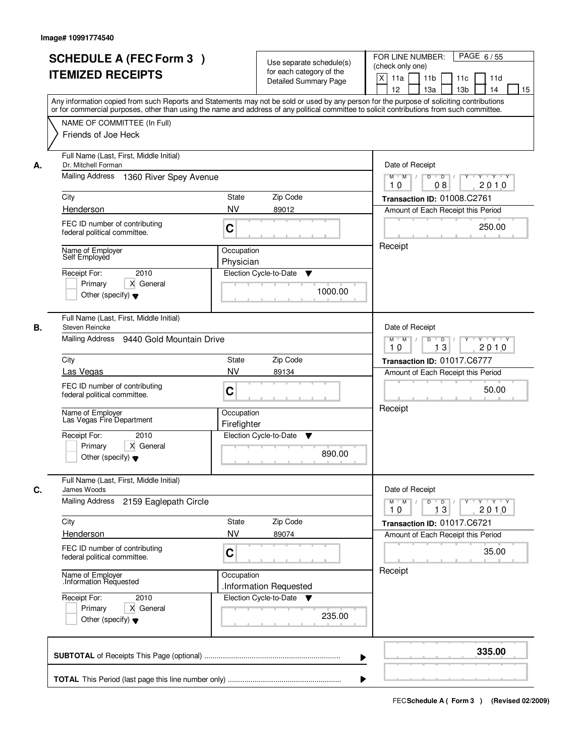|    | <b>SCHEDULE A (FEC Form 3)</b><br><b>ITEMIZED RECEIPTS</b><br>Any information copied from such Reports and Statements may not be sold or used by any person for the purpose of soliciting contributions<br>or for commercial purposes, other than using the name and address of any political committee to solicit contributions from such committee. |                           | Use separate schedule(s)<br>for each category of the<br><b>Detailed Summary Page</b> | PAGE 6/55<br>FOR LINE NUMBER:<br>(check only one)<br>$\mathsf{X}$<br>11 <sub>b</sub><br>11a<br>11c<br>11d<br>13 <sub>b</sub><br>12<br>13a<br>14<br>15 |
|----|-------------------------------------------------------------------------------------------------------------------------------------------------------------------------------------------------------------------------------------------------------------------------------------------------------------------------------------------------------|---------------------------|--------------------------------------------------------------------------------------|-------------------------------------------------------------------------------------------------------------------------------------------------------|
|    | NAME OF COMMITTEE (In Full)<br>Friends of Joe Heck                                                                                                                                                                                                                                                                                                    |                           |                                                                                      |                                                                                                                                                       |
| Α. | Full Name (Last, First, Middle Initial)<br>Dr. Mitchell Forman<br><b>Mailing Address</b><br>1360 River Spey Avenue                                                                                                                                                                                                                                    |                           |                                                                                      | Date of Receipt<br>$D$ $D$ $I$<br>$\overline{\mathbf{Y}}$<br>$Y + Y + Y$<br>$M$ $M$ /<br>2010<br>10<br>08                                             |
|    | City                                                                                                                                                                                                                                                                                                                                                  | State                     | Zip Code                                                                             | Transaction ID: 01008.C2761                                                                                                                           |
|    | Henderson                                                                                                                                                                                                                                                                                                                                             | <b>NV</b>                 | 89012                                                                                | Amount of Each Receipt this Period                                                                                                                    |
|    | FEC ID number of contributing<br>federal political committee.                                                                                                                                                                                                                                                                                         | C                         |                                                                                      | 250.00                                                                                                                                                |
|    | Name of Employer<br>Self Employed<br>2010<br>Receipt For:<br>X General<br>Primary<br>Other (specify) $\blacktriangledown$                                                                                                                                                                                                                             | Occupation<br>Physician   | Election Cycle-to-Date<br>▼<br>1000.00                                               | Receipt                                                                                                                                               |
| В. | Full Name (Last, First, Middle Initial)<br>Steven Reincke<br>Mailing Address<br>9440 Gold Mountain Drive                                                                                                                                                                                                                                              |                           |                                                                                      | Date of Receipt<br>$Y - Y - Y$<br>$M$ $M$ /<br>D<br>$\overline{\phantom{0}}$<br>13<br>2010<br>10                                                      |
|    | City                                                                                                                                                                                                                                                                                                                                                  | <b>State</b>              | Zip Code                                                                             | Transaction ID: 01017.C6777                                                                                                                           |
|    | Las Vegas                                                                                                                                                                                                                                                                                                                                             | <b>NV</b>                 | 89134                                                                                | Amount of Each Receipt this Period                                                                                                                    |
|    | FEC ID number of contributing<br>federal political committee.                                                                                                                                                                                                                                                                                         | C                         |                                                                                      | 50.00                                                                                                                                                 |
|    | Name of Employer<br>Las Vegas Fire Department                                                                                                                                                                                                                                                                                                         | Occupation<br>Firefighter |                                                                                      | Receipt                                                                                                                                               |
|    | Receipt For:<br>2010<br>Primary<br>X General<br>Other (specify) $\blacktriangledown$                                                                                                                                                                                                                                                                  |                           | Election Cycle-to-Date<br>v<br>890.00                                                |                                                                                                                                                       |
| C. | Full Name (Last, First, Middle Initial)<br>James Woods<br><b>Mailing Address</b><br>2159 Eaglepath Circle                                                                                                                                                                                                                                             |                           |                                                                                      | Date of Receipt<br>$M = M$<br>$D$ $D$ $l$<br>$Y \quad V \quad V \quad V$<br>$Y$ <sup>-1</sup><br>13<br>2010<br>10                                     |
|    | City                                                                                                                                                                                                                                                                                                                                                  | <b>State</b>              | Zip Code                                                                             | Transaction ID: 01017.C6721                                                                                                                           |
|    | Henderson                                                                                                                                                                                                                                                                                                                                             | <b>NV</b>                 | 89074                                                                                | Amount of Each Receipt this Period                                                                                                                    |
|    | FEC ID number of contributing<br>federal political committee.                                                                                                                                                                                                                                                                                         | C                         |                                                                                      | 35.00                                                                                                                                                 |
|    | Name of Employer<br>Information Requested                                                                                                                                                                                                                                                                                                             | Occupation                | Information Requested                                                                | Receipt                                                                                                                                               |
|    | Receipt For:<br>2010<br>Primary<br>X General<br>Other (specify) $\blacktriangledown$                                                                                                                                                                                                                                                                  |                           | Election Cycle-to-Date<br>$\overline{\mathbf{v}}$<br>235.00                          |                                                                                                                                                       |
|    |                                                                                                                                                                                                                                                                                                                                                       |                           | ▶                                                                                    | 335.00                                                                                                                                                |
|    |                                                                                                                                                                                                                                                                                                                                                       |                           |                                                                                      |                                                                                                                                                       |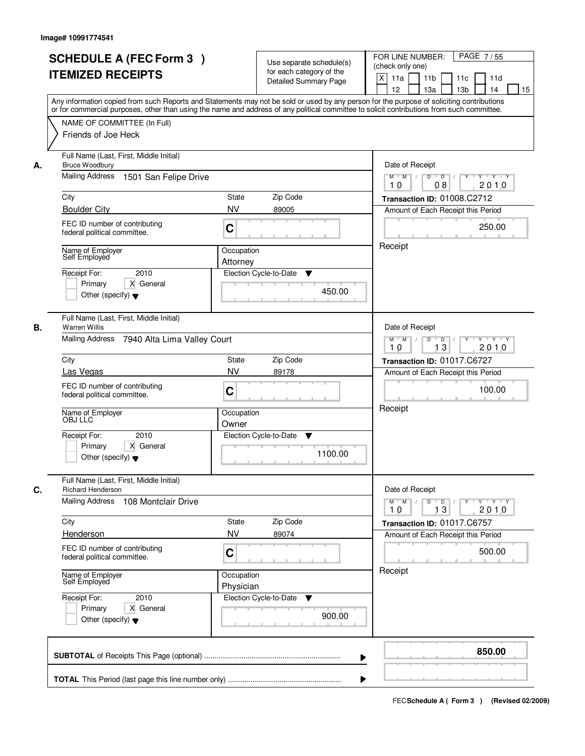| <b>SCHEDULE A (FEC Form 3)</b><br><b>ITEMIZED RECEIPTS</b>                | Use separate schedule(s)<br>for each category of the<br><b>Detailed Summary Page</b>                                                                                                                                                                                                    | PAGE 7/55<br>FOR LINE NUMBER:<br>(check only one)<br>X<br>11a<br>11 <sub>b</sub><br>11c<br>11d |  |  |
|---------------------------------------------------------------------------|-----------------------------------------------------------------------------------------------------------------------------------------------------------------------------------------------------------------------------------------------------------------------------------------|------------------------------------------------------------------------------------------------|--|--|
|                                                                           | Any information copied from such Reports and Statements may not be sold or used by any person for the purpose of soliciting contributions<br>or for commercial purposes, other than using the name and address of any political committee to solicit contributions from such committee. | 12<br>13 <sub>b</sub><br>13a<br>14<br>15                                                       |  |  |
| NAME OF COMMITTEE (In Full)<br>Friends of Joe Heck                        |                                                                                                                                                                                                                                                                                         |                                                                                                |  |  |
| Full Name (Last, First, Middle Initial)<br><b>Bruce Woodbury</b><br>А.    |                                                                                                                                                                                                                                                                                         | Date of Receipt                                                                                |  |  |
| Mailing Address<br>1501 San Felipe Drive                                  |                                                                                                                                                                                                                                                                                         | $Y$ $Y$ $Y$<br>$M$ $M$ /<br>$D$ $D$ $1$<br>$\overline{Y}$<br>2010<br>10<br>08                  |  |  |
| City                                                                      | State<br>Zip Code                                                                                                                                                                                                                                                                       | Transaction ID: 01008.C2712                                                                    |  |  |
| <b>Boulder City</b>                                                       | <b>NV</b><br>89005                                                                                                                                                                                                                                                                      | Amount of Each Receipt this Period                                                             |  |  |
| FEC ID number of contributing<br>federal political committee.             | C                                                                                                                                                                                                                                                                                       | 250.00                                                                                         |  |  |
| Name of Employer<br>Self Employed                                         | Occupation<br>Attorney                                                                                                                                                                                                                                                                  | Receipt                                                                                        |  |  |
| 2010<br>Receipt For:                                                      | Election Cycle-to-Date<br>▼                                                                                                                                                                                                                                                             |                                                                                                |  |  |
| X General<br>Primary<br>Other (specify) $\blacktriangledown$              | 450.00                                                                                                                                                                                                                                                                                  |                                                                                                |  |  |
| Full Name (Last, First, Middle Initial)<br><b>Warren Willis</b><br>В.     |                                                                                                                                                                                                                                                                                         | Date of Receipt                                                                                |  |  |
|                                                                           | Mailing Address 7940 Alta Lima Valley Court                                                                                                                                                                                                                                             |                                                                                                |  |  |
| City                                                                      | Zip Code<br><b>State</b>                                                                                                                                                                                                                                                                | Transaction ID: 01017.C6727                                                                    |  |  |
| Las Vegas                                                                 | <b>NV</b><br>89178                                                                                                                                                                                                                                                                      | Amount of Each Receipt this Period                                                             |  |  |
| FEC ID number of contributing<br>federal political committee.             | C                                                                                                                                                                                                                                                                                       | 100.00                                                                                         |  |  |
| Name of Employer<br>OBJ LLC                                               | Occupation<br>Owner                                                                                                                                                                                                                                                                     | Receipt                                                                                        |  |  |
| Receipt For:<br>2010                                                      | Election Cycle-to-Date<br>v                                                                                                                                                                                                                                                             |                                                                                                |  |  |
| Primary<br>X General<br>Other (specify) $\blacktriangledown$              | 1100.00                                                                                                                                                                                                                                                                                 |                                                                                                |  |  |
| Full Name (Last, First, Middle Initial)<br>C.<br><b>Richard Henderson</b> |                                                                                                                                                                                                                                                                                         | Date of Receipt                                                                                |  |  |
| <b>Mailing Address</b><br>108 Montclair Drive                             |                                                                                                                                                                                                                                                                                         | $D$ $D$ $/$<br>$M$ $M$ /<br>$Y$ <sup>U</sup><br>$Y + Y + Y$<br>13<br>2010<br>10                |  |  |
| City                                                                      | Zip Code<br>State                                                                                                                                                                                                                                                                       | Transaction ID: 01017.C6757                                                                    |  |  |
| Henderson                                                                 | <b>NV</b><br>89074                                                                                                                                                                                                                                                                      | Amount of Each Receipt this Period                                                             |  |  |
| FEC ID number of contributing<br>federal political committee.             | C                                                                                                                                                                                                                                                                                       | 500.00                                                                                         |  |  |
| Name of Employer<br>Self Employed                                         | Occupation<br>Physician                                                                                                                                                                                                                                                                 | Receipt                                                                                        |  |  |
| Receipt For:<br>2010<br>Primary<br>X General                              | Election Cycle-to-Date<br>v                                                                                                                                                                                                                                                             |                                                                                                |  |  |
| Other (specify) $\blacktriangledown$                                      | 900.00                                                                                                                                                                                                                                                                                  |                                                                                                |  |  |
|                                                                           | ▶                                                                                                                                                                                                                                                                                       | 850.00                                                                                         |  |  |
|                                                                           |                                                                                                                                                                                                                                                                                         |                                                                                                |  |  |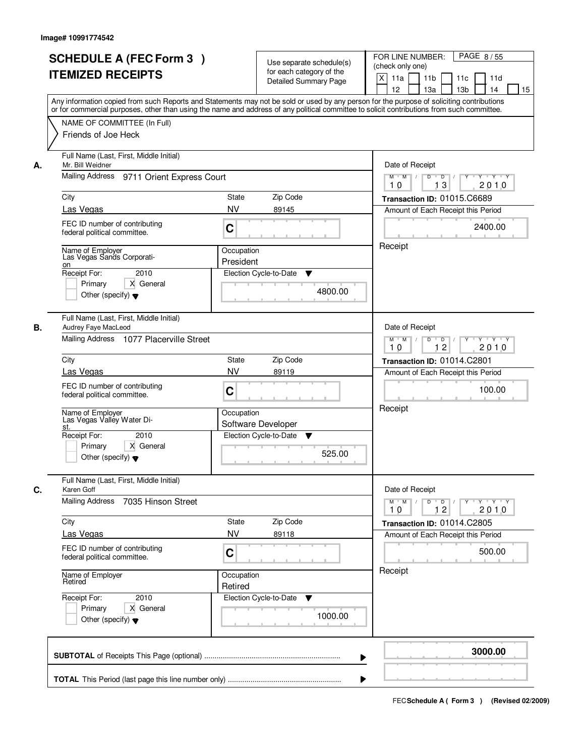|    | <b>SCHEDULE A (FEC Form 3)</b><br><b>ITEMIZED RECEIPTS</b><br>Any information copied from such Reports and Statements may not be sold or used by any person for the purpose of soliciting contributions |                         | Use separate schedule(s)<br>for each category of the<br><b>Detailed Summary Page</b> | PAGE 8/55<br>FOR LINE NUMBER:<br>(check only one)<br>X<br>11 <sub>b</sub><br>11a<br>11c<br>11d<br>12<br>13 <sub>b</sub><br>13a<br>14<br>15 |
|----|---------------------------------------------------------------------------------------------------------------------------------------------------------------------------------------------------------|-------------------------|--------------------------------------------------------------------------------------|--------------------------------------------------------------------------------------------------------------------------------------------|
|    | or for commercial purposes, other than using the name and address of any political committee to solicit contributions from such committee.<br>NAME OF COMMITTEE (In Full)<br>Friends of Joe Heck        |                         |                                                                                      |                                                                                                                                            |
| А. | Full Name (Last, First, Middle Initial)<br>Mr. Bill Weidner<br>Mailing Address 9711 Orient Express Court                                                                                                |                         |                                                                                      | Date of Receipt<br>$M$ $M$ /<br>$D$ $D$ $I$<br>Y<br>$Y - Y - Y - Y$                                                                        |
|    | City                                                                                                                                                                                                    | <b>State</b>            | Zip Code                                                                             | 13<br>2010<br>10<br>Transaction ID: 01015.C6689                                                                                            |
|    | Las Vegas<br>FEC ID number of contributing<br>federal political committee.                                                                                                                              | <b>NV</b><br>C          | 89145                                                                                | Amount of Each Receipt this Period<br>2400.00                                                                                              |
|    | Name of Employer<br>Las Vegas Sands Corporati-<br>on<br>Receipt For:<br>2010<br>Primary<br>X General<br>Other (specify) $\blacktriangledown$                                                            | Occupation<br>President | Election Cycle-to-Date<br>▼<br>4800.00                                               | Receipt                                                                                                                                    |
| В. | Full Name (Last, First, Middle Initial)<br>Audrey Faye MacLeod<br>Mailing Address 1077 Placerville Street                                                                                               |                         |                                                                                      | Date of Receipt<br>$M$ $M$ /<br>D<br>$\Box$ D $\Box$ /<br>Y<br>$Y + Y + Y$<br>12<br>2010<br>10                                             |
|    | City                                                                                                                                                                                                    | State                   | Zip Code                                                                             | Transaction ID: 01014.C2801                                                                                                                |
|    | Las Vegas<br>FEC ID number of contributing<br>federal political committee.                                                                                                                              | <b>NV</b><br>C          | 89119                                                                                | Amount of Each Receipt this Period<br>100.00                                                                                               |
|    | Name of Employer<br>Las Vegas Valley Water Di-<br>st.<br>Receipt For:<br>2010<br>Primary<br>X General<br>Other (specify) $\blacktriangledown$                                                           | Occupation              | Software Developer<br>Election Cycle-to-Date<br>v<br>525.00                          | Receipt                                                                                                                                    |
| C. | Full Name (Last, First, Middle Initial)<br>Karen Goff                                                                                                                                                   |                         |                                                                                      | Date of Receipt                                                                                                                            |
|    | Mailing Address<br>7035 Hinson Street                                                                                                                                                                   |                         |                                                                                      | $M$ $M$<br>$D$ $D$ $l$<br><u> EYELYELYEK</u><br>2010<br>10<br>12                                                                           |
|    | City<br>Las Vegas                                                                                                                                                                                       | State<br><b>NV</b>      | Zip Code<br>89118                                                                    | Transaction ID: 01014.C2805<br>Amount of Each Receipt this Period                                                                          |
|    | FEC ID number of contributing<br>federal political committee.                                                                                                                                           | C                       |                                                                                      | 500.00                                                                                                                                     |
|    | Name of Employer<br>Retired                                                                                                                                                                             | Occupation<br>Retired   |                                                                                      | Receipt                                                                                                                                    |
|    | Receipt For:<br>2010<br>Primary<br>X General<br>Other (specify) $\blacktriangledown$                                                                                                                    |                         | Election Cycle-to-Date<br>▼<br>1000.00                                               |                                                                                                                                            |
|    |                                                                                                                                                                                                         |                         |                                                                                      | 3000.00                                                                                                                                    |
|    |                                                                                                                                                                                                         |                         |                                                                                      |                                                                                                                                            |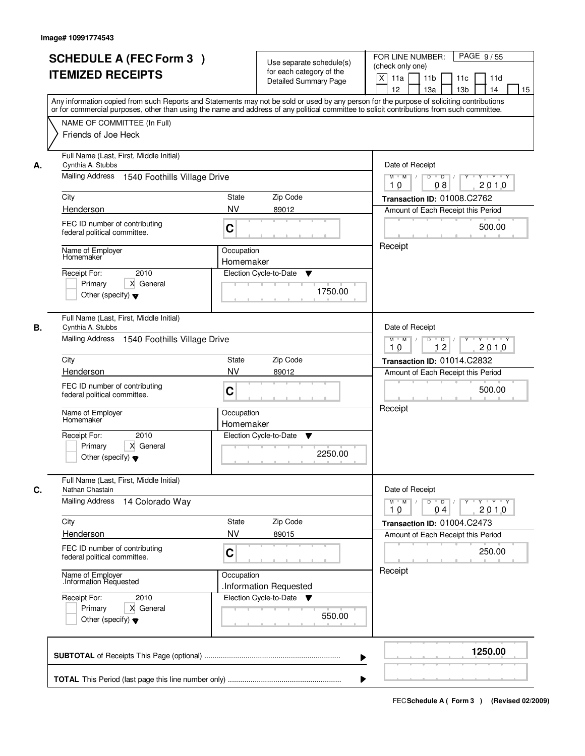|      |                                                                                                                       |                                                   | for each category of the<br><b>Detailed Summary Page</b> | $\boldsymbol{\mathsf{X}}$<br>11 <sub>b</sub><br>11a<br>11c<br>11d<br>12<br>13 <sub>b</sub><br>14<br>13a<br>15<br>Any information copied from such Reports and Statements may not be sold or used by any person for the purpose of soliciting contributions |
|------|-----------------------------------------------------------------------------------------------------------------------|---------------------------------------------------|----------------------------------------------------------|------------------------------------------------------------------------------------------------------------------------------------------------------------------------------------------------------------------------------------------------------------|
|      | NAME OF COMMITTEE (In Full)<br>Friends of Joe Heck                                                                    |                                                   |                                                          | or for commercial purposes, other than using the name and address of any political committee to solicit contributions from such committee.                                                                                                                 |
| А.   | Full Name (Last, First, Middle Initial)<br>Cynthia A. Stubbs<br>Mailing Address 1540 Foothills Village Drive          |                                                   |                                                          | Date of Receipt<br>$M$ $M$ /<br>$D$ $D$ $/$<br>Y<br>$Y - Y - Y - Y$                                                                                                                                                                                        |
|      |                                                                                                                       |                                                   |                                                          | 2010<br>10<br>08                                                                                                                                                                                                                                           |
| City | Henderson                                                                                                             | <b>State</b><br>Zip Code<br><b>NV</b><br>89012    |                                                          | Transaction ID: 01008.C2762<br>Amount of Each Receipt this Period                                                                                                                                                                                          |
|      | FEC ID number of contributing<br>federal political committee.                                                         | C                                                 |                                                          | 500.00                                                                                                                                                                                                                                                     |
|      | Name of Employer<br>Homemaker<br>2010<br>Receipt For:<br>X General<br>Primary<br>Other (specify) $\blacktriangledown$ | Occupation<br>Homemaker<br>Election Cycle-to-Date | v<br>1750.00                                             | Receipt                                                                                                                                                                                                                                                    |
| В.   | Full Name (Last, First, Middle Initial)<br>Cynthia A. Stubbs<br>Mailing Address 1540 Foothills Village Drive          |                                                   |                                                          | Date of Receipt<br>$M$ $M$ /<br>D<br>$\Box$ D $\Box$ /<br>Y<br>$Y + Y + Y$                                                                                                                                                                                 |
| City |                                                                                                                       | Zip Code<br>State                                 |                                                          | 12<br>2010<br>10<br>Transaction ID: 01014.C2832                                                                                                                                                                                                            |
|      | Henderson                                                                                                             | <b>NV</b><br>89012                                |                                                          | Amount of Each Receipt this Period                                                                                                                                                                                                                         |
|      | FEC ID number of contributing<br>federal political committee.                                                         | C                                                 |                                                          | 500.00                                                                                                                                                                                                                                                     |
|      | Name of Employer<br>Homemaker                                                                                         | Occupation<br>Homemaker                           |                                                          | Receipt                                                                                                                                                                                                                                                    |
|      | Receipt For:<br>2010<br>Primary<br>X General<br>Other (specify) $\blacktriangledown$                                  | Election Cycle-to-Date                            | Y<br>2250.00                                             |                                                                                                                                                                                                                                                            |
| C.   | Full Name (Last, First, Middle Initial)<br>Nathan Chastain                                                            |                                                   |                                                          | Date of Receipt                                                                                                                                                                                                                                            |
|      | <b>Mailing Address</b><br>14 Colorado Way                                                                             |                                                   |                                                          | $M$ $M$<br>$D$ $D$ $/$<br>y y y y y<br>2010<br>10<br>04                                                                                                                                                                                                    |
| City |                                                                                                                       | Zip Code<br>State                                 |                                                          | Transaction ID: 01004.C2473                                                                                                                                                                                                                                |
|      | Henderson<br>FEC ID number of contributing<br>federal political committee.                                            | <b>NV</b><br>89015<br>C                           |                                                          | Amount of Each Receipt this Period<br>250.00                                                                                                                                                                                                               |
|      | Name of Employer<br>Information Requested                                                                             | Occupation<br>.Information Requested              |                                                          | Receipt                                                                                                                                                                                                                                                    |
|      | Receipt For:<br>2010<br>Primary<br>X General<br>Other (specify) $\blacktriangledown$                                  | Election Cycle-to-Date ▼                          | 550.00                                                   |                                                                                                                                                                                                                                                            |
|      |                                                                                                                       |                                                   |                                                          | 1250.00                                                                                                                                                                                                                                                    |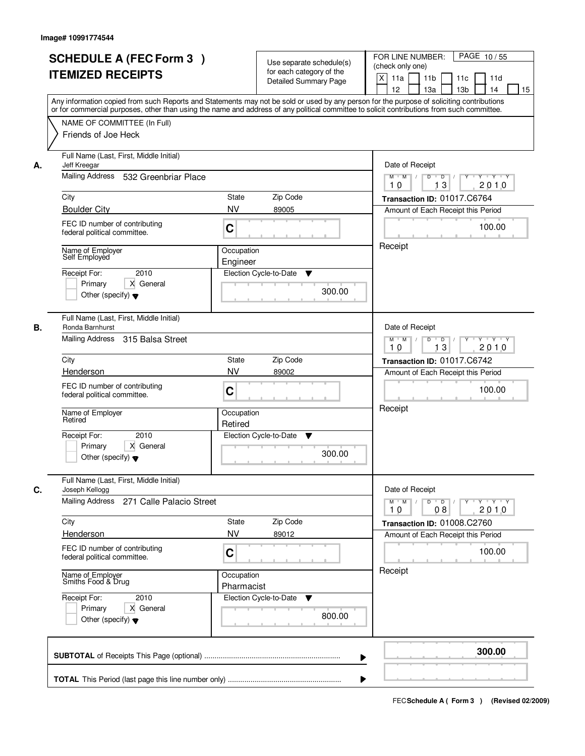|    | <b>SCHEDULE A (FEC Form 3)</b><br><b>ITEMIZED RECEIPTS</b><br>Any information copied from such Reports and Statements may not be sold or used by any person for the purpose of soliciting contributions<br>or for commercial purposes, other than using the name and address of any political committee to solicit contributions from such committee. |                                                    | Use separate schedule(s)<br>for each category of the<br><b>Detailed Summary Page</b> | PAGE 10/55<br>FOR LINE NUMBER:<br>(check only one)<br>X<br>11a<br>11 <sub>b</sub><br>11c<br>11d<br>12<br>13a<br>13 <sub>b</sub><br>14<br>15                                   |
|----|-------------------------------------------------------------------------------------------------------------------------------------------------------------------------------------------------------------------------------------------------------------------------------------------------------------------------------------------------------|----------------------------------------------------|--------------------------------------------------------------------------------------|-------------------------------------------------------------------------------------------------------------------------------------------------------------------------------|
|    | NAME OF COMMITTEE (In Full)<br>Friends of Joe Heck                                                                                                                                                                                                                                                                                                    |                                                    |                                                                                      |                                                                                                                                                                               |
| А. | Full Name (Last, First, Middle Initial)<br>Jeff Kreegar<br>Mailing Address 532 Greenbriar Place<br>City<br><b>Boulder City</b><br>FEC ID number of contributing<br>federal political committee.                                                                                                                                                       | State<br><b>NV</b><br>C                            | Zip Code<br>89005                                                                    | Date of Receipt<br>$Y$ $Y$ $Y$<br>$M$ $M$<br>$D$ $D$ $1$<br>$\overline{Y}$<br>13<br>2010<br>10<br>Transaction ID: 01017.C6764<br>Amount of Each Receipt this Period<br>100.00 |
|    | Name of Employer<br>Self Employed<br>2010<br>Receipt For:<br>X General<br>Primary<br>Other (specify) $\blacktriangledown$                                                                                                                                                                                                                             | Occupation<br>Engineer<br>Election Cycle-to-Date   | ▼<br>300.00                                                                          | Receipt                                                                                                                                                                       |
| В. | Full Name (Last, First, Middle Initial)<br>Ronda Barnhurst<br>Mailing Address 315 Balsa Street<br>City                                                                                                                                                                                                                                                | <b>State</b>                                       | Zip Code                                                                             | Date of Receipt<br>$M$ $M$ /<br>Y<br>$Y \vdash Y \vdash Y$<br>D<br>$\overline{D}$<br>13<br>2010<br>10<br>Transaction ID: 01017.C6742                                          |
|    | Henderson<br>FEC ID number of contributing<br>federal political committee.                                                                                                                                                                                                                                                                            | <b>NV</b><br>C                                     | 89002                                                                                | Amount of Each Receipt this Period<br>100.00                                                                                                                                  |
|    | Name of Employer<br>Retired<br>Receipt For:<br>2010<br>Primary<br>X General<br>Other (specify) $\blacktriangledown$                                                                                                                                                                                                                                   | Occupation<br>Retired<br>Election Cycle-to-Date    | v<br>300.00                                                                          | Receipt                                                                                                                                                                       |
| C. | Full Name (Last, First, Middle Initial)<br>Joseph Kellogg<br>Mailing Address 271 Calle Palacio Street                                                                                                                                                                                                                                                 |                                                    |                                                                                      | Date of Receipt<br>$D$ $D$ $/$<br>$M$ $M$ /<br>$Y$ <sup>-1</sup><br>$Y + Y + Y$                                                                                               |
|    | City<br>Henderson<br>FEC ID number of contributing                                                                                                                                                                                                                                                                                                    | State<br><b>NV</b><br>C                            | Zip Code<br>89012                                                                    | 2010<br>10<br>08<br>Transaction ID: 01008.C2760<br>Amount of Each Receipt this Period<br>100.00                                                                               |
|    | federal political committee.<br>Name of Employer<br>Smiths Food & Drug<br>Receipt For:<br>2010<br>Primary<br>X General<br>Other (specify) $\blacktriangledown$                                                                                                                                                                                        | Occupation<br>Pharmacist<br>Election Cycle-to-Date | v<br>800.00                                                                          | Receipt                                                                                                                                                                       |
|    |                                                                                                                                                                                                                                                                                                                                                       |                                                    | ▶                                                                                    | 300.00                                                                                                                                                                        |
|    |                                                                                                                                                                                                                                                                                                                                                       |                                                    |                                                                                      |                                                                                                                                                                               |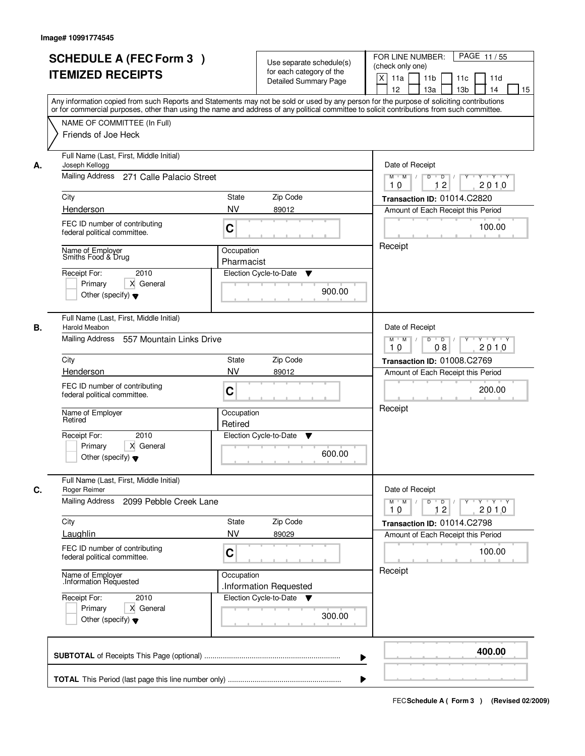|    | <b>SCHEDULE A (FEC Form 3)</b><br><b>ITEMIZED RECEIPTS</b>                                                                     | Use separate schedule(s)<br>for each category of the<br><b>Detailed Summary Page</b><br>Any information copied from such Reports and Statements may not be sold or used by any person for the purpose of soliciting contributions | PAGE 11/55<br>FOR LINE NUMBER:<br>(check only one)<br>$\boldsymbol{\mathsf{X}}$<br>11 <sub>b</sub><br>11a<br>11 <sub>c</sub><br>11d<br>12<br>13 <sub>b</sub><br>14<br>13a<br>15 |
|----|--------------------------------------------------------------------------------------------------------------------------------|-----------------------------------------------------------------------------------------------------------------------------------------------------------------------------------------------------------------------------------|---------------------------------------------------------------------------------------------------------------------------------------------------------------------------------|
|    | NAME OF COMMITTEE (In Full)<br>Friends of Joe Heck                                                                             | or for commercial purposes, other than using the name and address of any political committee to solicit contributions from such committee.                                                                                        |                                                                                                                                                                                 |
| А. | Full Name (Last, First, Middle Initial)<br>Joseph Kellogg<br>Mailing Address 271 Calle Palacio Street                          |                                                                                                                                                                                                                                   | Date of Receipt<br>$M$ $M$ /<br>$D$ $D$ $1$<br>Y<br>$Y - Y - Y - Y$<br>12<br>2010<br>10                                                                                         |
|    | City                                                                                                                           | <b>State</b><br>Zip Code                                                                                                                                                                                                          | Transaction ID: 01014.C2820                                                                                                                                                     |
|    | Henderson                                                                                                                      | <b>NV</b><br>89012                                                                                                                                                                                                                | Amount of Each Receipt this Period                                                                                                                                              |
|    | FEC ID number of contributing<br>federal political committee.                                                                  | C                                                                                                                                                                                                                                 | 100.00                                                                                                                                                                          |
|    | Name of Employer<br>Smiths Food & Drug<br>2010<br>Receipt For:<br>X General<br>Primary<br>Other (specify) $\blacktriangledown$ | Occupation<br>Pharmacist<br>Election Cycle-to-Date<br>▼<br>900.00                                                                                                                                                                 | Receipt                                                                                                                                                                         |
| В. | Full Name (Last, First, Middle Initial)<br>Harold Meabon<br>Mailing Address<br>557 Mountain Links Drive                        |                                                                                                                                                                                                                                   | Date of Receipt<br>$M$ $M$ /<br>D<br>$\overline{D}$ /<br>Y<br>$Y + Y + Y$<br>2010<br>08<br>10                                                                                   |
|    | City                                                                                                                           | Zip Code<br>State                                                                                                                                                                                                                 | Transaction ID: 01008.C2769                                                                                                                                                     |
|    | Henderson                                                                                                                      | <b>NV</b><br>89012                                                                                                                                                                                                                | Amount of Each Receipt this Period                                                                                                                                              |
|    | FEC ID number of contributing<br>federal political committee.                                                                  | C                                                                                                                                                                                                                                 | 200.00                                                                                                                                                                          |
|    | Name of Employer<br>Retired                                                                                                    | Occupation<br>Retired                                                                                                                                                                                                             | Receipt                                                                                                                                                                         |
|    | 2010<br>Receipt For:<br>Primary<br>X General<br>Other (specify) $\blacktriangledown$                                           | Election Cycle-to-Date<br>v<br>600.00                                                                                                                                                                                             |                                                                                                                                                                                 |
| C. | Full Name (Last, First, Middle Initial)<br>Roger Reimer                                                                        |                                                                                                                                                                                                                                   | Date of Receipt                                                                                                                                                                 |
|    | Mailing Address<br>2099 Pebble Creek Lane                                                                                      |                                                                                                                                                                                                                                   | $M$ $M$ $/$<br>$D$ $D$ $l$<br>y y y y y y<br>10<br>12<br>2010                                                                                                                   |
|    | City                                                                                                                           | Zip Code<br>State                                                                                                                                                                                                                 | Transaction ID: 01014.C2798                                                                                                                                                     |
|    | Laughlin                                                                                                                       | <b>NV</b><br>89029                                                                                                                                                                                                                | Amount of Each Receipt this Period                                                                                                                                              |
|    | FEC ID number of contributing<br>federal political committee.                                                                  | C                                                                                                                                                                                                                                 | 100.00                                                                                                                                                                          |
|    | Name of Employer<br>Information Requested                                                                                      | Occupation<br>.Information Requested                                                                                                                                                                                              | Receipt                                                                                                                                                                         |
|    | Receipt For:<br>2010<br>Primary<br>X General<br>Other (specify) $\blacktriangledown$                                           | Election Cycle-to-Date ▼<br>300.00                                                                                                                                                                                                |                                                                                                                                                                                 |
|    |                                                                                                                                |                                                                                                                                                                                                                                   | 400.00                                                                                                                                                                          |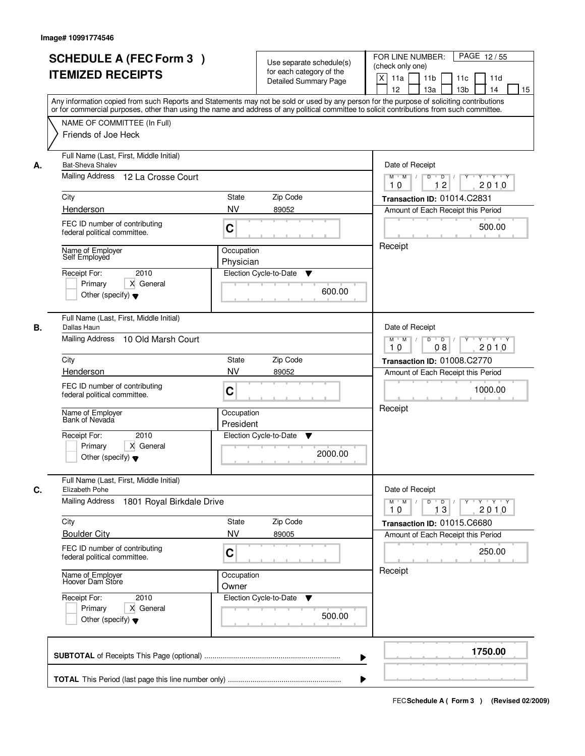|    | <b>SCHEDULE A (FEC Form 3)</b><br><b>ITEMIZED RECEIPTS</b><br>Any information copied from such Reports and Statements may not be sold or used by any person for the purpose of soliciting contributions<br>or for commercial purposes, other than using the name and address of any political committee to solicit contributions from such committee. |                                                                                            | Use separate schedule(s)<br>for each category of the<br><b>Detailed Summary Page</b> | PAGE 12/55<br>FOR LINE NUMBER:<br>(check only one)<br>X<br>11a<br>11 <sub>b</sub><br>11c<br>11d<br>12<br>13 <sub>b</sub><br>13a<br>14<br>15 |
|----|-------------------------------------------------------------------------------------------------------------------------------------------------------------------------------------------------------------------------------------------------------------------------------------------------------------------------------------------------------|--------------------------------------------------------------------------------------------|--------------------------------------------------------------------------------------|---------------------------------------------------------------------------------------------------------------------------------------------|
|    | NAME OF COMMITTEE (In Full)<br>Friends of Joe Heck                                                                                                                                                                                                                                                                                                    |                                                                                            |                                                                                      |                                                                                                                                             |
| А. | Full Name (Last, First, Middle Initial)<br><b>Bat-Sheva Shalev</b><br>Mailing Address<br>12 La Crosse Court                                                                                                                                                                                                                                           | Date of Receipt<br>$M$ $M$<br>$D$ $D$ $/$<br>$\overline{Y}$<br>Y Y Y Y<br>12<br>2010<br>10 |                                                                                      |                                                                                                                                             |
|    | City                                                                                                                                                                                                                                                                                                                                                  | State                                                                                      | Zip Code                                                                             | Transaction ID: 01014.C2831                                                                                                                 |
|    | Henderson                                                                                                                                                                                                                                                                                                                                             | <b>NV</b>                                                                                  | 89052                                                                                | Amount of Each Receipt this Period                                                                                                          |
|    | FEC ID number of contributing<br>federal political committee.                                                                                                                                                                                                                                                                                         | C                                                                                          |                                                                                      | 500.00                                                                                                                                      |
|    | Name of Employer<br>Self Employed                                                                                                                                                                                                                                                                                                                     | Occupation<br>Physician                                                                    |                                                                                      | Receipt                                                                                                                                     |
|    | 2010<br>Receipt For:<br>X General<br>Primary<br>Other (specify) $\blacktriangledown$                                                                                                                                                                                                                                                                  |                                                                                            | Election Cycle-to-Date<br>▼<br>600.00                                                |                                                                                                                                             |
| В. | Full Name (Last, First, Middle Initial)<br>Dallas Haun<br>Mailing Address 10 Old Marsh Court                                                                                                                                                                                                                                                          |                                                                                            |                                                                                      | Date of Receipt<br>$M$ $M$ /<br>Y<br>$Y \vdash Y \vdash Y$<br>D<br>$\overline{\phantom{0}}$ D<br>2010<br>08<br>10                           |
|    | City                                                                                                                                                                                                                                                                                                                                                  | <b>State</b>                                                                               | Zip Code                                                                             | Transaction ID: 01008.C2770                                                                                                                 |
|    | Henderson                                                                                                                                                                                                                                                                                                                                             | <b>NV</b>                                                                                  | 89052                                                                                | Amount of Each Receipt this Period                                                                                                          |
|    | FEC ID number of contributing<br>federal political committee.                                                                                                                                                                                                                                                                                         | C                                                                                          |                                                                                      | 1000.00                                                                                                                                     |
|    | Name of Employer<br>Bank of Nevada                                                                                                                                                                                                                                                                                                                    | Occupation<br>President                                                                    |                                                                                      | Receipt                                                                                                                                     |
|    | Receipt For:<br>2010<br>X General<br>Primary<br>Other (specify) $\blacktriangledown$                                                                                                                                                                                                                                                                  |                                                                                            | Election Cycle-to-Date<br>v<br>2000.00                                               |                                                                                                                                             |
| C. | Full Name (Last, First, Middle Initial)<br>Elizabeth Pohe                                                                                                                                                                                                                                                                                             |                                                                                            |                                                                                      | Date of Receipt                                                                                                                             |
|    | <b>Mailing Address</b><br>1801 Royal Birkdale Drive                                                                                                                                                                                                                                                                                                   |                                                                                            |                                                                                      | $D$ $D$ $/$<br>$M$ $M$ /<br>$Y$ <sup>U</sup><br>$Y + Y + Y$<br>13<br>2010<br>10                                                             |
|    | City                                                                                                                                                                                                                                                                                                                                                  | State                                                                                      | Zip Code                                                                             | Transaction ID: 01015.C6680                                                                                                                 |
|    | <b>Boulder City</b>                                                                                                                                                                                                                                                                                                                                   | <b>NV</b>                                                                                  | 89005                                                                                | Amount of Each Receipt this Period                                                                                                          |
|    | FEC ID number of contributing<br>federal political committee.                                                                                                                                                                                                                                                                                         | C                                                                                          |                                                                                      | 250.00                                                                                                                                      |
|    | Name of Employer<br>Hoover Dam Store                                                                                                                                                                                                                                                                                                                  | Occupation<br>Owner                                                                        |                                                                                      | Receipt                                                                                                                                     |
|    | Receipt For:<br>2010<br>Primary<br>X General<br>Other (specify) $\blacktriangledown$                                                                                                                                                                                                                                                                  |                                                                                            | Election Cycle-to-Date<br>v<br>500.00                                                |                                                                                                                                             |
|    |                                                                                                                                                                                                                                                                                                                                                       |                                                                                            | ▶                                                                                    | 1750.00                                                                                                                                     |
|    |                                                                                                                                                                                                                                                                                                                                                       |                                                                                            |                                                                                      |                                                                                                                                             |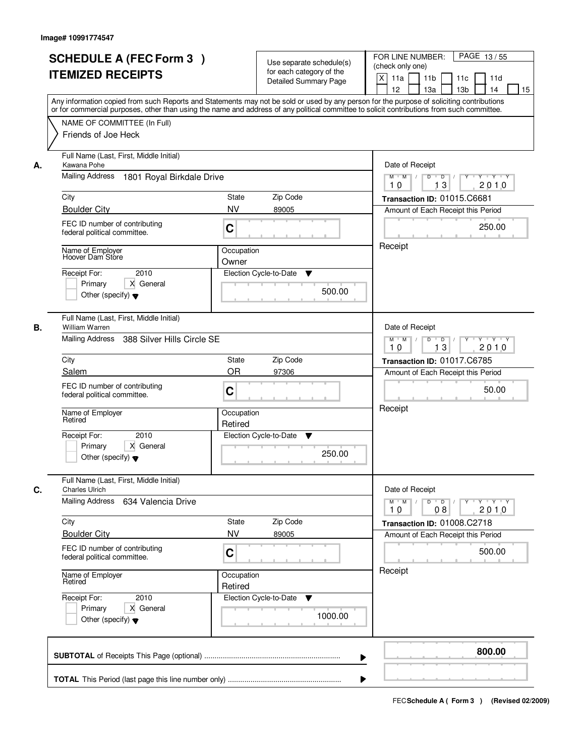| <b>SCHEDULE A (FEC Form 3)</b><br><b>ITEMIZED RECEIPTS</b>                                                                                                                                                                                                                                                                                          | Use separate schedule(s)<br>for each category of the<br><b>Detailed Summary Page</b>                                                                                                                                                                                                    | PAGE 13/55<br>FOR LINE NUMBER:<br>(check only one)<br>X<br>11 <sub>b</sub><br>11a<br>11c<br>11d<br>12<br>13a<br>13 <sub>b</sub><br>15<br>14                                                                                     |
|-----------------------------------------------------------------------------------------------------------------------------------------------------------------------------------------------------------------------------------------------------------------------------------------------------------------------------------------------------|-----------------------------------------------------------------------------------------------------------------------------------------------------------------------------------------------------------------------------------------------------------------------------------------|---------------------------------------------------------------------------------------------------------------------------------------------------------------------------------------------------------------------------------|
| NAME OF COMMITTEE (In Full)<br>Friends of Joe Heck                                                                                                                                                                                                                                                                                                  | Any information copied from such Reports and Statements may not be sold or used by any person for the purpose of soliciting contributions<br>or for commercial purposes, other than using the name and address of any political committee to solicit contributions from such committee. |                                                                                                                                                                                                                                 |
| Full Name (Last, First, Middle Initial)<br>Kawana Pohe<br>А.<br><b>Mailing Address</b><br>1801 Royal Birkdale Drive<br>City<br><b>Boulder City</b><br>FEC ID number of contributing<br>federal political committee.<br>Name of Employer<br>Hoover Dam Store<br>2010<br>Receipt For:<br>X General<br>Primary<br>Other (specify) $\blacktriangledown$ | State<br>Zip Code<br><b>NV</b><br>89005<br>C<br>Occupation<br>Owner<br>Election Cycle-to-Date<br>▼<br>500.00                                                                                                                                                                            | Date of Receipt<br>$\mathsf{Y} \dashv \mathsf{Y} \dashv \mathsf{Y}$<br>$D$ $D$ $1$<br>$\overline{Y}$<br>$M$ $M$ /<br>2010<br>10<br>13<br>Transaction ID: 01015.C6681<br>Amount of Each Receipt this Period<br>250.00<br>Receipt |
| Full Name (Last, First, Middle Initial)<br>В.<br>William Warren<br>Mailing Address<br>388 Silver Hills Circle SE<br>City<br>Salem<br>FEC ID number of contributing<br>federal political committee.<br>Name of Employer<br>Retired<br>Receipt For:<br>2010<br>Primary<br>X General<br>Other (specify) $\blacktriangledown$                           | Zip Code<br><b>State</b><br>OR<br>97306<br>C<br>Occupation<br>Retired<br>Election Cycle-to-Date<br>v<br>250.00                                                                                                                                                                          | Date of Receipt<br>$M$ $M$ /<br>D<br>$\overline{D}$ $\overline{I}$<br>$Y$ <sup>U</sup><br>Y Y Y Y<br>13<br>2010<br>10<br>Transaction ID: 01017.C6785<br>Amount of Each Receipt this Period<br>50.00<br>Receipt                  |
| Full Name (Last, First, Middle Initial)<br>С.<br><b>Charles Ulrich</b><br>Mailing Address<br>634 Valencia Drive<br>City<br><b>Boulder City</b><br>FEC ID number of contributing<br>federal political committee.<br>Name of Employer<br>Retired<br>Receipt For:<br>2010<br>Primary<br>X General<br>Other (specify) $\blacktriangledown$              | Zip Code<br>State<br><b>NV</b><br>89005<br>C<br>Occupation<br>Retired<br>Election Cycle-to-Date<br>v<br>1000.00                                                                                                                                                                         | Date of Receipt<br>$M$ $M$<br>$\mathsf D$<br>$\overline{D}$ /<br>$Y + Y + Y$<br>Y<br>2010<br>10<br>08<br>Transaction ID: 01008.C2718<br>Amount of Each Receipt this Period<br>500.00<br>Receipt                                 |
|                                                                                                                                                                                                                                                                                                                                                     |                                                                                                                                                                                                                                                                                         | 800.00<br>▶                                                                                                                                                                                                                     |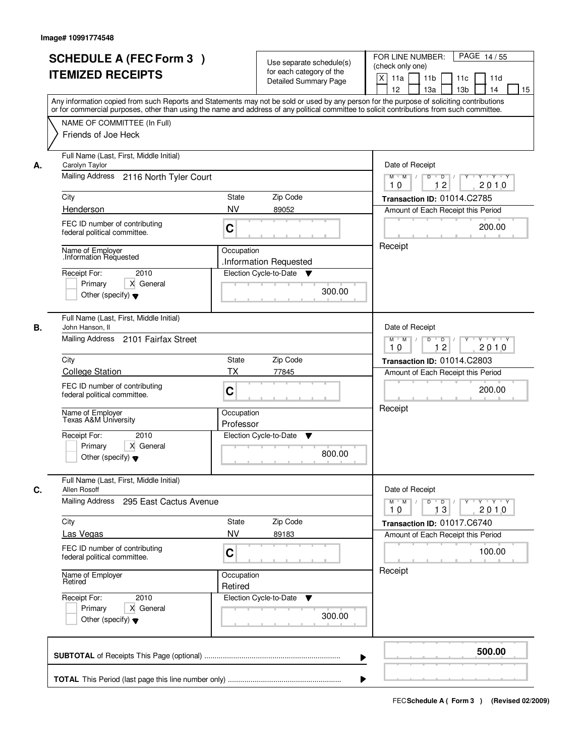|    | <b>SCHEDULE A (FEC Form 3)</b><br><b>ITEMIZED RECEIPTS</b><br>Any information copied from such Reports and Statements may not be sold or used by any person for the purpose of soliciting contributions<br>or for commercial purposes, other than using the name and address of any political committee to solicit contributions from such committee. |                                                                                            | Use separate schedule(s)<br>for each category of the<br><b>Detailed Summary Page</b> | PAGE 14/55<br>FOR LINE NUMBER:<br>(check only one)<br>X<br>11 <sub>b</sub><br>11a<br>11c<br>11d<br>12<br>13 <sub>b</sub><br>13a<br>14<br>15 |
|----|-------------------------------------------------------------------------------------------------------------------------------------------------------------------------------------------------------------------------------------------------------------------------------------------------------------------------------------------------------|--------------------------------------------------------------------------------------------|--------------------------------------------------------------------------------------|---------------------------------------------------------------------------------------------------------------------------------------------|
|    | NAME OF COMMITTEE (In Full)<br>Friends of Joe Heck                                                                                                                                                                                                                                                                                                    |                                                                                            |                                                                                      |                                                                                                                                             |
| А. | Full Name (Last, First, Middle Initial)<br>Carolyn Taylor<br>Mailing Address 2116 North Tyler Court                                                                                                                                                                                                                                                   | Date of Receipt<br>$M$ $M$<br>$D$ $D$ $/$<br>$\overline{Y}$<br>Y Y Y Y<br>12<br>2010<br>10 |                                                                                      |                                                                                                                                             |
|    | City                                                                                                                                                                                                                                                                                                                                                  | State                                                                                      | Zip Code                                                                             | Transaction ID: 01014.C2785                                                                                                                 |
|    | Henderson                                                                                                                                                                                                                                                                                                                                             | <b>NV</b>                                                                                  | 89052                                                                                | Amount of Each Receipt this Period                                                                                                          |
|    | FEC ID number of contributing<br>federal political committee.                                                                                                                                                                                                                                                                                         | C                                                                                          |                                                                                      | 200.00                                                                                                                                      |
|    | Name of Employer<br>Information Requested                                                                                                                                                                                                                                                                                                             | Occupation                                                                                 | .Information Requested                                                               | Receipt                                                                                                                                     |
|    | 2010<br>Receipt For:<br>Primary<br>X General<br>Other (specify) $\blacktriangledown$                                                                                                                                                                                                                                                                  |                                                                                            | Election Cycle-to-Date<br>▼<br>300.00                                                |                                                                                                                                             |
| В. | Full Name (Last, First, Middle Initial)<br>John Hanson, II<br>Mailing Address 2101 Fairfax Street                                                                                                                                                                                                                                                     |                                                                                            |                                                                                      | Date of Receipt<br>$Y \vdash Y \vdash Y$<br>$M$ $M$ /<br>D<br>$\Box$<br>Y                                                                   |
|    |                                                                                                                                                                                                                                                                                                                                                       |                                                                                            |                                                                                      | 12<br>2010<br>10                                                                                                                            |
|    | City<br><b>State</b><br><b>College Station</b><br><b>TX</b>                                                                                                                                                                                                                                                                                           |                                                                                            | Zip Code<br>77845                                                                    | Transaction ID: 01014.C2803<br>Amount of Each Receipt this Period                                                                           |
|    | FEC ID number of contributing<br>federal political committee.                                                                                                                                                                                                                                                                                         | C                                                                                          |                                                                                      | 200.00                                                                                                                                      |
|    | Name of Employer<br>Texas A&M University                                                                                                                                                                                                                                                                                                              | Occupation<br>Professor                                                                    |                                                                                      | Receipt                                                                                                                                     |
|    | Receipt For:<br>2010<br>Primary<br>X General<br>Other (specify) $\blacktriangledown$                                                                                                                                                                                                                                                                  |                                                                                            | Election Cycle-to-Date<br>v<br>800.00                                                |                                                                                                                                             |
| C. | Full Name (Last, First, Middle Initial)<br>Allen Rosoff                                                                                                                                                                                                                                                                                               |                                                                                            |                                                                                      | Date of Receipt                                                                                                                             |
|    | Mailing Address<br>295 East Cactus Avenue                                                                                                                                                                                                                                                                                                             |                                                                                            |                                                                                      | $D$ $D$ $/$<br>$M$ $M$ /<br>y y y y y<br>13<br>2010<br>10                                                                                   |
|    | City                                                                                                                                                                                                                                                                                                                                                  | State<br><b>NV</b>                                                                         | Zip Code                                                                             | Transaction ID: 01017.C6740                                                                                                                 |
|    | Las Vegas<br>FEC ID number of contributing<br>federal political committee.                                                                                                                                                                                                                                                                            | C                                                                                          | 89183                                                                                | Amount of Each Receipt this Period<br>100.00                                                                                                |
|    | Name of Employer<br>Retired                                                                                                                                                                                                                                                                                                                           | Occupation<br>Retired                                                                      |                                                                                      | Receipt                                                                                                                                     |
|    | Receipt For:<br>2010<br>Primary<br>X General<br>Other (specify) $\blacktriangledown$                                                                                                                                                                                                                                                                  |                                                                                            | Election Cycle-to-Date ▼<br>300.00                                                   |                                                                                                                                             |
|    |                                                                                                                                                                                                                                                                                                                                                       |                                                                                            | ▶                                                                                    | 500.00                                                                                                                                      |
|    |                                                                                                                                                                                                                                                                                                                                                       |                                                                                            |                                                                                      |                                                                                                                                             |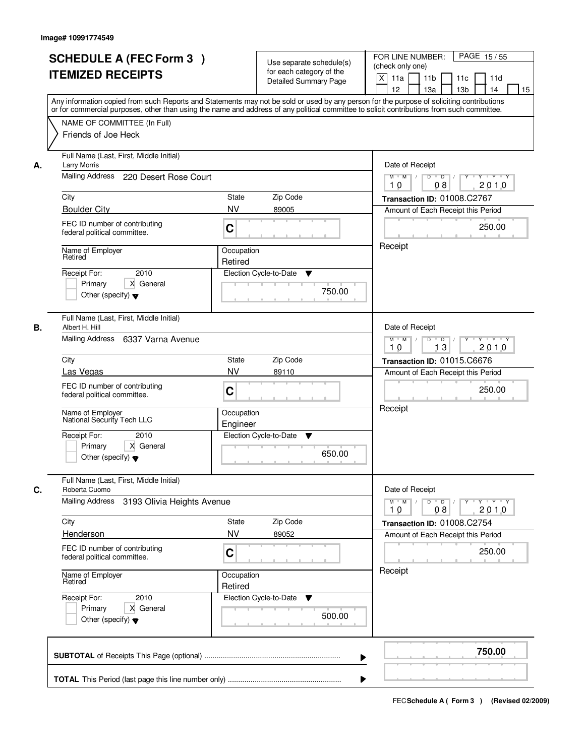|    | <b>SCHEDULE A (FEC Form 3)</b><br><b>ITEMIZED RECEIPTS</b><br>Any information copied from such Reports and Statements may not be sold or used by any person for the purpose of soliciting contributions<br>or for commercial purposes, other than using the name and address of any political committee to solicit contributions from such committee. |                                                                 | Use separate schedule(s)<br>for each category of the<br>Detailed Summary Page | PAGE 15/55<br>FOR LINE NUMBER:<br>(check only one)<br>$\mathsf{X}$<br>11 <sub>b</sub><br>11a<br>11c<br>11d<br>13 <sub>b</sub><br>12<br>13a<br>14<br>15 |
|----|-------------------------------------------------------------------------------------------------------------------------------------------------------------------------------------------------------------------------------------------------------------------------------------------------------------------------------------------------------|-----------------------------------------------------------------|-------------------------------------------------------------------------------|--------------------------------------------------------------------------------------------------------------------------------------------------------|
|    | NAME OF COMMITTEE (In Full)<br>Friends of Joe Heck                                                                                                                                                                                                                                                                                                    |                                                                 |                                                                               |                                                                                                                                                        |
| А. | Full Name (Last, First, Middle Initial)<br><b>Larry Morris</b><br>Mailing Address 220 Desert Rose Court                                                                                                                                                                                                                                               | Date of Receipt<br>$Y + Y + Y$<br>$M$ $M$ /<br>2010<br>10<br>08 |                                                                               |                                                                                                                                                        |
|    |                                                                                                                                                                                                                                                                                                                                                       | City<br>State<br>Zip Code                                       |                                                                               |                                                                                                                                                        |
|    | <b>Boulder City</b>                                                                                                                                                                                                                                                                                                                                   | <b>NV</b>                                                       | 89005                                                                         | Transaction ID: 01008.C2767<br>Amount of Each Receipt this Period                                                                                      |
|    | FEC ID number of contributing<br>federal political committee.                                                                                                                                                                                                                                                                                         | C                                                               |                                                                               | 250.00                                                                                                                                                 |
|    | Name of Employer<br>Retired                                                                                                                                                                                                                                                                                                                           | Occupation<br>Retired                                           |                                                                               | Receipt                                                                                                                                                |
|    | 2010<br>Receipt For:<br>X General<br>Primary<br>Other (specify) $\blacktriangledown$                                                                                                                                                                                                                                                                  |                                                                 | Election Cycle-to-Date<br>▼<br>750.00                                         |                                                                                                                                                        |
| В. | Full Name (Last, First, Middle Initial)<br>Albert H. Hill<br>Mailing Address 6337 Varna Avenue                                                                                                                                                                                                                                                        |                                                                 |                                                                               | Date of Receipt<br>$Y - Y - Y$<br>$M$ $M$ /<br>D<br>$\overline{\phantom{0}}$<br>13<br>2010<br>10                                                       |
|    | City                                                                                                                                                                                                                                                                                                                                                  | <b>State</b>                                                    | Zip Code                                                                      | Transaction ID: 01015.C6676                                                                                                                            |
|    | <b>NV</b><br>Las Vegas                                                                                                                                                                                                                                                                                                                                |                                                                 | 89110                                                                         | Amount of Each Receipt this Period                                                                                                                     |
|    | FEC ID number of contributing<br>federal political committee.                                                                                                                                                                                                                                                                                         | C                                                               |                                                                               | 250.00                                                                                                                                                 |
|    | Name of Employer<br>National Security Tech LLC                                                                                                                                                                                                                                                                                                        | Occupation<br>Engineer                                          |                                                                               | Receipt                                                                                                                                                |
|    | Receipt For:<br>2010<br>Primary<br>X General<br>Other (specify) $\blacktriangledown$                                                                                                                                                                                                                                                                  |                                                                 | Election Cycle-to-Date<br>v<br>650.00                                         |                                                                                                                                                        |
| C. | Full Name (Last, First, Middle Initial)<br>Roberta Cuomo                                                                                                                                                                                                                                                                                              |                                                                 |                                                                               | Date of Receipt                                                                                                                                        |
|    | <b>Mailing Address</b><br>3193 Olivia Heights Avenue                                                                                                                                                                                                                                                                                                  |                                                                 |                                                                               | $M = M$<br>$D$ $D$ $/$<br>$\mathsf{Y} \dashv \mathsf{Y} \dashv \mathsf{Y}$<br>$Y$ <sup>-1</sup><br>08<br>2010<br>10                                    |
|    | City<br>Henderson                                                                                                                                                                                                                                                                                                                                     | <b>State</b><br><b>NV</b>                                       | Zip Code<br>89052                                                             | Transaction ID: 01008.C2754<br>Amount of Each Receipt this Period                                                                                      |
|    | FEC ID number of contributing<br>federal political committee.                                                                                                                                                                                                                                                                                         | C                                                               |                                                                               | 250.00                                                                                                                                                 |
|    | Name of Employer<br>Retired                                                                                                                                                                                                                                                                                                                           | Occupation<br>Retired                                           |                                                                               | Receipt                                                                                                                                                |
|    | Receipt For:<br>2010<br>Primary<br>X General<br>Other (specify) $\blacktriangledown$                                                                                                                                                                                                                                                                  |                                                                 | Election Cycle-to-Date<br>v<br>500.00                                         |                                                                                                                                                        |
|    |                                                                                                                                                                                                                                                                                                                                                       |                                                                 | ▶                                                                             | 750.00                                                                                                                                                 |
|    |                                                                                                                                                                                                                                                                                                                                                       |                                                                 |                                                                               |                                                                                                                                                        |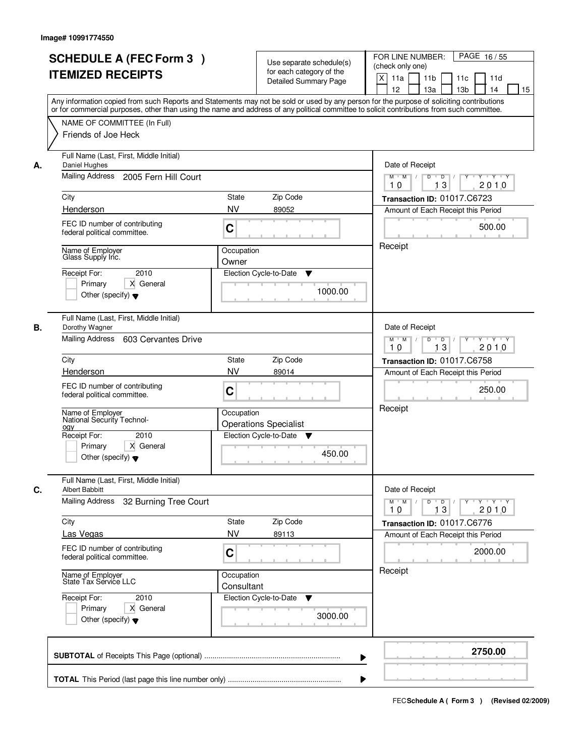|    | <b>SCHEDULE A (FEC Form 3)</b><br><b>ITEMIZED RECEIPTS</b><br>Any information copied from such Reports and Statements may not be sold or used by any person for the purpose of soliciting contributions<br>or for commercial purposes, other than using the name and address of any political committee to solicit contributions from such committee. |                                                                                                | Use separate schedule(s)<br>for each category of the<br><b>Detailed Summary Page</b> | PAGE 16/55<br>FOR LINE NUMBER:<br>(check only one)<br>X<br>11 <sub>b</sub><br>11a<br>11c<br>11d<br>12<br>13 <sub>b</sub><br>13a<br>14<br>15 |
|----|-------------------------------------------------------------------------------------------------------------------------------------------------------------------------------------------------------------------------------------------------------------------------------------------------------------------------------------------------------|------------------------------------------------------------------------------------------------|--------------------------------------------------------------------------------------|---------------------------------------------------------------------------------------------------------------------------------------------|
|    | NAME OF COMMITTEE (In Full)<br>Friends of Joe Heck                                                                                                                                                                                                                                                                                                    |                                                                                                |                                                                                      |                                                                                                                                             |
| А. | Full Name (Last, First, Middle Initial)<br>Daniel Hughes<br>Mailing Address 2005 Fern Hill Court                                                                                                                                                                                                                                                      | Date of Receipt<br>$Y$ $Y$ $Y$<br>$M$ $M$<br>$D$ $D$ $1$<br>$\overline{Y}$<br>13<br>2010<br>10 |                                                                                      |                                                                                                                                             |
|    | City                                                                                                                                                                                                                                                                                                                                                  | State                                                                                          | Zip Code                                                                             | Transaction ID: 01017.C6723                                                                                                                 |
|    | Henderson                                                                                                                                                                                                                                                                                                                                             | <b>NV</b>                                                                                      | 89052                                                                                | Amount of Each Receipt this Period                                                                                                          |
|    | FEC ID number of contributing<br>federal political committee.                                                                                                                                                                                                                                                                                         | C                                                                                              |                                                                                      | 500.00                                                                                                                                      |
|    | Name of Employer<br>Glass Supply Inc.                                                                                                                                                                                                                                                                                                                 | Occupation<br>Owner                                                                            |                                                                                      | Receipt                                                                                                                                     |
|    | 2010<br>Receipt For:<br>X General<br>Primary<br>Other (specify) $\blacktriangledown$                                                                                                                                                                                                                                                                  |                                                                                                | Election Cycle-to-Date<br>▼<br>1000.00                                               |                                                                                                                                             |
| В. | Full Name (Last, First, Middle Initial)<br>Dorothy Wagner<br>Mailing Address<br>603 Cervantes Drive                                                                                                                                                                                                                                                   |                                                                                                |                                                                                      | Date of Receipt<br>$M$ $M$ /<br>Y<br>$Y \vdash Y \vdash Y$<br>D<br>$\overline{D}$<br>13<br>2010<br>10                                       |
|    | City                                                                                                                                                                                                                                                                                                                                                  | <b>State</b>                                                                                   | Zip Code                                                                             | Transaction ID: 01017.C6758                                                                                                                 |
|    | Henderson                                                                                                                                                                                                                                                                                                                                             | <b>NV</b>                                                                                      | 89014                                                                                | Amount of Each Receipt this Period                                                                                                          |
|    | FEC ID number of contributing<br>federal political committee.                                                                                                                                                                                                                                                                                         | C                                                                                              |                                                                                      | 250.00                                                                                                                                      |
|    | Name of Employer<br>National Security Technol-<br>oav                                                                                                                                                                                                                                                                                                 | Occupation                                                                                     | <b>Operations Specialist</b>                                                         | Receipt                                                                                                                                     |
|    | Receipt For:<br>2010<br>X General<br>Primary<br>Other (specify) $\blacktriangledown$                                                                                                                                                                                                                                                                  |                                                                                                | Election Cycle-to-Date<br>v<br>450.00                                                |                                                                                                                                             |
| C. | Full Name (Last, First, Middle Initial)<br><b>Albert Babbitt</b>                                                                                                                                                                                                                                                                                      |                                                                                                |                                                                                      | Date of Receipt                                                                                                                             |
|    | <b>Mailing Address</b><br>32 Burning Tree Court                                                                                                                                                                                                                                                                                                       |                                                                                                |                                                                                      | $D$ $D$ $/$<br>$M$ $M$ /<br>$Y$ <sup>U</sup><br>Y 'Y 'Y<br>13<br>2010<br>10                                                                 |
|    | City<br>Las Vegas                                                                                                                                                                                                                                                                                                                                     | State<br><b>NV</b>                                                                             | Zip Code<br>89113                                                                    | Transaction ID: 01017.C6776<br>Amount of Each Receipt this Period                                                                           |
|    | FEC ID number of contributing<br>federal political committee.                                                                                                                                                                                                                                                                                         | C                                                                                              |                                                                                      | 2000.00                                                                                                                                     |
|    | Name of Employer<br>State Tax Service LLC                                                                                                                                                                                                                                                                                                             | Occupation<br>Consultant                                                                       |                                                                                      | Receipt                                                                                                                                     |
|    | Receipt For:<br>2010<br>Primary<br>X General<br>Other (specify) $\blacktriangledown$                                                                                                                                                                                                                                                                  |                                                                                                | Election Cycle-to-Date<br>v<br>3000.00                                               |                                                                                                                                             |
|    |                                                                                                                                                                                                                                                                                                                                                       |                                                                                                |                                                                                      | 2750.00                                                                                                                                     |
|    |                                                                                                                                                                                                                                                                                                                                                       |                                                                                                |                                                                                      |                                                                                                                                             |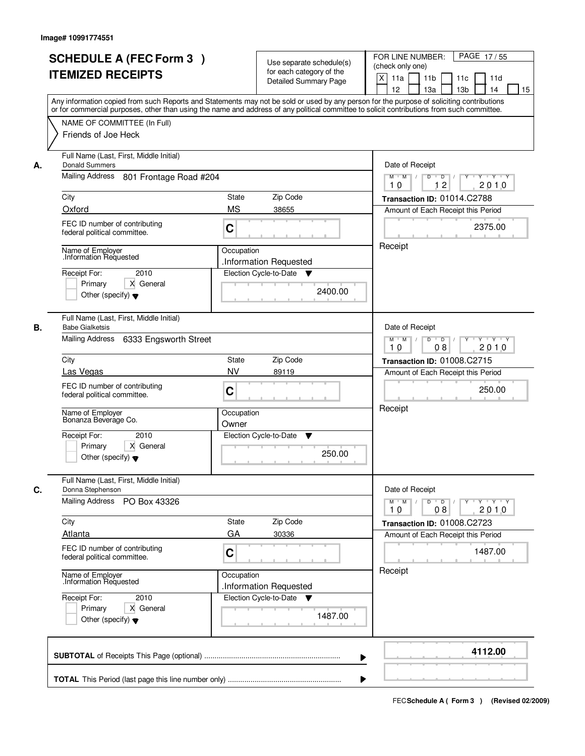|    | <b>SCHEDULE A (FEC Form 3)</b><br><b>ITEMIZED RECEIPTS</b>                                                                        | Use separate schedule(s)<br>for each category of the<br><b>Detailed Summary Page</b><br>Any information copied from such Reports and Statements may not be sold or used by any person for the purpose of soliciting contributions | PAGE 17/55<br>FOR LINE NUMBER:<br>(check only one)<br>X<br>11 <sub>b</sub><br>11a<br>11 <sub>c</sub><br>11d<br>12<br>13 <sub>b</sub><br>13a<br>14<br>15 |
|----|-----------------------------------------------------------------------------------------------------------------------------------|-----------------------------------------------------------------------------------------------------------------------------------------------------------------------------------------------------------------------------------|---------------------------------------------------------------------------------------------------------------------------------------------------------|
|    | NAME OF COMMITTEE (In Full)<br>Friends of Joe Heck                                                                                | or for commercial purposes, other than using the name and address of any political committee to solicit contributions from such committee.                                                                                        |                                                                                                                                                         |
| А. | Full Name (Last, First, Middle Initial)<br><b>Donald Summers</b><br>Mailing Address 801 Frontage Road #204                        | Date of Receipt<br>$M$ $M$ /<br>$D$ $D$ $1$<br>$Y$ <sup>U</sup><br>$Y - Y - Y - Y$<br>12<br>2010<br>10                                                                                                                            |                                                                                                                                                         |
|    | City<br>Oxford                                                                                                                    | <b>State</b><br>Zip Code<br><b>MS</b><br>38655                                                                                                                                                                                    | Transaction ID: 01014.C2788<br>Amount of Each Receipt this Period                                                                                       |
|    | FEC ID number of contributing<br>federal political committee.                                                                     | C                                                                                                                                                                                                                                 | 2375.00                                                                                                                                                 |
|    | Name of Employer<br>Information Requested<br>2010<br>Receipt For:<br>Primary<br>X General<br>Other (specify) $\blacktriangledown$ | Occupation<br>.Information Requested<br>Election Cycle-to-Date<br>v<br>2400.00                                                                                                                                                    | Receipt                                                                                                                                                 |
| В. | Full Name (Last, First, Middle Initial)<br><b>Babe Gialketsis</b><br>Mailing Address<br>6333 Engsworth Street                     |                                                                                                                                                                                                                                   | Date of Receipt<br>$M$ $M$ /<br>D<br>$\overline{D}$<br>$Y + Y + Y$<br>2010<br>08<br>10                                                                  |
|    | City                                                                                                                              | Zip Code<br>State                                                                                                                                                                                                                 | <b>Transaction ID: 01008.C2715</b>                                                                                                                      |
|    | Las Vegas                                                                                                                         | <b>NV</b><br>89119                                                                                                                                                                                                                | Amount of Each Receipt this Period                                                                                                                      |
|    | FEC ID number of contributing<br>federal political committee.                                                                     | C                                                                                                                                                                                                                                 | 250.00<br>Receipt                                                                                                                                       |
|    | Name of Employer<br>Bonanza Beverage Co.<br>Receipt For:<br>2010                                                                  | Occupation<br>Owner<br>Election Cycle-to-Date                                                                                                                                                                                     |                                                                                                                                                         |
|    | Primary<br>X General<br>Other (specify) $\blacktriangledown$                                                                      | v<br>250.00                                                                                                                                                                                                                       |                                                                                                                                                         |
| C. | Full Name (Last, First, Middle Initial)<br>Donna Stephenson                                                                       |                                                                                                                                                                                                                                   | Date of Receipt                                                                                                                                         |
|    | Mailing Address<br>PO Box 43326                                                                                                   |                                                                                                                                                                                                                                   | $M$ $M$<br>$D$ $D$ $I$<br>y y y y y y<br>2010<br>10<br>08                                                                                               |
|    | City                                                                                                                              | Zip Code<br>State                                                                                                                                                                                                                 | Transaction ID: 01008.C2723                                                                                                                             |
|    | Atlanta<br>FEC ID number of contributing<br>federal political committee.                                                          | GA<br>30336<br>C                                                                                                                                                                                                                  | Amount of Each Receipt this Period<br>1487.00                                                                                                           |
|    | Name of Employer<br>.Information Requested                                                                                        | Occupation<br>.Information Requested                                                                                                                                                                                              | Receipt                                                                                                                                                 |
|    | Receipt For:<br>2010<br>Primary<br>X General<br>Other (specify) $\blacktriangledown$                                              | Election Cycle-to-Date ▼<br>1487.00                                                                                                                                                                                               |                                                                                                                                                         |
|    |                                                                                                                                   |                                                                                                                                                                                                                                   | 4112.00                                                                                                                                                 |
|    |                                                                                                                                   |                                                                                                                                                                                                                                   |                                                                                                                                                         |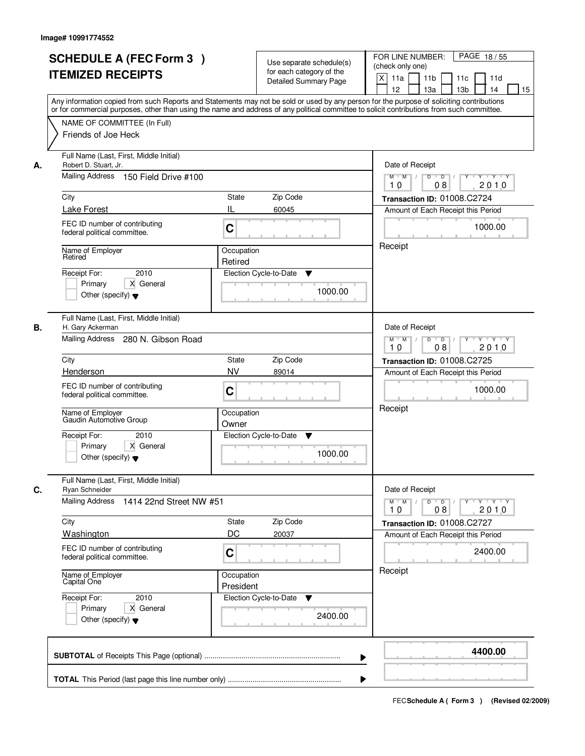| <b>SCHEDULE A (FEC Form 3)</b><br><b>ITEMIZED RECEIPTS</b>                                                     | Use separate schedule(s)<br>for each category of the<br><b>Detailed Summary Page</b><br>Any information copied from such Reports and Statements may not be sold or used by any person for the purpose of soliciting contributions | PAGE 18/55<br>FOR LINE NUMBER:<br>(check only one)<br>$\boldsymbol{\mathsf{X}}$<br>11 <sub>b</sub><br>11a<br>11 <sub>c</sub><br>11d<br>12<br>13 <sub>b</sub><br>14<br>13a<br>15 |
|----------------------------------------------------------------------------------------------------------------|-----------------------------------------------------------------------------------------------------------------------------------------------------------------------------------------------------------------------------------|---------------------------------------------------------------------------------------------------------------------------------------------------------------------------------|
| NAME OF COMMITTEE (In Full)<br>Friends of Joe Heck                                                             | or for commercial purposes, other than using the name and address of any political committee to solicit contributions from such committee.                                                                                        |                                                                                                                                                                                 |
| Full Name (Last, First, Middle Initial)<br>Robert D. Stuart, Jr.<br>А.<br>Mailing Address 150 Field Drive #100 |                                                                                                                                                                                                                                   | Date of Receipt<br>$M$ $M$ /<br>$D$ $D$ $/$<br>Y<br>$Y - Y - Y - Y$                                                                                                             |
| City                                                                                                           | <b>State</b><br>Zip Code                                                                                                                                                                                                          | 2010<br>10<br>08<br>Transaction ID: 01008.C2724                                                                                                                                 |
| Lake Forest                                                                                                    | IL<br>60045                                                                                                                                                                                                                       | Amount of Each Receipt this Period                                                                                                                                              |
| FEC ID number of contributing<br>federal political committee.                                                  | C                                                                                                                                                                                                                                 | 1000.00                                                                                                                                                                         |
| Name of Employer<br>Retired                                                                                    | Occupation<br>Retired                                                                                                                                                                                                             | Receipt                                                                                                                                                                         |
| 2010<br>Receipt For:<br>X General<br>Primary<br>Other (specify) $\blacktriangledown$                           | Election Cycle-to-Date<br>▼<br>1000.00                                                                                                                                                                                            |                                                                                                                                                                                 |
| Full Name (Last, First, Middle Initial)<br>В.<br>H. Gary Ackerman                                              |                                                                                                                                                                                                                                   | Date of Receipt                                                                                                                                                                 |
| Mailing Address 280 N. Gibson Road                                                                             |                                                                                                                                                                                                                                   | $M$ $M$ /<br>D<br>$\overline{D}$<br>Y<br>$Y + Y + Y$<br>2010<br>08<br>10                                                                                                        |
| City                                                                                                           | Zip Code<br>State                                                                                                                                                                                                                 | <b>Transaction ID: 01008.C2725</b>                                                                                                                                              |
| Henderson                                                                                                      | <b>NV</b><br>89014                                                                                                                                                                                                                | Amount of Each Receipt this Period                                                                                                                                              |
| FEC ID number of contributing<br>federal political committee.                                                  | C                                                                                                                                                                                                                                 | 1000.00                                                                                                                                                                         |
| Name of Employer<br>Gaudin Automotive Group                                                                    | Occupation<br>Owner                                                                                                                                                                                                               | Receipt                                                                                                                                                                         |
| Receipt For:<br>2010<br>Primary<br>X General<br>Other (specify) $\blacktriangledown$                           | Election Cycle-to-Date<br>▼<br>1000.00                                                                                                                                                                                            |                                                                                                                                                                                 |
| Full Name (Last, First, Middle Initial)<br>C.<br>Ryan Schneider                                                |                                                                                                                                                                                                                                   | Date of Receipt                                                                                                                                                                 |
| Mailing Address<br>1414 22nd Street NW #51                                                                     |                                                                                                                                                                                                                                   | $M$ $M$<br>$D$ $D$ $I$<br>y y y y y y<br>2010<br>10<br>08                                                                                                                       |
| City<br>Washington                                                                                             | Zip Code<br>State<br>DC<br>20037                                                                                                                                                                                                  | Transaction ID: 01008.C2727                                                                                                                                                     |
| FEC ID number of contributing<br>federal political committee.                                                  | C                                                                                                                                                                                                                                 | Amount of Each Receipt this Period<br>2400.00                                                                                                                                   |
| Name of Employer<br>Capital One                                                                                | Occupation<br>President                                                                                                                                                                                                           | Receipt                                                                                                                                                                         |
| Receipt For:<br>2010<br>Primary<br>X General<br>Other (specify) $\blacktriangledown$                           | Election Cycle-to-Date<br>v<br>2400.00                                                                                                                                                                                            |                                                                                                                                                                                 |
|                                                                                                                |                                                                                                                                                                                                                                   | 4400.00                                                                                                                                                                         |
|                                                                                                                |                                                                                                                                                                                                                                   |                                                                                                                                                                                 |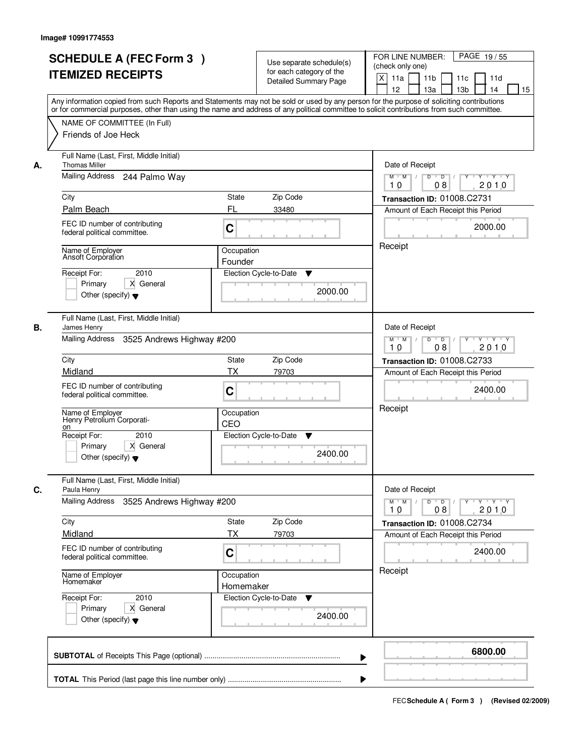|    | <b>SCHEDULE A (FEC Form 3)</b><br><b>ITEMIZED RECEIPTS</b><br>Any information copied from such Reports and Statements may not be sold or used by any person for the purpose of soliciting contributions |                                                      | Use separate schedule(s)<br>for each category of the<br><b>Detailed Summary Page</b> | PAGE 19/55<br>FOR LINE NUMBER:<br>(check only one)<br>X<br>11 <sub>b</sub><br>11a<br>11c<br>11d<br>12<br>13 <sub>b</sub><br>13a<br>14<br>15 |  |
|----|---------------------------------------------------------------------------------------------------------------------------------------------------------------------------------------------------------|------------------------------------------------------|--------------------------------------------------------------------------------------|---------------------------------------------------------------------------------------------------------------------------------------------|--|
|    | or for commercial purposes, other than using the name and address of any political committee to solicit contributions from such committee.<br>NAME OF COMMITTEE (In Full)<br>Friends of Joe Heck        |                                                      |                                                                                      |                                                                                                                                             |  |
| А. | Full Name (Last, First, Middle Initial)<br><b>Thomas Miller</b><br>Mailing Address 244 Palmo Way                                                                                                        |                                                      |                                                                                      | Date of Receipt<br>$M$ $M$ /<br>$D$ $D$ $1$<br>$\overline{Y}$<br>Y Y Y Y<br>2010<br>10<br>08                                                |  |
|    | City                                                                                                                                                                                                    | State                                                | Zip Code                                                                             | Transaction ID: 01008.C2731                                                                                                                 |  |
|    | Palm Beach                                                                                                                                                                                              | FL                                                   | 33480                                                                                | Amount of Each Receipt this Period                                                                                                          |  |
|    | FEC ID number of contributing<br>federal political committee.                                                                                                                                           | C                                                    |                                                                                      | 2000.00                                                                                                                                     |  |
|    | Name of Employer<br>Ansoft Corporation<br>2010<br>Receipt For:                                                                                                                                          | Occupation<br>Founder<br>Election Cycle-to-Date<br>▼ |                                                                                      |                                                                                                                                             |  |
|    | X General<br>Primary<br>Other (specify) $\blacktriangledown$                                                                                                                                            |                                                      | 2000.00                                                                              |                                                                                                                                             |  |
| В. | Full Name (Last, First, Middle Initial)<br>James Henry<br>Mailing Address 3525 Andrews Highway #200                                                                                                     |                                                      |                                                                                      | Date of Receipt<br>$Y \vdash Y \vdash Y$<br>$M$ $M$ /<br>D<br>$\overline{\phantom{0}}$ D<br>Y                                               |  |
|    |                                                                                                                                                                                                         |                                                      |                                                                                      | 2010<br>08<br>10                                                                                                                            |  |
|    | City                                                                                                                                                                                                    | <b>State</b>                                         | Zip Code                                                                             | <b>Transaction ID: 01008.C2733</b>                                                                                                          |  |
|    | Midland<br>FEC ID number of contributing<br>federal political committee.                                                                                                                                | <b>TX</b><br>C                                       | 79703                                                                                | Amount of Each Receipt this Period<br>2400.00                                                                                               |  |
|    | Name of Employer<br>Henry Petrolium Corporati-<br>on                                                                                                                                                    | Occupation<br>CEO                                    |                                                                                      | Receipt                                                                                                                                     |  |
|    | Receipt For:<br>2010<br>X General<br>Primary<br>Other (specify) $\blacktriangledown$                                                                                                                    |                                                      | Election Cycle-to-Date<br>v<br>2400.00                                               |                                                                                                                                             |  |
| C. | Full Name (Last, First, Middle Initial)<br>Paula Henry<br>Mailing Address<br>3525 Andrews Highway #200                                                                                                  |                                                      |                                                                                      | Date of Receipt<br>$D$ $D$ $/$<br>$M$ $M$ /<br>$Y + Y + Y$<br>$Y^{\top}$<br>2010<br>10<br>08                                                |  |
|    | City                                                                                                                                                                                                    | State                                                | Zip Code                                                                             | Transaction ID: 01008.C2734                                                                                                                 |  |
|    | Midland                                                                                                                                                                                                 | ТX                                                   | 79703                                                                                | Amount of Each Receipt this Period                                                                                                          |  |
|    | FEC ID number of contributing<br>federal political committee.                                                                                                                                           | C                                                    |                                                                                      | 2400.00                                                                                                                                     |  |
|    | Name of Employer<br>Homemaker                                                                                                                                                                           | Occupation<br>Homemaker                              |                                                                                      | Receipt                                                                                                                                     |  |
|    | Receipt For:<br>2010<br>Primary<br>X General<br>Other (specify) $\blacktriangledown$                                                                                                                    |                                                      | Election Cycle-to-Date<br>v<br>2400.00                                               |                                                                                                                                             |  |
|    |                                                                                                                                                                                                         |                                                      | ▶                                                                                    | 6800.00                                                                                                                                     |  |
|    |                                                                                                                                                                                                         |                                                      |                                                                                      |                                                                                                                                             |  |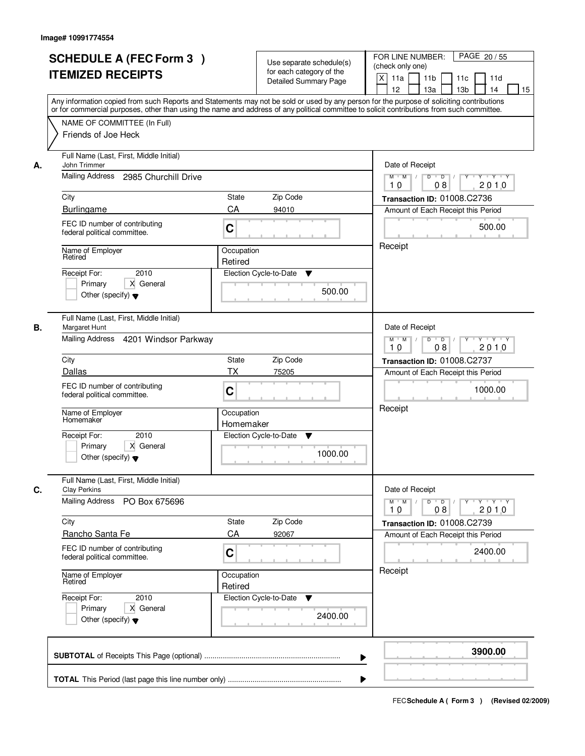|    | <b>SCHEDULE A (FEC Form 3)</b><br><b>ITEMIZED RECEIPTS</b><br>Any information copied from such Reports and Statements may not be sold or used by any person for the purpose of soliciting contributions<br>or for commercial purposes, other than using the name and address of any political committee to solicit contributions from such committee. |                                                                              | Use separate schedule(s)<br>for each category of the<br><b>Detailed Summary Page</b> | PAGE 20 / 55<br>FOR LINE NUMBER:<br>(check only one)<br>$\boldsymbol{\mathsf{X}}$<br>11a<br>11 <sub>b</sub><br>11c<br>11d<br>12<br>13 <sub>b</sub><br>13a<br>14<br>15 |
|----|-------------------------------------------------------------------------------------------------------------------------------------------------------------------------------------------------------------------------------------------------------------------------------------------------------------------------------------------------------|------------------------------------------------------------------------------|--------------------------------------------------------------------------------------|-----------------------------------------------------------------------------------------------------------------------------------------------------------------------|
|    | NAME OF COMMITTEE (In Full)<br>Friends of Joe Heck                                                                                                                                                                                                                                                                                                    |                                                                              |                                                                                      |                                                                                                                                                                       |
| А. | Full Name (Last, First, Middle Initial)<br><b>John Trimmer</b><br>Mailing Address 2985 Churchill Drive                                                                                                                                                                                                                                                | Date of Receipt<br>$Y$ $Y$ $Y$<br>$M$ $M$ /<br>$D$ $D$ $1$<br>$\overline{Y}$ |                                                                                      |                                                                                                                                                                       |
|    | City                                                                                                                                                                                                                                                                                                                                                  | State                                                                        | Zip Code                                                                             | 2010<br>10<br>08<br>Transaction ID: 01008.C2736                                                                                                                       |
|    | <b>Burlingame</b>                                                                                                                                                                                                                                                                                                                                     | CA                                                                           | 94010                                                                                | Amount of Each Receipt this Period                                                                                                                                    |
|    | FEC ID number of contributing<br>federal political committee.                                                                                                                                                                                                                                                                                         | C                                                                            |                                                                                      | 500.00                                                                                                                                                                |
|    | Name of Employer<br>Retired                                                                                                                                                                                                                                                                                                                           | Occupation<br>Retired                                                        |                                                                                      | Receipt                                                                                                                                                               |
|    | 2010<br>Receipt For:<br>X General<br>Primary<br>Other (specify) $\blacktriangledown$                                                                                                                                                                                                                                                                  |                                                                              | Election Cycle-to-Date<br>▼<br>500.00                                                |                                                                                                                                                                       |
| В. | Full Name (Last, First, Middle Initial)<br>Margaret Hunt<br>Mailing Address 4201 Windsor Parkway                                                                                                                                                                                                                                                      |                                                                              |                                                                                      | Date of Receipt<br>Y<br>$Y \vdash Y \vdash Y$<br>$M$ $M$ /<br>D<br>$\overline{D}$ /<br>2010<br>08<br>10                                                               |
|    | City                                                                                                                                                                                                                                                                                                                                                  | <b>State</b>                                                                 | Zip Code                                                                             | Transaction ID: 01008.C2737                                                                                                                                           |
|    | Dallas                                                                                                                                                                                                                                                                                                                                                | <b>TX</b>                                                                    | 75205                                                                                | Amount of Each Receipt this Period                                                                                                                                    |
|    | FEC ID number of contributing<br>federal political committee.                                                                                                                                                                                                                                                                                         | C                                                                            |                                                                                      | 1000.00                                                                                                                                                               |
|    | Name of Employer<br>Homemaker                                                                                                                                                                                                                                                                                                                         | Occupation<br>Homemaker                                                      |                                                                                      | Receipt                                                                                                                                                               |
|    | Receipt For:<br>2010<br>Primary<br>X General<br>Other (specify) $\blacktriangledown$                                                                                                                                                                                                                                                                  |                                                                              | Election Cycle-to-Date<br>Y<br>1000.00                                               |                                                                                                                                                                       |
| C. | Full Name (Last, First, Middle Initial)<br><b>Clay Perkins</b>                                                                                                                                                                                                                                                                                        |                                                                              |                                                                                      | Date of Receipt                                                                                                                                                       |
|    | Mailing Address<br>PO Box 675696                                                                                                                                                                                                                                                                                                                      |                                                                              |                                                                                      | $D$ $D$ $/$<br>$M$ $M$ /<br>$Y$ <sup>-1</sup><br>$Y + Y + Y$<br>2010<br>10<br>08                                                                                      |
|    | City<br><b>Rancho Santa Fe</b>                                                                                                                                                                                                                                                                                                                        | State<br>CA                                                                  | Zip Code<br>92067                                                                    | Transaction ID: 01008.C2739<br>Amount of Each Receipt this Period                                                                                                     |
|    | FEC ID number of contributing<br>federal political committee.                                                                                                                                                                                                                                                                                         | C                                                                            |                                                                                      | 2400.00                                                                                                                                                               |
|    | Name of Employer<br>Retired                                                                                                                                                                                                                                                                                                                           | Occupation<br>Retired                                                        |                                                                                      | Receipt                                                                                                                                                               |
|    | Receipt For:<br>2010<br>Primary<br>X General<br>Other (specify) $\blacktriangledown$                                                                                                                                                                                                                                                                  |                                                                              | Election Cycle-to-Date<br>v<br>2400.00                                               |                                                                                                                                                                       |
|    |                                                                                                                                                                                                                                                                                                                                                       |                                                                              | ▶                                                                                    | 3900.00                                                                                                                                                               |
|    |                                                                                                                                                                                                                                                                                                                                                       |                                                                              |                                                                                      |                                                                                                                                                                       |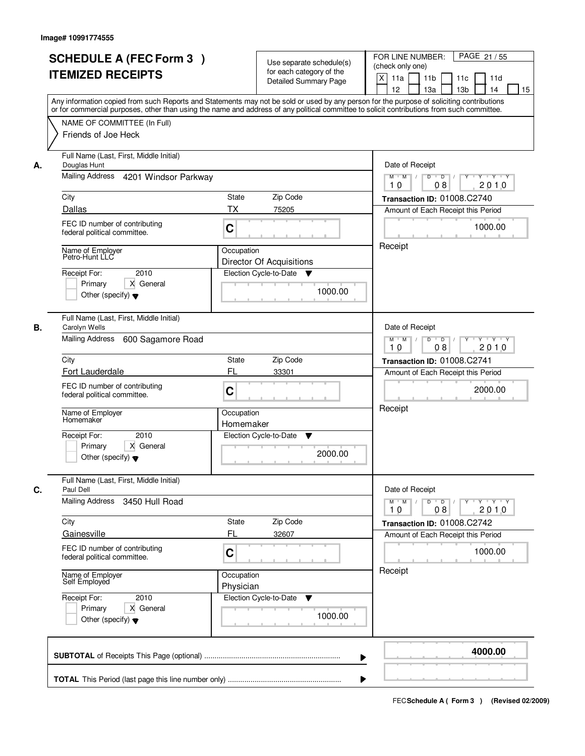|    | <b>SCHEDULE A (FEC Form 3)</b><br><b>ITEMIZED RECEIPTS</b>                                                                                                                                                                                                                              |                                               | Use separate schedule(s)<br>for each category of the | PAGE 21/55<br>FOR LINE NUMBER:<br>(check only one)                                             |  |  |
|----|-----------------------------------------------------------------------------------------------------------------------------------------------------------------------------------------------------------------------------------------------------------------------------------------|-----------------------------------------------|------------------------------------------------------|------------------------------------------------------------------------------------------------|--|--|
|    |                                                                                                                                                                                                                                                                                         |                                               | <b>Detailed Summary Page</b>                         | X<br>11a<br>11 <sub>b</sub><br>11c<br>11d<br>12<br>13 <sub>b</sub><br>13a<br>14<br>15          |  |  |
|    | Any information copied from such Reports and Statements may not be sold or used by any person for the purpose of soliciting contributions<br>or for commercial purposes, other than using the name and address of any political committee to solicit contributions from such committee. |                                               |                                                      |                                                                                                |  |  |
|    | NAME OF COMMITTEE (In Full)<br>Friends of Joe Heck                                                                                                                                                                                                                                      |                                               |                                                      |                                                                                                |  |  |
| А. | Full Name (Last, First, Middle Initial)<br>Douglas Hunt                                                                                                                                                                                                                                 |                                               |                                                      |                                                                                                |  |  |
|    | Mailing Address 4201 Windsor Parkway                                                                                                                                                                                                                                                    |                                               |                                                      | $M$ $M$ /<br>$D$ $D$ $/$<br>$\overline{Y}$<br>Y 'Y 'Y<br>2010<br>10<br>08                      |  |  |
|    | City                                                                                                                                                                                                                                                                                    | State<br>Zip Code                             |                                                      | Transaction ID: 01008.C2740                                                                    |  |  |
|    | Dallas                                                                                                                                                                                                                                                                                  | ТX<br>75205                                   |                                                      | Amount of Each Receipt this Period                                                             |  |  |
|    | FEC ID number of contributing<br>federal political committee.                                                                                                                                                                                                                           | C                                             |                                                      | 1000.00<br>Receipt                                                                             |  |  |
|    | Name of Employer<br>Petro-Hunt LLC                                                                                                                                                                                                                                                      | Occupation<br><b>Director Of Acquisitions</b> |                                                      |                                                                                                |  |  |
|    | 2010<br>Receipt For:                                                                                                                                                                                                                                                                    | Election Cycle-to-Date                        | ▼                                                    |                                                                                                |  |  |
|    | X General<br>Primary<br>Other (specify) $\blacktriangledown$                                                                                                                                                                                                                            |                                               | 1000.00                                              |                                                                                                |  |  |
| В. | Full Name (Last, First, Middle Initial)<br>Carolyn Wells                                                                                                                                                                                                                                |                                               |                                                      | Date of Receipt                                                                                |  |  |
|    | Mailing Address<br>600 Sagamore Road                                                                                                                                                                                                                                                    |                                               |                                                      | $Y \vdash Y \vdash Y$<br>$M$ $M$ /<br>D<br>$\overline{\phantom{0}}$ D<br>Y<br>2010<br>08<br>10 |  |  |
|    | City                                                                                                                                                                                                                                                                                    | Zip Code<br><b>State</b>                      |                                                      | Transaction ID: 01008.C2741                                                                    |  |  |
|    | Fort Lauderdale                                                                                                                                                                                                                                                                         | FL<br>33301                                   |                                                      | Amount of Each Receipt this Period                                                             |  |  |
|    | FEC ID number of contributing<br>federal political committee.                                                                                                                                                                                                                           | C                                             |                                                      | 2000.00                                                                                        |  |  |
|    | Name of Employer<br>Homemaker                                                                                                                                                                                                                                                           | Occupation<br>Homemaker                       |                                                      | Receipt                                                                                        |  |  |
|    | Receipt For:<br>2010                                                                                                                                                                                                                                                                    | Election Cycle-to-Date                        | Y                                                    |                                                                                                |  |  |
|    | X General<br>Primary<br>Other (specify) $\blacktriangledown$                                                                                                                                                                                                                            |                                               | 2000.00                                              |                                                                                                |  |  |
| C. | Full Name (Last, First, Middle Initial)<br>Paul Dell                                                                                                                                                                                                                                    |                                               |                                                      | Date of Receipt                                                                                |  |  |
|    | <b>Mailing Address</b><br>3450 Hull Road                                                                                                                                                                                                                                                |                                               |                                                      | $D$ $D$ $/$<br>$M$ $M$ /<br>$Y + Y + Y$<br>Y "<br>2010<br>10<br>08                             |  |  |
|    | City                                                                                                                                                                                                                                                                                    | Zip Code<br>State                             |                                                      | Transaction ID: 01008.C2742                                                                    |  |  |
|    | Gainesville                                                                                                                                                                                                                                                                             | FL<br>32607                                   |                                                      | Amount of Each Receipt this Period                                                             |  |  |
|    | FEC ID number of contributing<br>federal political committee.                                                                                                                                                                                                                           | C                                             |                                                      | 1000.00                                                                                        |  |  |
|    | Name of Employer<br>Self Employed                                                                                                                                                                                                                                                       | Occupation<br>Physician                       |                                                      | Receipt                                                                                        |  |  |
|    | Receipt For:<br>2010                                                                                                                                                                                                                                                                    | Election Cycle-to-Date                        | v                                                    |                                                                                                |  |  |
|    | Primary<br>X General<br>Other (specify) $\blacktriangledown$                                                                                                                                                                                                                            |                                               | 1000.00                                              |                                                                                                |  |  |
|    |                                                                                                                                                                                                                                                                                         |                                               | ▶                                                    | 4000.00                                                                                        |  |  |
|    |                                                                                                                                                                                                                                                                                         |                                               |                                                      |                                                                                                |  |  |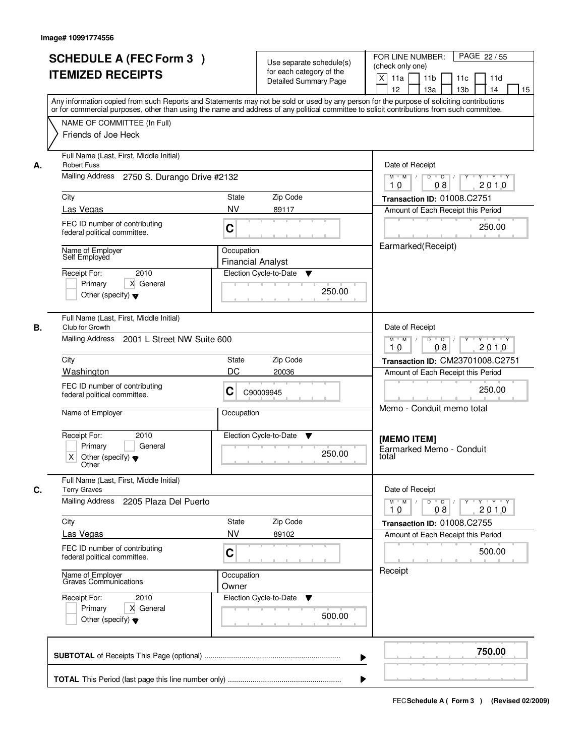|    | <b>SCHEDULE A (FEC Form 3)</b><br><b>ITEMIZED RECEIPTS</b><br>Any information copied from such Reports and Statements may not be sold or used by any person for the purpose of soliciting contributions |                                         | Use separate schedule(s)<br>for each category of the<br><b>Detailed Summary Page</b> | PAGE 22/55<br>FOR LINE NUMBER:<br>(check only one)<br>X<br>11 <sub>b</sub><br>11a<br>11 <sub>c</sub><br>11d<br>12<br>13 <sub>b</sub><br>14<br>13a<br>15 |  |
|----|---------------------------------------------------------------------------------------------------------------------------------------------------------------------------------------------------------|-----------------------------------------|--------------------------------------------------------------------------------------|---------------------------------------------------------------------------------------------------------------------------------------------------------|--|
|    | or for commercial purposes, other than using the name and address of any political committee to solicit contributions from such committee.<br>NAME OF COMMITTEE (In Full)<br>Friends of Joe Heck        |                                         |                                                                                      |                                                                                                                                                         |  |
| А. | Full Name (Last, First, Middle Initial)<br><b>Robert Fuss</b><br>Mailing Address 2750 S. Durango Drive #2132                                                                                            |                                         |                                                                                      | Date of Receipt<br>$M$ $M$ /<br>$D$ $D$ $I$<br>Y<br>$Y - Y - Y - Y$                                                                                     |  |
|    |                                                                                                                                                                                                         |                                         |                                                                                      | 08<br>2010<br>10                                                                                                                                        |  |
|    | City<br>Las Vegas                                                                                                                                                                                       | Zip Code<br>State<br><b>NV</b><br>89117 |                                                                                      | Transaction ID: 01008.C2751<br>Amount of Each Receipt this Period                                                                                       |  |
|    | FEC ID number of contributing<br>federal political committee.                                                                                                                                           | C                                       |                                                                                      | 250.00                                                                                                                                                  |  |
|    | Name of Employer<br>Self Employed                                                                                                                                                                       | Occupation<br><b>Financial Analyst</b>  |                                                                                      | Earmarked(Receipt)                                                                                                                                      |  |
|    | 2010<br>Receipt For:<br>X General<br>Primary<br>Other (specify) $\blacktriangledown$                                                                                                                    | Election Cycle-to-Date                  | ▼<br>250.00                                                                          |                                                                                                                                                         |  |
| В. | Full Name (Last, First, Middle Initial)<br>Club for Growth<br>Mailing Address<br>2001 L Street NW Suite 600                                                                                             |                                         |                                                                                      | Date of Receipt<br>Y Y Y Y<br>$M$ $M$ /<br>D<br>$\overline{D}$ /<br>Y                                                                                   |  |
|    |                                                                                                                                                                                                         |                                         |                                                                                      | 08<br>2010<br>10                                                                                                                                        |  |
|    | City<br>Washington                                                                                                                                                                                      | Zip Code<br>State<br>DC<br>20036        |                                                                                      | Transaction ID: CM23701008.C2751                                                                                                                        |  |
|    | FEC ID number of contributing<br>С<br>C90009945<br>federal political committee.                                                                                                                         |                                         |                                                                                      | Amount of Each Receipt this Period<br>250.00                                                                                                            |  |
|    | Name of Employer                                                                                                                                                                                        | Occupation                              |                                                                                      | Memo - Conduit memo total                                                                                                                               |  |
|    | Receipt For:<br>2010<br>General<br>Primary<br>Χ<br>Other (specify) $\blacktriangledown$<br>Other                                                                                                        | Election Cycle-to-Date                  | v<br>250.00                                                                          | [MEMO ITEM]<br>Earmarked Memo - Conduit<br>total                                                                                                        |  |
| C. | Full Name (Last, First, Middle Initial)<br><b>Terry Graves</b>                                                                                                                                          |                                         |                                                                                      | Date of Receipt                                                                                                                                         |  |
|    | Mailing Address 2205 Plaza Del Puerto                                                                                                                                                                   |                                         |                                                                                      | $M$ $M$<br>$D$ $D$ $/$<br>y y y y y y<br>2010<br>10<br>08                                                                                               |  |
|    | City<br>Las Vegas                                                                                                                                                                                       | Zip Code<br>State<br><b>NV</b><br>89102 |                                                                                      | Transaction ID: 01008.C2755<br>Amount of Each Receipt this Period                                                                                       |  |
|    | FEC ID number of contributing<br>federal political committee.                                                                                                                                           | C                                       |                                                                                      | 500.00                                                                                                                                                  |  |
|    | Name of Employer<br>Graves Communications                                                                                                                                                               | Occupation<br>Owner                     |                                                                                      | Receipt                                                                                                                                                 |  |
|    | Receipt For:<br>2010<br>Primary<br>X General<br>Other (specify) $\blacktriangledown$                                                                                                                    | Election Cycle-to-Date ▼                | 500.00                                                                               |                                                                                                                                                         |  |
|    |                                                                                                                                                                                                         |                                         |                                                                                      | 750.00                                                                                                                                                  |  |
|    |                                                                                                                                                                                                         |                                         |                                                                                      |                                                                                                                                                         |  |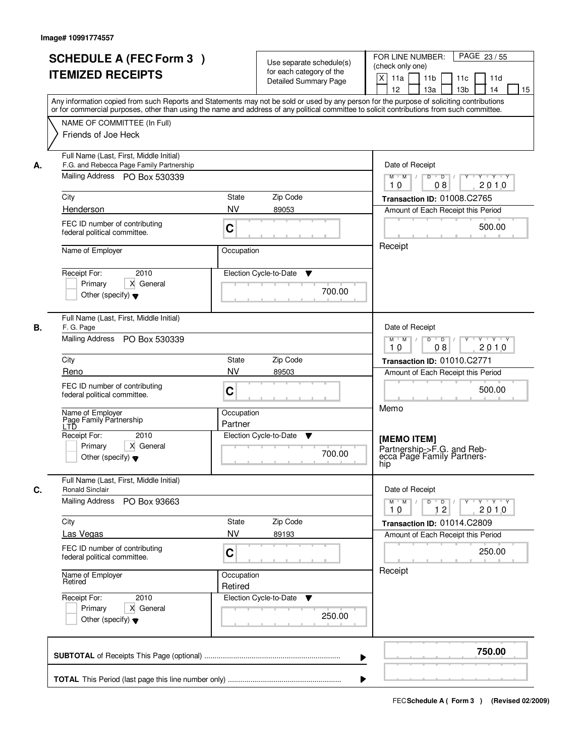|    | <b>SCHEDULE A (FEC Form 3)</b><br><b>ITEMIZED RECEIPTS</b><br>Any information copied from such Reports and Statements may not be sold or used by any person for the purpose of soliciting contributions<br>or for commercial purposes, other than using the name and address of any political committee to solicit contributions from such committee. |                                              | Use separate schedule(s)<br>for each category of the<br>Detailed Summary Page | PAGE 23 / 55<br>FOR LINE NUMBER:<br>(check only one)<br>$\mathsf{X}$<br>11a<br>11 <sub>b</sub><br>11c<br>11d<br>13 <sub>b</sub><br>12<br>13a<br>14<br>15                                            |
|----|-------------------------------------------------------------------------------------------------------------------------------------------------------------------------------------------------------------------------------------------------------------------------------------------------------------------------------------------------------|----------------------------------------------|-------------------------------------------------------------------------------|-----------------------------------------------------------------------------------------------------------------------------------------------------------------------------------------------------|
|    | NAME OF COMMITTEE (In Full)<br>Friends of Joe Heck                                                                                                                                                                                                                                                                                                    |                                              |                                                                               |                                                                                                                                                                                                     |
| А. | Full Name (Last, First, Middle Initial)<br>F.G. and Rebecca Page Family Partnership<br>Mailing Address PO Box 530339<br>City<br>Henderson<br>FEC ID number of contributing<br>federal political committee.<br>Name of Employer                                                                                                                        | State<br><b>NV</b><br>C<br>Occupation        | Zip Code<br>89053                                                             | Date of Receipt<br>$D \cup D \mid / \mid \mathbf{Y} \mid$<br>$Y - Y - Y$<br>$M$ $M$ /<br>2010<br>10<br>08<br>Transaction ID: 01008.C2765<br>Amount of Each Receipt this Period<br>500.00<br>Receipt |
|    | 2010<br>Receipt For:<br>X General<br>Primary<br>Other (specify) $\blacktriangledown$                                                                                                                                                                                                                                                                  |                                              | Election Cycle-to-Date<br>▼<br>700.00                                         |                                                                                                                                                                                                     |
| В. | Full Name (Last, First, Middle Initial)<br>F. G. Page<br>Mailing Address PO Box 530339                                                                                                                                                                                                                                                                |                                              |                                                                               | Date of Receipt<br>$Y - Y - Y$<br>$M$ $M$ /<br>D<br>$\overline{D}$ /<br>2010<br>08<br>10                                                                                                            |
|    | City<br>Reno<br>FEC ID number of contributing<br>federal political committee.<br>Name of Employer<br>Page Family Partnership                                                                                                                                                                                                                          | <b>State</b><br><b>NV</b><br>C<br>Occupation | Zip Code<br>89503                                                             | Transaction ID: 01010.C2771<br>Amount of Each Receipt this Period<br>500.00<br>Memo                                                                                                                 |
|    | I TĎ<br>Receipt For:<br>2010<br>Primary<br>X General<br>Other (specify) $\blacktriangledown$                                                                                                                                                                                                                                                          | Partner                                      | Election Cycle-to-Date<br>v<br>700.00                                         | [MEMO ITEM]<br>Partnership->F.G. and Reb-<br>ecca Page Family Partners-<br>hip                                                                                                                      |
| C. | Full Name (Last, First, Middle Initial)<br><b>Ronald Sinclair</b><br><b>Mailing Address</b><br>PO Box 93663                                                                                                                                                                                                                                           |                                              |                                                                               | Date of Receipt<br>$M$ $M$<br>$D$ $D$ $I$<br><u>y y y y y</u><br>12<br>2010<br>10                                                                                                                   |
|    | City<br>Las Vegas<br>FEC ID number of contributing<br>federal political committee.                                                                                                                                                                                                                                                                    | <b>State</b><br><b>NV</b><br>C               | Zip Code<br>89193                                                             | Transaction ID: 01014.C2809<br>Amount of Each Receipt this Period<br>250.00                                                                                                                         |
|    | Name of Employer<br>Retired<br>Receipt For:<br>2010<br>Primary<br>X General<br>Other (specify) $\blacktriangledown$                                                                                                                                                                                                                                   | Occupation<br>Retired                        | Election Cycle-to-Date<br>v<br>250.00                                         | Receipt                                                                                                                                                                                             |
|    |                                                                                                                                                                                                                                                                                                                                                       |                                              | ▶                                                                             | 750.00                                                                                                                                                                                              |
|    |                                                                                                                                                                                                                                                                                                                                                       |                                              |                                                                               |                                                                                                                                                                                                     |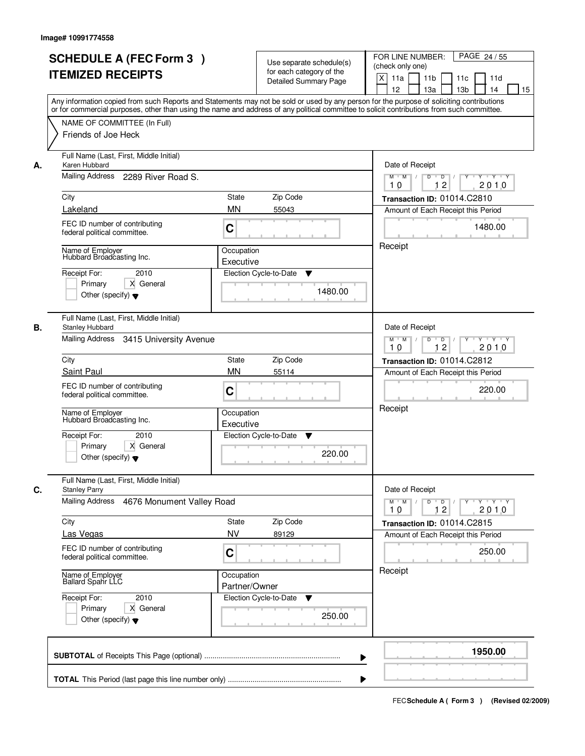|                                                                       | <b>SCHEDULE A (FEC Form 3)</b><br><b>ITEMIZED RECEIPTS</b>                                                                                                         |                              | Use separate schedule(s)<br>for each category of the<br><b>Detailed Summary Page</b> | PAGE 24 / 55<br>FOR LINE NUMBER:<br>(check only one)<br>X<br>11a<br>11 <sub>b</sub><br>11c<br>11d<br>12<br>13 <sub>b</sub><br>13a<br>14<br>15<br>Any information copied from such Reports and Statements may not be sold or used by any person for the purpose of soliciting contributions<br>or for commercial purposes, other than using the name and address of any political committee to solicit contributions from such committee. |
|-----------------------------------------------------------------------|--------------------------------------------------------------------------------------------------------------------------------------------------------------------|------------------------------|--------------------------------------------------------------------------------------|------------------------------------------------------------------------------------------------------------------------------------------------------------------------------------------------------------------------------------------------------------------------------------------------------------------------------------------------------------------------------------------------------------------------------------------|
|                                                                       | NAME OF COMMITTEE (In Full)<br>Friends of Joe Heck                                                                                                                 |                              |                                                                                      |                                                                                                                                                                                                                                                                                                                                                                                                                                          |
| Karen Hubbard<br>А.<br>City<br>Lakeland                               | Full Name (Last, First, Middle Initial)<br>Mailing Address 2289 River Road S.<br>FEC ID number of contributing                                                     | State<br><b>MN</b>           | Zip Code<br>55043                                                                    | Date of Receipt<br>$M$ $M$<br>$D$ $D$ $/$<br>$\overline{Y}$<br>Y Y Y Y<br>12<br>2010<br>10<br>Transaction ID: 01014.C2810<br>Amount of Each Receipt this Period<br>1480.00                                                                                                                                                                                                                                                               |
| Receipt For:                                                          | federal political committee.<br>Name of Employer<br>Hubbard Broadcasting Inc.<br>2010<br>Primary<br>X General<br>Other (specify) $\blacktriangledown$              | C<br>Occupation<br>Executive | Election Cycle-to-Date<br>▼<br>1480.00                                               | Receipt                                                                                                                                                                                                                                                                                                                                                                                                                                  |
| <b>Stanley Hubbard</b><br>В.<br>Mailing Address<br>City<br>Saint Paul | Full Name (Last, First, Middle Initial)<br>3415 University Avenue                                                                                                  | <b>State</b><br><b>MN</b>    | Zip Code<br>55114                                                                    | Date of Receipt<br>$M$ $M$ /<br>Y<br>$Y \vdash Y \vdash Y$<br>D<br>$\Box$<br>12<br>2010<br>10<br>Transaction ID: 01014.C2812<br>Amount of Each Receipt this Period                                                                                                                                                                                                                                                                       |
| Name of Employer<br>Receipt For:                                      | FEC ID number of contributing<br>federal political committee.<br>Hubbard Broadcasting Inc.<br>2010<br>Primary<br>X General<br>Other (specify) $\blacktriangledown$ | C<br>Occupation<br>Executive | Election Cycle-to-Date<br>v<br>220.00                                                | 220.00<br>Receipt                                                                                                                                                                                                                                                                                                                                                                                                                        |
| C.<br><b>Stanley Parry</b><br>Mailing Address                         | Full Name (Last, First, Middle Initial)<br>4676 Monument Valley Road                                                                                               |                              |                                                                                      | Date of Receipt<br>$D$ $D$ $l$<br>$M$ $M$ /<br>$Y$ <sup>U</sup><br>$Y + Y + Y$<br>12<br>2010<br>10                                                                                                                                                                                                                                                                                                                                       |
| City<br>Las Vegas                                                     | FEC ID number of contributing<br>federal political committee.                                                                                                      | State<br><b>NV</b><br>C      | Zip Code<br>89129                                                                    | Transaction ID: 01014.C2815<br>Amount of Each Receipt this Period<br>250.00                                                                                                                                                                                                                                                                                                                                                              |
| Name of Employer<br>Ballard Spahr LLC<br>Receipt For:                 | 2010<br>Primary<br>X General<br>Other (specify) $\blacktriangledown$                                                                                               | Occupation<br>Partner/Owner  | Election Cycle-to-Date<br>v<br>250.00                                                | Receipt                                                                                                                                                                                                                                                                                                                                                                                                                                  |
|                                                                       |                                                                                                                                                                    |                              |                                                                                      | 1950.00                                                                                                                                                                                                                                                                                                                                                                                                                                  |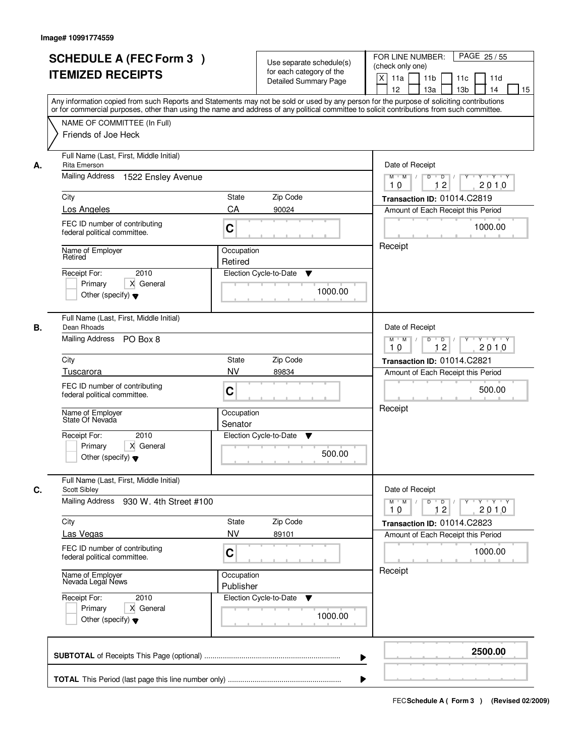|    | <b>SCHEDULE A (FEC Form 3)</b><br><b>ITEMIZED RECEIPTS</b><br>Any information copied from such Reports and Statements may not be sold or used by any person for the purpose of soliciting contributions<br>or for commercial purposes, other than using the name and address of any political committee to solicit contributions from such committee. | Use separate schedule(s)<br>for each category of the<br><b>Detailed Summary Page</b> |                  | PAGE 25 / 55<br>FOR LINE NUMBER:<br>(check only one)<br>$\mathsf{X}$<br>11 <sub>b</sub><br>11a<br>11c<br>11d<br>12<br>13 <sub>b</sub><br>14<br>13a<br>15                    |
|----|-------------------------------------------------------------------------------------------------------------------------------------------------------------------------------------------------------------------------------------------------------------------------------------------------------------------------------------------------------|--------------------------------------------------------------------------------------|------------------|-----------------------------------------------------------------------------------------------------------------------------------------------------------------------------|
|    | NAME OF COMMITTEE (In Full)<br>Friends of Joe Heck                                                                                                                                                                                                                                                                                                    |                                                                                      |                  |                                                                                                                                                                             |
| А. | Full Name (Last, First, Middle Initial)<br>Rita Emerson<br>Mailing Address 1522 Ensley Avenue                                                                                                                                                                                                                                                         |                                                                                      |                  | Date of Receipt<br>$D$ $D$ $/$<br>$Y + Y + Y$<br>$M$ $M$ /<br>$Y^+$                                                                                                         |
|    |                                                                                                                                                                                                                                                                                                                                                       |                                                                                      | 12<br>2010<br>10 |                                                                                                                                                                             |
|    | City<br>Los Angeles                                                                                                                                                                                                                                                                                                                                   | State<br>Zip Code<br>CA<br>90024                                                     |                  | Transaction ID: 01014.C2819<br>Amount of Each Receipt this Period                                                                                                           |
|    | FEC ID number of contributing<br>federal political committee.                                                                                                                                                                                                                                                                                         | C                                                                                    |                  | 1000.00                                                                                                                                                                     |
|    | Name of Employer<br>Retired                                                                                                                                                                                                                                                                                                                           | Occupation<br>Retired                                                                |                  | Receipt                                                                                                                                                                     |
|    | 2010<br>Receipt For:<br>X General<br>Primary<br>Other (specify) $\blacktriangledown$                                                                                                                                                                                                                                                                  | Election Cycle-to-Date<br>▼                                                          | 1000.00          |                                                                                                                                                                             |
| В. | Full Name (Last, First, Middle Initial)<br>Dean Rhoads<br>Mailing Address PO Box 8                                                                                                                                                                                                                                                                    |                                                                                      |                  | Date of Receipt<br>$\mathsf D$<br>$Y \vdash Y \vdash Y$<br>$M$ $M$ /<br>$\overline{D}$ /<br>Y                                                                               |
|    |                                                                                                                                                                                                                                                                                                                                                       |                                                                                      |                  | 12<br>2010<br>10                                                                                                                                                            |
|    | City<br>Tuscarora                                                                                                                                                                                                                                                                                                                                     | Zip Code<br><b>State</b><br><b>NV</b><br>89834                                       |                  | Transaction ID: 01014.C2821<br>Amount of Each Receipt this Period                                                                                                           |
|    | FEC ID number of contributing<br>federal political committee.                                                                                                                                                                                                                                                                                         | C                                                                                    |                  | 500.00                                                                                                                                                                      |
|    | Name of Employer<br>State Of Nevada                                                                                                                                                                                                                                                                                                                   | Occupation<br>Senator                                                                |                  | Receipt                                                                                                                                                                     |
|    | Receipt For:<br>2010<br>Primary<br>X General<br>Other (specify) $\blacktriangledown$                                                                                                                                                                                                                                                                  | Election Cycle-to-Date<br>v                                                          | 500.00           |                                                                                                                                                                             |
| C. | Full Name (Last, First, Middle Initial)<br>Scott Sibley                                                                                                                                                                                                                                                                                               |                                                                                      |                  | Date of Receipt                                                                                                                                                             |
|    | Mailing Address<br>930 W. 4th Street #100                                                                                                                                                                                                                                                                                                             |                                                                                      |                  | $D$ $D$ $/$<br>$\begin{array}{ccccccccccccc} &\mathsf{Y} &\mathsf{I} &\mathsf{Y} &\mathsf{I} &\mathsf{Y} &\mathsf{I} &\mathsf{Y}\end{array}$<br>$M$ $M$<br>10<br>12<br>2010 |
|    | City<br>Las Vegas                                                                                                                                                                                                                                                                                                                                     | Zip Code<br>State<br><b>NV</b><br>89101                                              |                  | Transaction ID: 01014.C2823<br>Amount of Each Receipt this Period                                                                                                           |
|    | FEC ID number of contributing<br>federal political committee.                                                                                                                                                                                                                                                                                         | C                                                                                    |                  | 1000.00                                                                                                                                                                     |
|    | Name of Employer<br>Nevada Legal News                                                                                                                                                                                                                                                                                                                 | Occupation<br>Publisher                                                              |                  | Receipt                                                                                                                                                                     |
|    | Receipt For:<br>2010<br>Primary<br>X General<br>Other (specify) $\blacktriangledown$                                                                                                                                                                                                                                                                  | Election Cycle-to-Date<br>v                                                          | 1000.00          |                                                                                                                                                                             |
|    |                                                                                                                                                                                                                                                                                                                                                       |                                                                                      | ▶                | 2500.00                                                                                                                                                                     |
|    |                                                                                                                                                                                                                                                                                                                                                       |                                                                                      |                  |                                                                                                                                                                             |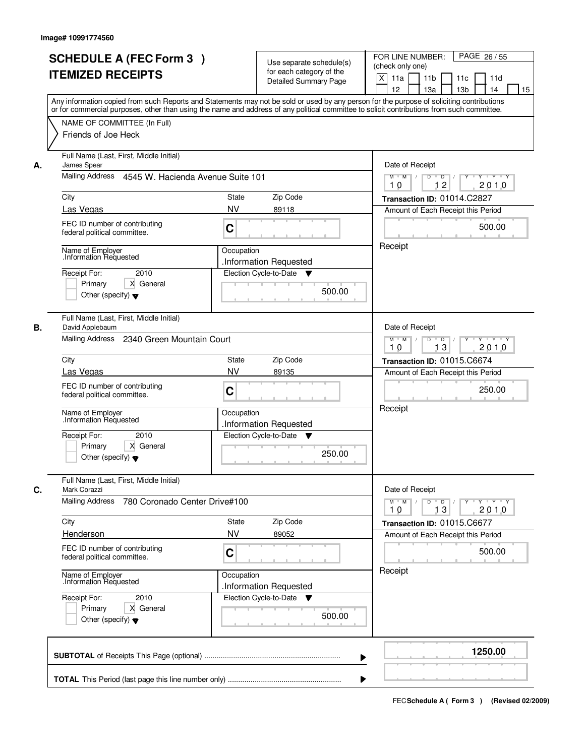|    | <b>SCHEDULE A (FEC Form 3)</b><br><b>ITEMIZED RECEIPTS</b>                                                                        | Use separate schedule(s)<br>for each category of the<br><b>Detailed Summary Page</b><br>Any information copied from such Reports and Statements may not be sold or used by any person for the purpose of soliciting contributions | PAGE 26/55<br>FOR LINE NUMBER:<br>(check only one)<br>X<br>11 <sub>b</sub><br>11a<br>11 <sub>c</sub><br>11d<br>12<br>13 <sub>b</sub><br>13a<br>14<br>15 |
|----|-----------------------------------------------------------------------------------------------------------------------------------|-----------------------------------------------------------------------------------------------------------------------------------------------------------------------------------------------------------------------------------|---------------------------------------------------------------------------------------------------------------------------------------------------------|
|    | NAME OF COMMITTEE (In Full)<br>Friends of Joe Heck                                                                                | or for commercial purposes, other than using the name and address of any political committee to solicit contributions from such committee.                                                                                        |                                                                                                                                                         |
| А. | Full Name (Last, First, Middle Initial)<br>James Spear<br>Mailing Address 4545 W. Hacienda Avenue Suite 101                       | Date of Receipt<br>$M$ $M$ /<br>$D$ $D$ $1$<br>Y<br>$Y - Y - Y - Y$                                                                                                                                                               |                                                                                                                                                         |
|    | City<br>Las Vegas                                                                                                                 | <b>State</b><br>Zip Code<br><b>NV</b><br>89118                                                                                                                                                                                    | 12<br>2010<br>10<br>Transaction ID: 01014.C2827<br>Amount of Each Receipt this Period                                                                   |
|    | FEC ID number of contributing<br>federal political committee.                                                                     | C                                                                                                                                                                                                                                 | 500.00                                                                                                                                                  |
|    | Name of Employer<br>Information Requested<br>2010<br>Receipt For:<br>Primary<br>X General<br>Other (specify) $\blacktriangledown$ | Occupation<br>.Information Requested<br>Election Cycle-to-Date<br>v<br>500.00                                                                                                                                                     | Receipt                                                                                                                                                 |
| В. | Full Name (Last, First, Middle Initial)<br>David Applebaum<br>Mailing Address 2340 Green Mountain Court                           |                                                                                                                                                                                                                                   | Date of Receipt<br>$M$ $M$ /<br>D<br>$\Box$ D $\Box$ /<br>Y<br>$Y + Y + Y$<br>2010<br>13<br>10                                                          |
|    | City                                                                                                                              | Zip Code<br>State                                                                                                                                                                                                                 | Transaction ID: 01015.C6674                                                                                                                             |
|    | Las Vegas<br>FEC ID number of contributing<br>federal political committee.                                                        | <b>NV</b><br>89135<br>C                                                                                                                                                                                                           | Amount of Each Receipt this Period<br>250.00                                                                                                            |
|    | Name of Employer<br>Information Requested<br>Receipt For:<br>2010<br>Primary<br>X General<br>Other (specify) $\blacktriangledown$ | Occupation<br>.Information Requested<br>Election Cycle-to-Date<br>▼<br>250.00                                                                                                                                                     | Receipt                                                                                                                                                 |
| C. | Full Name (Last, First, Middle Initial)<br>Mark Corazzi                                                                           |                                                                                                                                                                                                                                   | Date of Receipt                                                                                                                                         |
|    | <b>Mailing Address</b><br>780 Coronado Center Drive#100                                                                           |                                                                                                                                                                                                                                   | $M$ $M$<br>$D$ $D$ $/$<br>yuryuryury<br>10<br>13<br>2010                                                                                                |
|    | City<br>Henderson                                                                                                                 | Zip Code<br>State<br><b>NV</b><br>89052                                                                                                                                                                                           | Transaction ID: 01015.C6677<br>Amount of Each Receipt this Period                                                                                       |
|    | FEC ID number of contributing<br>federal political committee.                                                                     | C                                                                                                                                                                                                                                 | 500.00                                                                                                                                                  |
|    | Name of Employer<br>Information Requested                                                                                         | Occupation<br>.Information Requested                                                                                                                                                                                              | Receipt                                                                                                                                                 |
|    | Receipt For:<br>2010<br>Primary<br>X General<br>Other (specify) $\blacktriangledown$                                              | Election Cycle-to-Date ▼<br>500.00                                                                                                                                                                                                |                                                                                                                                                         |
|    |                                                                                                                                   |                                                                                                                                                                                                                                   | 1250.00                                                                                                                                                 |
|    |                                                                                                                                   |                                                                                                                                                                                                                                   |                                                                                                                                                         |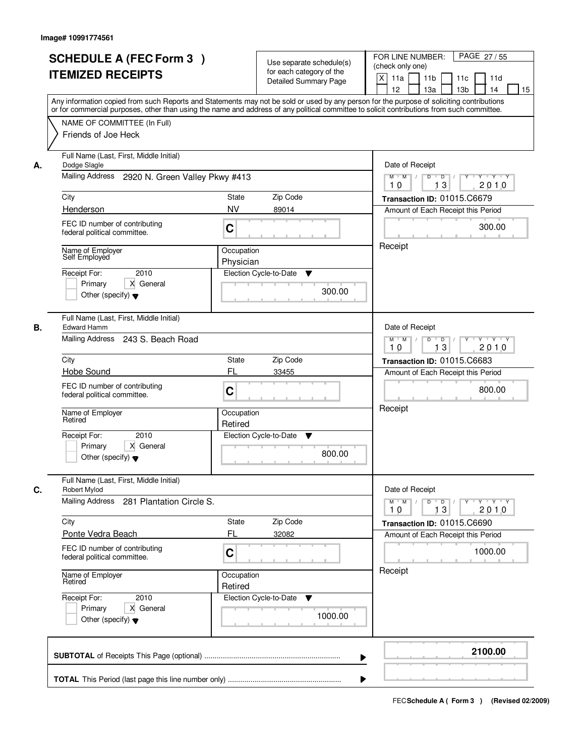|    | <b>SCHEDULE A (FEC Form 3)</b><br><b>ITEMIZED RECEIPTS</b><br>Any information copied from such Reports and Statements may not be sold or used by any person for the purpose of soliciting contributions |                         | Use separate schedule(s)<br>for each category of the<br><b>Detailed Summary Page</b> | PAGE 27/55<br>FOR LINE NUMBER:<br>(check only one)<br>X<br>11a<br>11 <sub>b</sub><br>11c<br>11d<br>12<br>13 <sub>b</sub><br>13a<br>14<br>15 |
|----|---------------------------------------------------------------------------------------------------------------------------------------------------------------------------------------------------------|-------------------------|--------------------------------------------------------------------------------------|---------------------------------------------------------------------------------------------------------------------------------------------|
|    | or for commercial purposes, other than using the name and address of any political committee to solicit contributions from such committee.<br>NAME OF COMMITTEE (In Full)<br>Friends of Joe Heck        |                         |                                                                                      |                                                                                                                                             |
| А. | Full Name (Last, First, Middle Initial)<br>Dodge Slagle<br>Mailing Address 2920 N. Green Valley Pkwy #413                                                                                               |                         |                                                                                      | Date of Receipt<br>$Y$ $Y$ $Y$<br>$M$ $M$<br>$D$ $D$ $1$<br>$\overline{Y}$                                                                  |
|    | City                                                                                                                                                                                                    | State                   | Zip Code                                                                             | 13<br>2010<br>10<br>Transaction ID: 01015.C6679                                                                                             |
|    | Henderson                                                                                                                                                                                               | <b>NV</b>               | 89014                                                                                | Amount of Each Receipt this Period                                                                                                          |
|    | FEC ID number of contributing<br>federal political committee.                                                                                                                                           | C                       |                                                                                      | 300.00                                                                                                                                      |
|    | Name of Employer<br>Self Employed<br>2010<br>Receipt For:<br>X General<br>Primary<br>Other (specify) $\blacktriangledown$                                                                               | Occupation<br>Physician | Election Cycle-to-Date<br>▼<br>300.00                                                | Receipt                                                                                                                                     |
| В. | Full Name (Last, First, Middle Initial)<br><b>Edward Hamm</b><br>Mailing Address 243 S. Beach Road                                                                                                      |                         |                                                                                      | Date of Receipt<br>$Y \vdash Y \vdash Y$<br>$M$ $M$ /<br>D<br>$\overline{D}$ /<br>Y<br>13<br>2010                                           |
|    | City                                                                                                                                                                                                    | <b>State</b>            | Zip Code                                                                             | 10<br>Transaction ID: 01015.C6683                                                                                                           |
|    | Hobe Sound                                                                                                                                                                                              | FL                      | 33455                                                                                | Amount of Each Receipt this Period                                                                                                          |
|    | FEC ID number of contributing<br>federal political committee.                                                                                                                                           | C                       |                                                                                      | 800.00                                                                                                                                      |
|    | Name of Employer<br>Retired                                                                                                                                                                             | Occupation<br>Retired   |                                                                                      | Receipt                                                                                                                                     |
|    | Receipt For:<br>2010<br>Primary<br>X General<br>Other (specify) $\blacktriangledown$                                                                                                                    |                         | Election Cycle-to-Date<br>v<br>800.00                                                |                                                                                                                                             |
| C. | Full Name (Last, First, Middle Initial)<br>Robert Mylod<br>Mailing Address<br>281 Plantation Circle S.                                                                                                  |                         |                                                                                      | Date of Receipt<br>$M$ $M$<br>$D$ $D$ $/$<br>$Y$ <sup>U</sup><br>$Y + Y + Y$<br>13<br>2010<br>10                                            |
|    | City                                                                                                                                                                                                    | State                   | Zip Code                                                                             | Transaction ID: 01015.C6690                                                                                                                 |
|    | Ponte Vedra Beach                                                                                                                                                                                       | FL                      | 32082                                                                                | Amount of Each Receipt this Period                                                                                                          |
|    | FEC ID number of contributing<br>federal political committee.                                                                                                                                           | C                       |                                                                                      | 1000.00                                                                                                                                     |
|    | Name of Employer<br>Retired                                                                                                                                                                             | Occupation<br>Retired   |                                                                                      | Receipt                                                                                                                                     |
|    | Receipt For:<br>2010<br>Primary<br>X General<br>Other (specify) $\blacktriangledown$                                                                                                                    |                         | Election Cycle-to-Date<br>v<br>1000.00                                               |                                                                                                                                             |
|    |                                                                                                                                                                                                         |                         | ▶                                                                                    | 2100.00                                                                                                                                     |
|    |                                                                                                                                                                                                         |                         |                                                                                      |                                                                                                                                             |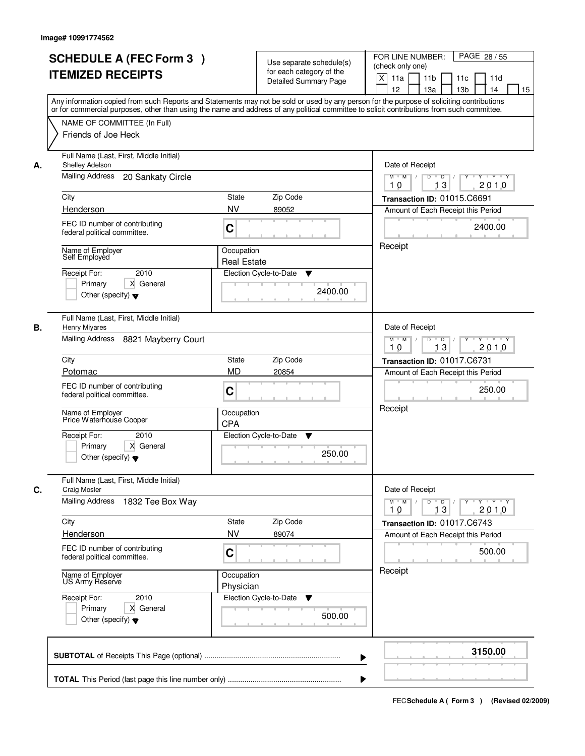|    | <b>SCHEDULE A (FEC Form 3)</b><br><b>ITEMIZED RECEIPTS</b><br>Any information copied from such Reports and Statements may not be sold or used by any person for the purpose of soliciting contributions<br>or for commercial purposes, other than using the name and address of any political committee to solicit contributions from such committee. |                                  | Use separate schedule(s)<br>for each category of the<br><b>Detailed Summary Page</b> | PAGE 28 / 55<br>FOR LINE NUMBER:<br>(check only one)<br>X<br>11 <sub>b</sub><br>11a<br>11c<br>11d<br>12<br>13 <sub>b</sub><br>13a<br>14<br>15 |
|----|-------------------------------------------------------------------------------------------------------------------------------------------------------------------------------------------------------------------------------------------------------------------------------------------------------------------------------------------------------|----------------------------------|--------------------------------------------------------------------------------------|-----------------------------------------------------------------------------------------------------------------------------------------------|
|    | NAME OF COMMITTEE (In Full)<br>Friends of Joe Heck                                                                                                                                                                                                                                                                                                    |                                  |                                                                                      |                                                                                                                                               |
| А. | Full Name (Last, First, Middle Initial)<br>Shelley Adelson<br>Mailing Address<br>20 Sankaty Circle                                                                                                                                                                                                                                                    |                                  |                                                                                      | Date of Receipt<br>$M$ $M$<br>$D$ $D$ $/$<br>$\overline{Y}$<br>Y Y Y Y<br>13<br>2010<br>10                                                    |
|    | City                                                                                                                                                                                                                                                                                                                                                  | State                            | Zip Code                                                                             | Transaction ID: 01015.C6691                                                                                                                   |
|    | Henderson                                                                                                                                                                                                                                                                                                                                             | <b>NV</b>                        | 89052                                                                                | Amount of Each Receipt this Period                                                                                                            |
|    | FEC ID number of contributing<br>federal political committee.                                                                                                                                                                                                                                                                                         | C                                |                                                                                      | 2400.00                                                                                                                                       |
|    | Name of Employer<br>Self Employed                                                                                                                                                                                                                                                                                                                     | Occupation<br><b>Real Estate</b> |                                                                                      | Receipt                                                                                                                                       |
|    | 2010<br>Receipt For:<br>X General<br>Primary<br>Other (specify) $\blacktriangledown$                                                                                                                                                                                                                                                                  |                                  | Election Cycle-to-Date<br>▼<br>2400.00                                               |                                                                                                                                               |
| В. | Full Name (Last, First, Middle Initial)<br>Henry Miyares<br>Mailing Address 8821 Mayberry Court                                                                                                                                                                                                                                                       |                                  |                                                                                      | Date of Receipt<br>Y<br>$Y \vdash Y \vdash Y$<br>$M$ $M$ /<br>D<br>$\Box$<br>13<br>2010<br>10                                                 |
|    | City                                                                                                                                                                                                                                                                                                                                                  | State                            | Zip Code                                                                             | Transaction ID: 01017.C6731                                                                                                                   |
|    | Potomac                                                                                                                                                                                                                                                                                                                                               | <b>MD</b>                        | 20854                                                                                | Amount of Each Receipt this Period                                                                                                            |
|    | FEC ID number of contributing<br>federal political committee.                                                                                                                                                                                                                                                                                         | C                                |                                                                                      | 250.00                                                                                                                                        |
|    | Name of Employer<br>Price Waterhouse Cooper                                                                                                                                                                                                                                                                                                           | Occupation<br><b>CPA</b>         |                                                                                      | Receipt                                                                                                                                       |
|    | Receipt For:<br>2010<br>Primary<br>X General<br>Other (specify) $\blacktriangledown$                                                                                                                                                                                                                                                                  |                                  | Election Cycle-to-Date<br>v<br>250.00                                                |                                                                                                                                               |
| C. | Full Name (Last, First, Middle Initial)<br><b>Craig Mosler</b>                                                                                                                                                                                                                                                                                        |                                  |                                                                                      | Date of Receipt                                                                                                                               |
|    | Mailing Address<br>1832 Tee Box Way                                                                                                                                                                                                                                                                                                                   |                                  |                                                                                      | $M$ $M$<br>$D$ $D$ $l$<br>$Y$ <sup>U</sup><br>$Y + Y + Y$<br>13<br>2010<br>10                                                                 |
|    | City                                                                                                                                                                                                                                                                                                                                                  | State                            | Zip Code                                                                             | Transaction ID: 01017.C6743                                                                                                                   |
|    | Henderson<br>FEC ID number of contributing<br>federal political committee.                                                                                                                                                                                                                                                                            | <b>NV</b><br>C                   | 89074                                                                                | Amount of Each Receipt this Period<br>500.00                                                                                                  |
|    | Name of Employer<br>US Army Reserve                                                                                                                                                                                                                                                                                                                   | Occupation<br>Physician          |                                                                                      | Receipt                                                                                                                                       |
|    | Receipt For:<br>2010<br>Primary<br>X General<br>Other (specify) $\blacktriangledown$                                                                                                                                                                                                                                                                  |                                  | Election Cycle-to-Date<br>v<br>500.00                                                |                                                                                                                                               |
|    |                                                                                                                                                                                                                                                                                                                                                       |                                  | ▶                                                                                    | 3150.00                                                                                                                                       |
|    |                                                                                                                                                                                                                                                                                                                                                       |                                  |                                                                                      |                                                                                                                                               |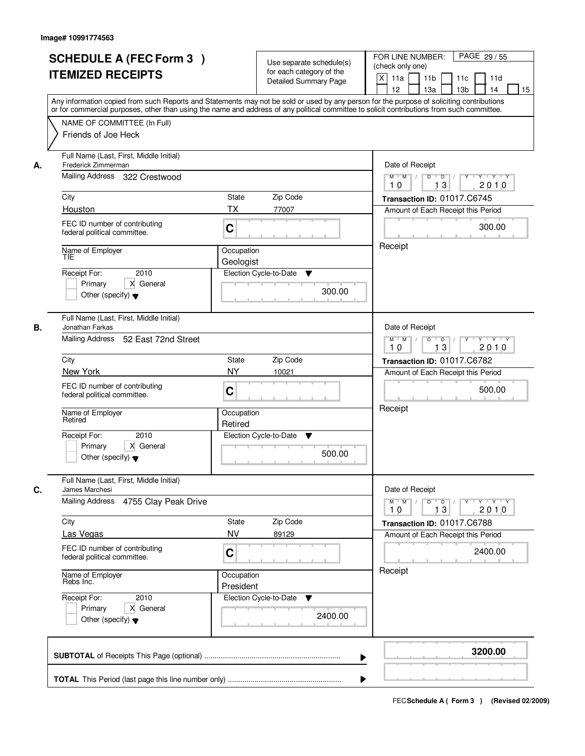| <b>SCHEDULE A (FEC Form 3)</b><br><b>ITEMIZED RECEIPTS</b>                                            | Use separate schedule(s)<br>for each category of the<br><b>Detailed Summary Page</b><br>Any information copied from such Reports and Statements may not be sold or used by any person for the purpose of soliciting contributions | PAGE 29 / 55<br>FOR LINE NUMBER:<br>(check only one)<br>$\boldsymbol{\mathsf{X}}$<br>11 <sub>b</sub><br>11a<br>11c<br>11d<br>12<br>13 <sub>b</sub><br>14<br>13a<br>15 |
|-------------------------------------------------------------------------------------------------------|-----------------------------------------------------------------------------------------------------------------------------------------------------------------------------------------------------------------------------------|-----------------------------------------------------------------------------------------------------------------------------------------------------------------------|
| NAME OF COMMITTEE (In Full)<br>Friends of Joe Heck                                                    | or for commercial purposes, other than using the name and address of any political committee to solicit contributions from such committee.                                                                                        |                                                                                                                                                                       |
| Full Name (Last, First, Middle Initial)<br>Frederick Zimmerman<br>А.<br>Mailing Address 322 Crestwood |                                                                                                                                                                                                                                   | Date of Receipt<br>$M$ $M$<br>$D$ $D$ $/$<br>$Y$ <sup>U</sup><br>Y Y Y Y                                                                                              |
| City                                                                                                  | <b>State</b><br>Zip Code                                                                                                                                                                                                          | 13<br>2010<br>10<br>Transaction ID: 01017.C6745                                                                                                                       |
| Houston                                                                                               | TX<br>77007                                                                                                                                                                                                                       | Amount of Each Receipt this Period                                                                                                                                    |
| FEC ID number of contributing<br>federal political committee.                                         | C                                                                                                                                                                                                                                 | 300.00                                                                                                                                                                |
| Name of Employer<br>TIE                                                                               | Occupation<br>Geologist                                                                                                                                                                                                           | Receipt                                                                                                                                                               |
| 2010<br>Receipt For:<br>X General<br>Primary<br>Other (specify) $\blacktriangledown$                  | Election Cycle-to-Date<br>▼<br>300.00                                                                                                                                                                                             |                                                                                                                                                                       |
| Full Name (Last, First, Middle Initial)<br>Jonathan Farkas<br>В.<br>Mailing Address                   |                                                                                                                                                                                                                                   | Date of Receipt                                                                                                                                                       |
| 52 East 72nd Street                                                                                   |                                                                                                                                                                                                                                   | $Y - Y - Y$<br>$M$ $M$ /<br>D<br>$\Box$<br>$Y$ <sup><math>\top</math></sup><br>2010<br>13<br>10                                                                       |
| City                                                                                                  | Zip Code<br>State                                                                                                                                                                                                                 | Transaction ID: 01017.C6782                                                                                                                                           |
| New York                                                                                              | <b>NY</b><br>10021                                                                                                                                                                                                                | Amount of Each Receipt this Period                                                                                                                                    |
| FEC ID number of contributing<br>federal political committee.                                         | C                                                                                                                                                                                                                                 | 500.00                                                                                                                                                                |
| Name of Employer<br>Retired                                                                           | Occupation<br>Retired                                                                                                                                                                                                             | Receipt                                                                                                                                                               |
| Receipt For:<br>2010<br>Primary<br>X General<br>Other (specify) $\blacktriangledown$                  | Election Cycle-to-Date<br>v<br>500.00                                                                                                                                                                                             |                                                                                                                                                                       |
| Full Name (Last, First, Middle Initial)<br>C.<br>James Marchesi                                       |                                                                                                                                                                                                                                   | Date of Receipt                                                                                                                                                       |
| <b>Mailing Address</b><br>4755 Clay Peak Drive                                                        |                                                                                                                                                                                                                                   | $M$ $M$<br>$D$ $D$ $/$<br>y y y y y y<br>2010<br>10<br>13                                                                                                             |
| City<br>Las Vegas                                                                                     | Zip Code<br>State<br><b>NV</b><br>89129                                                                                                                                                                                           | Transaction ID: 01017.C6788<br>Amount of Each Receipt this Period                                                                                                     |
| FEC ID number of contributing<br>federal political committee.                                         | C                                                                                                                                                                                                                                 | 2400.00                                                                                                                                                               |
| Name of Employer<br>Rebs Inc.                                                                         | Occupation<br>President                                                                                                                                                                                                           | Receipt                                                                                                                                                               |
| Receipt For:<br>2010<br>Primary<br>X General<br>Other (specify) $\blacktriangledown$                  | Election Cycle-to-Date<br>v<br>2400.00                                                                                                                                                                                            |                                                                                                                                                                       |
|                                                                                                       |                                                                                                                                                                                                                                   | 3200.00                                                                                                                                                               |
|                                                                                                       |                                                                                                                                                                                                                                   |                                                                                                                                                                       |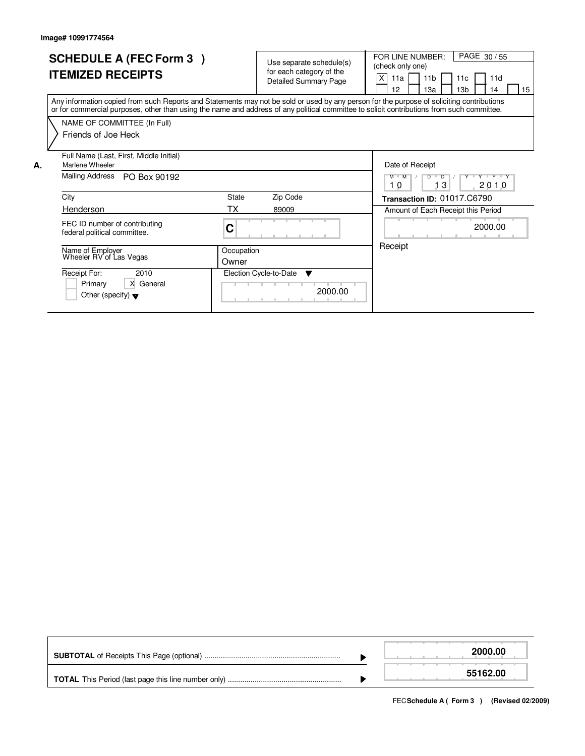|    | <b>SCHEDULE A (FEC Form 3)</b><br><b>ITEMIZED RECEIPTS</b>                                                                                                                                                                                                                              |                     | Use separate schedule(s)<br>for each category of the<br>Detailed Summary Page | PAGE 30/55<br>FOR LINE NUMBER:<br>(check only one)<br>X<br>11 <sub>b</sub><br>11a<br>11d<br>11c<br>12<br>13a<br>13 <sub>b</sub><br>15<br>14 |
|----|-----------------------------------------------------------------------------------------------------------------------------------------------------------------------------------------------------------------------------------------------------------------------------------------|---------------------|-------------------------------------------------------------------------------|---------------------------------------------------------------------------------------------------------------------------------------------|
|    | Any information copied from such Reports and Statements may not be sold or used by any person for the purpose of soliciting contributions<br>or for commercial purposes, other than using the name and address of any political committee to solicit contributions from such committee. |                     |                                                                               |                                                                                                                                             |
|    | NAME OF COMMITTEE (In Full)<br>Friends of Joe Heck                                                                                                                                                                                                                                      |                     |                                                                               |                                                                                                                                             |
| А. | Full Name (Last, First, Middle Initial)<br>Marlene Wheeler                                                                                                                                                                                                                              |                     |                                                                               | Date of Receipt                                                                                                                             |
|    | Mailing Address<br>PO Box 90192                                                                                                                                                                                                                                                         |                     |                                                                               | $M$ $M$<br>D<br>$\overline{D}$<br>Y "Y "Y "Y<br>3<br>2010<br>10                                                                             |
|    | City                                                                                                                                                                                                                                                                                    | State               | Zip Code                                                                      | Transaction ID: 01017.C6790                                                                                                                 |
|    | Henderson                                                                                                                                                                                                                                                                               | ТX                  | 89009                                                                         | Amount of Each Receipt this Period                                                                                                          |
|    | FEC ID number of contributing<br>federal political committee.                                                                                                                                                                                                                           | C                   |                                                                               | 2000.00                                                                                                                                     |
|    | Name of Employer<br>Wheeler RV of Las Vegas                                                                                                                                                                                                                                             | Occupation<br>Owner |                                                                               | Receipt                                                                                                                                     |
|    | Receipt For:<br>2010<br>X General<br>Primary<br>Other (specify) $\blacktriangledown$                                                                                                                                                                                                    |                     | Election Cycle-to-Date ▼<br>2000.00                                           |                                                                                                                                             |

|  | 2000.00  |
|--|----------|
|  | 55162.00 |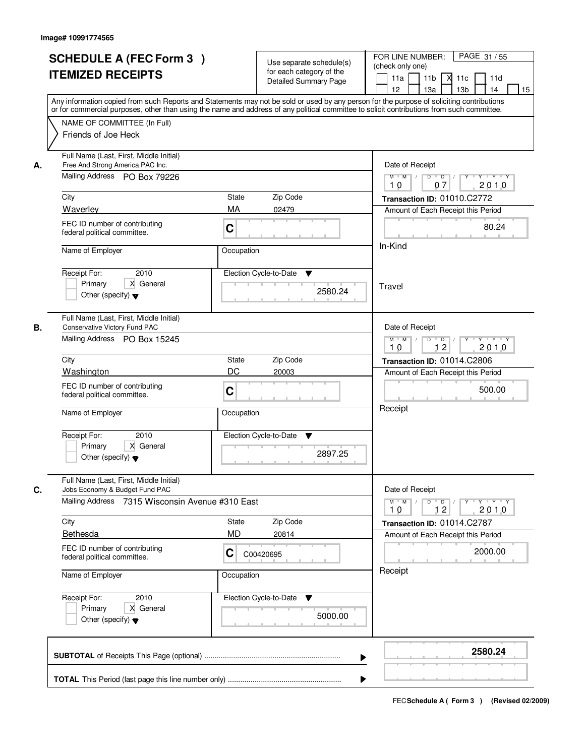|    | <b>SCHEDULE A (FEC Form 3)</b><br><b>ITEMIZED RECEIPTS</b><br>Any information copied from such Reports and Statements may not be sold or used by any person for the purpose of soliciting contributions<br>or for commercial purposes, other than using the name and address of any political committee to solicit contributions from such committee. |                         | Use separate schedule(s)<br>for each category of the<br><b>Detailed Summary Page</b> | PAGE 31/55<br>FOR LINE NUMBER:<br>(check only one)<br>11 <sub>b</sub><br>11a<br>- XI<br>11c<br>11d<br>13a<br>13 <sub>b</sub><br>12<br>14<br>15                                                                                                                                                                                                                                                                                                                                                       |
|----|-------------------------------------------------------------------------------------------------------------------------------------------------------------------------------------------------------------------------------------------------------------------------------------------------------------------------------------------------------|-------------------------|--------------------------------------------------------------------------------------|------------------------------------------------------------------------------------------------------------------------------------------------------------------------------------------------------------------------------------------------------------------------------------------------------------------------------------------------------------------------------------------------------------------------------------------------------------------------------------------------------|
|    | NAME OF COMMITTEE (In Full)<br>Friends of Joe Heck                                                                                                                                                                                                                                                                                                    |                         |                                                                                      |                                                                                                                                                                                                                                                                                                                                                                                                                                                                                                      |
| А. | Full Name (Last, First, Middle Initial)<br>Free And Strong America PAC Inc.<br>Mailing Address PO Box 79226<br>City                                                                                                                                                                                                                                   | State                   | Zip Code                                                                             | Date of Receipt<br>$\begin{array}{c c c c c c c c} \hline \textbf{0} & \textbf{0} & \textbf{0} & \textbf{0} & \textbf{0} & \textbf{0} & \textbf{0} & \textbf{0} & \textbf{0} & \textbf{0} & \textbf{0} & \textbf{0} & \textbf{0} & \textbf{0} & \textbf{0} & \textbf{0} & \textbf{0} & \textbf{0} & \textbf{0} & \textbf{0} & \textbf{0} & \textbf{0} & \textbf{0} & \textbf{0} & \textbf{0} & \textbf{0} & \textbf{0} & \textbf{0} &$<br>$M$ $M$<br>10<br>07<br>2010<br>Transaction ID: 01010.C2772 |
|    | Waverley<br>FEC ID number of contributing<br>federal political committee.                                                                                                                                                                                                                                                                             | MA<br>C                 | 02479                                                                                | Amount of Each Receipt this Period<br>80.24                                                                                                                                                                                                                                                                                                                                                                                                                                                          |
|    | Name of Employer<br>2010<br>Receipt For:<br>X General<br>Primary<br>Other (specify) $\blacktriangledown$                                                                                                                                                                                                                                              | Occupation              | Election Cycle-to-Date<br>▼<br>2580.24                                               | In-Kind<br>Travel                                                                                                                                                                                                                                                                                                                                                                                                                                                                                    |
| В. | Full Name (Last, First, Middle Initial)<br>Conservative Victory Fund PAC<br>Mailing Address PO Box 15245                                                                                                                                                                                                                                              |                         |                                                                                      | Date of Receipt<br>$M$ $M$ /<br>Y.<br>$Y - Y - Y$<br>D<br>$\overline{D}$<br>12<br>2010<br>10                                                                                                                                                                                                                                                                                                                                                                                                         |
|    | City<br>Washington<br>FEC ID number of contributing<br>federal political committee.                                                                                                                                                                                                                                                                   | State<br>DC<br>C        | Zip Code<br>20003                                                                    | Transaction ID: 01014.C2806<br>Amount of Each Receipt this Period<br>500.00                                                                                                                                                                                                                                                                                                                                                                                                                          |
|    | Name of Employer<br>Receipt For:<br>2010<br>Primary<br>X General<br>Other (specify) $\blacktriangledown$                                                                                                                                                                                                                                              | Occupation              | Election Cycle-to-Date<br>v<br>2897.25                                               | Receipt                                                                                                                                                                                                                                                                                                                                                                                                                                                                                              |
| C. | Full Name (Last, First, Middle Initial)<br>Jobs Economy & Budget Fund PAC<br>Mailing Address 7315 Wisconsin Avenue #310 East                                                                                                                                                                                                                          |                         |                                                                                      | Date of Receipt<br>$M$ $M$<br>$D$ $D$ $l$<br>$Y^+$<br>Y 'Y 'Y<br>12<br>2010<br>10                                                                                                                                                                                                                                                                                                                                                                                                                    |
|    | City<br><b>Bethesda</b><br>FEC ID number of contributing<br>federal political committee.                                                                                                                                                                                                                                                              | State<br><b>MD</b><br>C | Zip Code<br>20814<br>C00420695                                                       | Transaction ID: 01014.C2787<br>Amount of Each Receipt this Period<br>2000.00                                                                                                                                                                                                                                                                                                                                                                                                                         |
|    | Name of Employer<br>Receipt For:<br>2010<br>Primary<br>X General                                                                                                                                                                                                                                                                                      | Occupation              | Election Cycle-to-Date<br>v                                                          | Receipt                                                                                                                                                                                                                                                                                                                                                                                                                                                                                              |
|    | Other (specify) $\blacktriangledown$                                                                                                                                                                                                                                                                                                                  |                         | 5000.00<br>▶                                                                         | 2580.24                                                                                                                                                                                                                                                                                                                                                                                                                                                                                              |
|    |                                                                                                                                                                                                                                                                                                                                                       |                         |                                                                                      |                                                                                                                                                                                                                                                                                                                                                                                                                                                                                                      |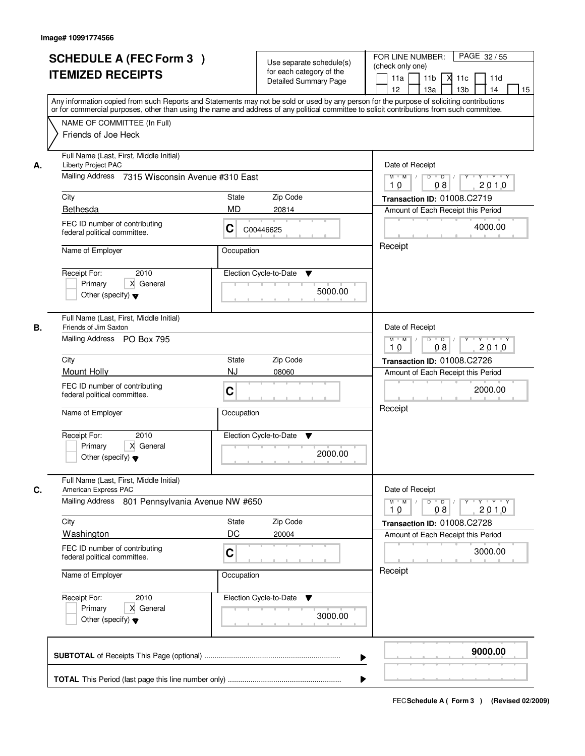|    | <b>SCHEDULE A (FEC Form 3)</b><br><b>ITEMIZED RECEIPTS</b>                                                                                                                                                                                                                              |              | Use separate schedule(s)<br>for each category of the<br><b>Detailed Summary Page</b> | PAGE 32 / 55<br>FOR LINE NUMBER:<br>(check only one)<br>11 <sub>b</sub><br>11a<br>11c<br>11d<br>М                                                                                                                                                                                                                                                                                                                                                    |  |  |
|----|-----------------------------------------------------------------------------------------------------------------------------------------------------------------------------------------------------------------------------------------------------------------------------------------|--------------|--------------------------------------------------------------------------------------|------------------------------------------------------------------------------------------------------------------------------------------------------------------------------------------------------------------------------------------------------------------------------------------------------------------------------------------------------------------------------------------------------------------------------------------------------|--|--|
|    | Any information copied from such Reports and Statements may not be sold or used by any person for the purpose of soliciting contributions<br>or for commercial purposes, other than using the name and address of any political committee to solicit contributions from such committee. |              |                                                                                      | 13 <sub>b</sub><br>12 <sup>2</sup><br>13a<br>14<br>15                                                                                                                                                                                                                                                                                                                                                                                                |  |  |
|    | NAME OF COMMITTEE (In Full)<br>Friends of Joe Heck                                                                                                                                                                                                                                      |              |                                                                                      |                                                                                                                                                                                                                                                                                                                                                                                                                                                      |  |  |
| А. | Full Name (Last, First, Middle Initial)<br>Liberty Project PAC<br>Mailing Address                                                                                                                                                                                                       |              |                                                                                      |                                                                                                                                                                                                                                                                                                                                                                                                                                                      |  |  |
|    | 7315 Wisconsin Avenue #310 East                                                                                                                                                                                                                                                         |              |                                                                                      | $\begin{array}{c c c c c c c c} \hline \textbf{0} & \textbf{0} & \textbf{0} & \textbf{0} & \textbf{0} & \textbf{0} & \textbf{0} & \textbf{0} & \textbf{0} & \textbf{0} & \textbf{0} & \textbf{0} & \textbf{0} & \textbf{0} & \textbf{0} & \textbf{0} & \textbf{0} & \textbf{0} & \textbf{0} & \textbf{0} & \textbf{0} & \textbf{0} & \textbf{0} & \textbf{0} & \textbf{0} & \textbf{0} & \textbf{0} & \textbf{0} &$<br>$M$ $M$ /<br>2010<br>10<br>08 |  |  |
|    | City                                                                                                                                                                                                                                                                                    | State        | Zip Code                                                                             | Transaction ID: 01008.C2719                                                                                                                                                                                                                                                                                                                                                                                                                          |  |  |
|    | Bethesda                                                                                                                                                                                                                                                                                | <b>MD</b>    | 20814                                                                                | Amount of Each Receipt this Period                                                                                                                                                                                                                                                                                                                                                                                                                   |  |  |
|    | FEC ID number of contributing<br>federal political committee.                                                                                                                                                                                                                           | C            | C00446625                                                                            | 4000.00                                                                                                                                                                                                                                                                                                                                                                                                                                              |  |  |
|    | Name of Employer                                                                                                                                                                                                                                                                        | Occupation   |                                                                                      | Receipt                                                                                                                                                                                                                                                                                                                                                                                                                                              |  |  |
|    | 2010<br>Receipt For:<br>X General<br>Primary<br>Other (specify) $\blacktriangledown$                                                                                                                                                                                                    |              | Election Cycle-to-Date<br>▼<br>5000.00                                               |                                                                                                                                                                                                                                                                                                                                                                                                                                                      |  |  |
| В. | Full Name (Last, First, Middle Initial)<br>Friends of Jim Saxton                                                                                                                                                                                                                        |              |                                                                                      | Date of Receipt                                                                                                                                                                                                                                                                                                                                                                                                                                      |  |  |
|    | Mailing Address PO Box 795                                                                                                                                                                                                                                                              |              |                                                                                      | $Y - Y - Y - Y$<br>$M$ $M$ /<br>D<br>$\overline{\phantom{0}}$ D<br>2010<br>08<br>10                                                                                                                                                                                                                                                                                                                                                                  |  |  |
|    | City                                                                                                                                                                                                                                                                                    | <b>State</b> | Zip Code                                                                             | Transaction ID: 01008.C2726                                                                                                                                                                                                                                                                                                                                                                                                                          |  |  |
|    | Mount Holly                                                                                                                                                                                                                                                                             | <b>NJ</b>    | 08060                                                                                | Amount of Each Receipt this Period                                                                                                                                                                                                                                                                                                                                                                                                                   |  |  |
|    | FEC ID number of contributing<br>federal political committee.                                                                                                                                                                                                                           | C            |                                                                                      | 2000.00                                                                                                                                                                                                                                                                                                                                                                                                                                              |  |  |
|    | Name of Employer                                                                                                                                                                                                                                                                        | Occupation   |                                                                                      | Receipt                                                                                                                                                                                                                                                                                                                                                                                                                                              |  |  |
|    | Receipt For:<br>2010                                                                                                                                                                                                                                                                    |              | Election Cycle-to-Date<br>v                                                          |                                                                                                                                                                                                                                                                                                                                                                                                                                                      |  |  |
|    | Primary<br>X General<br>Other (specify) $\blacktriangledown$                                                                                                                                                                                                                            |              | 2000.00                                                                              |                                                                                                                                                                                                                                                                                                                                                                                                                                                      |  |  |
| C. | Full Name (Last, First, Middle Initial)<br>American Express PAC                                                                                                                                                                                                                         |              |                                                                                      | Date of Receipt                                                                                                                                                                                                                                                                                                                                                                                                                                      |  |  |
|    | <b>Mailing Address</b><br>801 Pennsylvania Avenue NW #650                                                                                                                                                                                                                               |              |                                                                                      | $M = M$<br>$D$ $D$ $/$<br>Y 'Y 'Y<br>$Y$ <sup>-1</sup><br>08<br>2010<br>10                                                                                                                                                                                                                                                                                                                                                                           |  |  |
|    | City                                                                                                                                                                                                                                                                                    | <b>State</b> | Zip Code                                                                             | Transaction ID: 01008.C2728                                                                                                                                                                                                                                                                                                                                                                                                                          |  |  |
|    | <b>Washington</b><br>FEC ID number of contributing                                                                                                                                                                                                                                      | DC           | 20004                                                                                | Amount of Each Receipt this Period                                                                                                                                                                                                                                                                                                                                                                                                                   |  |  |
|    | federal political committee.                                                                                                                                                                                                                                                            | C            |                                                                                      | 3000.00                                                                                                                                                                                                                                                                                                                                                                                                                                              |  |  |
|    | Name of Employer                                                                                                                                                                                                                                                                        | Occupation   |                                                                                      | Receipt                                                                                                                                                                                                                                                                                                                                                                                                                                              |  |  |
|    | Receipt For:<br>2010                                                                                                                                                                                                                                                                    |              | Election Cycle-to-Date<br>v                                                          |                                                                                                                                                                                                                                                                                                                                                                                                                                                      |  |  |
|    | Primary<br>X General<br>Other (specify) $\blacktriangledown$                                                                                                                                                                                                                            |              | 3000.00                                                                              |                                                                                                                                                                                                                                                                                                                                                                                                                                                      |  |  |
|    |                                                                                                                                                                                                                                                                                         |              | ▶                                                                                    | 9000.00                                                                                                                                                                                                                                                                                                                                                                                                                                              |  |  |
|    |                                                                                                                                                                                                                                                                                         |              |                                                                                      |                                                                                                                                                                                                                                                                                                                                                                                                                                                      |  |  |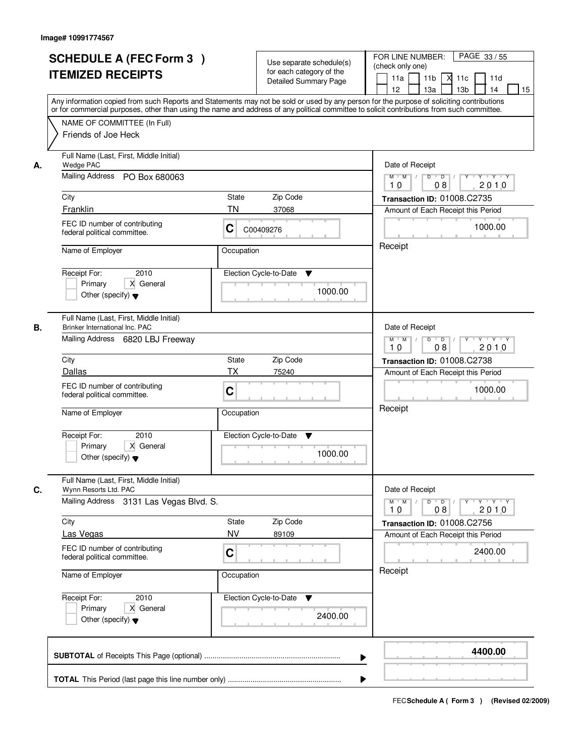|    | <b>SCHEDULE A (FEC Form 3)</b><br><b>ITEMIZED RECEIPTS</b><br>Any information copied from such Reports and Statements may not be sold or used by any person for the purpose of soliciting contributions<br>or for commercial purposes, other than using the name and address of any political committee to solicit contributions from such committee. | Use separate schedule(s)<br>for each category of the<br><b>Detailed Summary Page</b> | PAGE 33/55<br>FOR LINE NUMBER:<br>(check only one)<br>11 <sub>b</sub><br>11a<br>11c<br>11d<br>⋊<br>12<br>13a<br>13 <sub>b</sub><br>14<br>15                                                                                      |
|----|-------------------------------------------------------------------------------------------------------------------------------------------------------------------------------------------------------------------------------------------------------------------------------------------------------------------------------------------------------|--------------------------------------------------------------------------------------|----------------------------------------------------------------------------------------------------------------------------------------------------------------------------------------------------------------------------------|
|    | NAME OF COMMITTEE (In Full)<br>Friends of Joe Heck                                                                                                                                                                                                                                                                                                    |                                                                                      |                                                                                                                                                                                                                                  |
| А. | Full Name (Last, First, Middle Initial)<br><b>Wedge PAC</b><br>Mailing Address PO Box 680063<br>City<br>Franklin<br>FEC ID number of contributing<br>federal political committee.<br>Name of Employer<br>2010                                                                                                                                         | State<br>Zip Code<br>ΤN<br>37068<br>C<br>C00409276<br>Occupation                     | Date of Receipt<br>$\mathsf{Y} \dashv \mathsf{Y} \dashv \mathsf{Y}$<br>$M$ $M$ /<br>$D$ $D$ $1$<br>$\overline{Y}$<br>2010<br>10<br>08<br>Transaction ID: 01008.C2735<br>Amount of Each Receipt this Period<br>1000.00<br>Receipt |
|    | Receipt For:<br>X General<br>Primary<br>Other (specify) $\blacktriangledown$                                                                                                                                                                                                                                                                          | Election Cycle-to-Date<br>▼<br>1000.00                                               |                                                                                                                                                                                                                                  |
| В. | Full Name (Last, First, Middle Initial)<br>Brinker International Inc. PAC<br>Mailing Address 6820 LBJ Freeway<br>City                                                                                                                                                                                                                                 | State<br>Zip Code                                                                    | Date of Receipt<br>$\mathsf{Y} \dashv \mathsf{Y} \dashv \mathsf{Y}$<br>$M$ $M$ /<br>D<br>$\overline{D}$ $\overline{I}$<br>$Y$ <sup>U</sup><br>08<br>2010<br>10<br>Transaction ID: 01008.C2738                                    |
|    | Dallas<br>FEC ID number of contributing<br>federal political committee.<br>Name of Employer                                                                                                                                                                                                                                                           | <b>TX</b><br>75240<br>C<br>Occupation                                                | Amount of Each Receipt this Period<br>1000.00<br>Receipt                                                                                                                                                                         |
|    | Receipt For:<br>2010<br>Primary<br>X General<br>Other (specify) $\blacktriangledown$                                                                                                                                                                                                                                                                  | Election Cycle-to-Date<br>▼<br>1000.00                                               |                                                                                                                                                                                                                                  |
| C. | Full Name (Last, First, Middle Initial)<br>Wynn Resorts Ltd. PAC<br><b>Mailing Address</b><br>3131 Las Vegas Blvd. S.                                                                                                                                                                                                                                 |                                                                                      | Date of Receipt<br>$M$ $M$<br>D<br>$\overline{D}$ /<br>$Y + Y + Y$<br>Y<br>2010<br>10<br>08                                                                                                                                      |
|    | City<br>Las Vegas<br>FEC ID number of contributing<br>federal political committee.                                                                                                                                                                                                                                                                    | Zip Code<br>State<br><b>NV</b><br>89109<br>C                                         | Transaction ID: 01008.C2756<br>Amount of Each Receipt this Period<br>2400.00                                                                                                                                                     |
|    | Name of Employer<br>Receipt For:<br>2010<br>Primary<br>X General<br>Other (specify) $\blacktriangledown$                                                                                                                                                                                                                                              | Occupation<br>Election Cycle-to-Date<br>v<br>2400.00                                 | Receipt                                                                                                                                                                                                                          |
|    |                                                                                                                                                                                                                                                                                                                                                       |                                                                                      | 4400.00                                                                                                                                                                                                                          |
|    |                                                                                                                                                                                                                                                                                                                                                       |                                                                                      |                                                                                                                                                                                                                                  |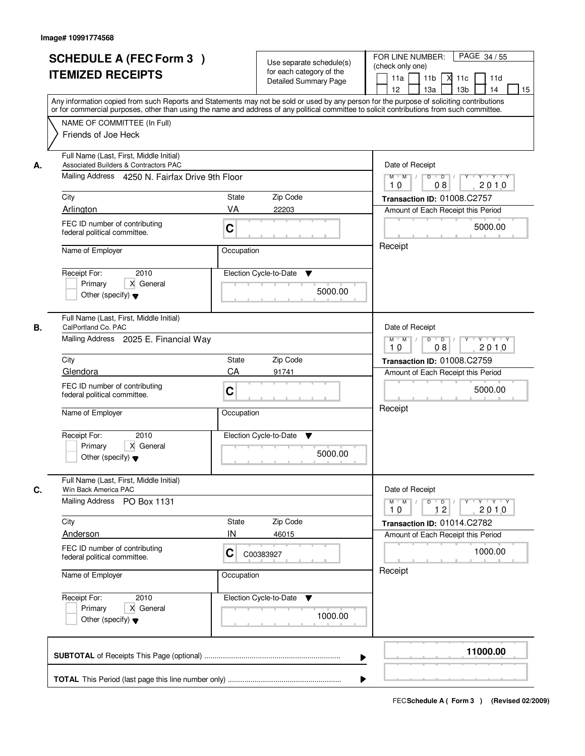|    | <b>SCHEDULE A (FEC Form 3)</b><br><b>ITEMIZED RECEIPTS</b><br>Any information copied from such Reports and Statements may not be sold or used by any person for the purpose of soliciting contributions |              | Use separate schedule(s)<br>for each category of the<br><b>Detailed Summary Page</b> | PAGE 34 / 55<br>FOR LINE NUMBER:<br>(check only one)<br>11 <sub>b</sub><br>11a<br>11c<br>11d<br>М<br>13 <sub>b</sub><br>12 <sup>2</sup><br>13a<br>14<br>15                                                                                                                                                                                                                                                                                          |
|----|---------------------------------------------------------------------------------------------------------------------------------------------------------------------------------------------------------|--------------|--------------------------------------------------------------------------------------|-----------------------------------------------------------------------------------------------------------------------------------------------------------------------------------------------------------------------------------------------------------------------------------------------------------------------------------------------------------------------------------------------------------------------------------------------------|
|    | or for commercial purposes, other than using the name and address of any political committee to solicit contributions from such committee.<br>NAME OF COMMITTEE (In Full)<br>Friends of Joe Heck        |              |                                                                                      |                                                                                                                                                                                                                                                                                                                                                                                                                                                     |
| А. | Full Name (Last, First, Middle Initial)<br><b>Associated Builders &amp; Contractors PAC</b><br>Mailing Address 4250 N. Fairfax Drive 9th Floor                                                          |              |                                                                                      | Date of Receipt<br>$\begin{array}{c c c c c c c c} \hline \textbf{0} & \textbf{0} & \textbf{0} & \textbf{0} & \textbf{0} & \textbf{0} & \textbf{0} & \textbf{0} & \textbf{0} & \textbf{0} & \textbf{0} & \textbf{0} & \textbf{0} & \textbf{0} & \textbf{0} & \textbf{0} & \textbf{0} & \textbf{0} & \textbf{0} & \textbf{0} & \textbf{0} & \textbf{0} & \textbf{0} & \textbf{0} & \textbf{0} & \textbf{0} & \textbf{0} & \textbf{0} &$<br>$M$ $M$ / |
|    | City<br>Arlington                                                                                                                                                                                       | State<br>VA  | Zip Code<br>22203                                                                    | 2010<br>10<br>08<br>Transaction ID: 01008.C2757                                                                                                                                                                                                                                                                                                                                                                                                     |
|    | FEC ID number of contributing<br>federal political committee.                                                                                                                                           | C            |                                                                                      | Amount of Each Receipt this Period<br>5000.00                                                                                                                                                                                                                                                                                                                                                                                                       |
|    | Name of Employer                                                                                                                                                                                        | Occupation   |                                                                                      | Receipt                                                                                                                                                                                                                                                                                                                                                                                                                                             |
|    | 2010<br>Receipt For:<br>X General<br>Primary<br>Other (specify) $\blacktriangledown$                                                                                                                    |              | Election Cycle-to-Date<br>▼<br>5000.00                                               |                                                                                                                                                                                                                                                                                                                                                                                                                                                     |
| В. | Full Name (Last, First, Middle Initial)<br>CalPortland Co. PAC<br>Mailing Address 2025 E. Financial Way                                                                                                 |              |                                                                                      | Date of Receipt<br>$Y - Y - Y - Y$<br>$M$ $M$ /<br>D<br>$\overline{\phantom{0}}$ D<br>2010<br>08<br>10                                                                                                                                                                                                                                                                                                                                              |
|    | City                                                                                                                                                                                                    | <b>State</b> | Zip Code                                                                             | Transaction ID: 01008.C2759                                                                                                                                                                                                                                                                                                                                                                                                                         |
|    | Glendora<br>FEC ID number of contributing<br>federal political committee.                                                                                                                               | CA<br>C      | 91741                                                                                | Amount of Each Receipt this Period<br>5000.00                                                                                                                                                                                                                                                                                                                                                                                                       |
|    | Name of Employer                                                                                                                                                                                        | Occupation   |                                                                                      | Receipt                                                                                                                                                                                                                                                                                                                                                                                                                                             |
|    | Receipt For:<br>2010<br>Primary<br>X General<br>Other (specify) $\blacktriangledown$                                                                                                                    |              | Election Cycle-to-Date<br>v<br>5000.00                                               |                                                                                                                                                                                                                                                                                                                                                                                                                                                     |
| C. | Full Name (Last, First, Middle Initial)<br>Win Back America PAC<br><b>Mailing Address</b><br>PO Box 1131                                                                                                |              |                                                                                      | Date of Receipt<br>$M$ $M$<br>$D$ $D$ $I$<br><u>y cymru y cy</u>                                                                                                                                                                                                                                                                                                                                                                                    |
|    | City                                                                                                                                                                                                    | State<br>IN  | Zip Code                                                                             | 12<br>2010<br>10<br>Transaction ID: 01014.C2782                                                                                                                                                                                                                                                                                                                                                                                                     |
|    | Anderson<br>FEC ID number of contributing<br>federal political committee.                                                                                                                               | C            | 46015<br>C00383927                                                                   | Amount of Each Receipt this Period<br>1000.00                                                                                                                                                                                                                                                                                                                                                                                                       |
|    | Name of Employer                                                                                                                                                                                        | Occupation   |                                                                                      | Receipt                                                                                                                                                                                                                                                                                                                                                                                                                                             |
|    | Receipt For:<br>2010<br>Primary<br>X General<br>Other (specify) $\blacktriangledown$                                                                                                                    |              | Election Cycle-to-Date<br>v<br>1000.00                                               |                                                                                                                                                                                                                                                                                                                                                                                                                                                     |
|    |                                                                                                                                                                                                         |              | ▶                                                                                    | 11000.00                                                                                                                                                                                                                                                                                                                                                                                                                                            |
|    |                                                                                                                                                                                                         |              |                                                                                      |                                                                                                                                                                                                                                                                                                                                                                                                                                                     |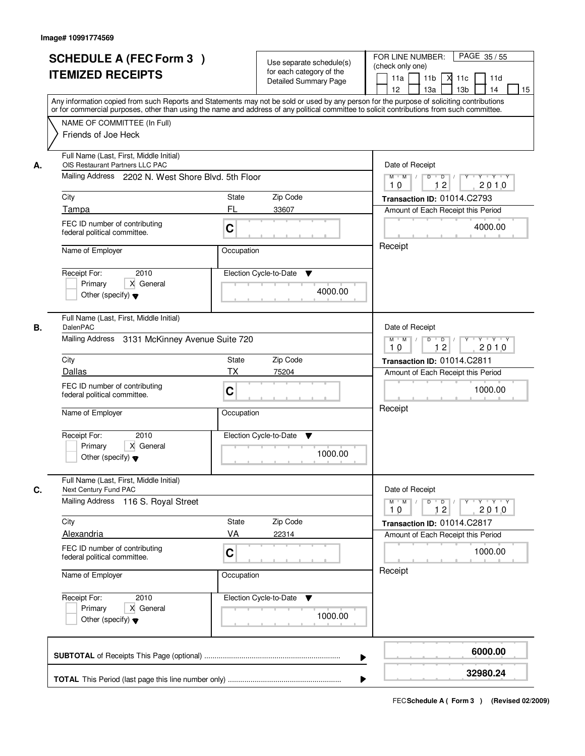|    | <b>SCHEDULE A (FEC Form 3)</b><br><b>ITEMIZED RECEIPTS</b><br>Any information copied from such Reports and Statements may not be sold or used by any person for the purpose of soliciting contributions |              | Use separate schedule(s)<br>for each category of the<br><b>Detailed Summary Page</b> | PAGE 35 / 55<br>FOR LINE NUMBER:<br>(check only one)<br>11 <sub>b</sub><br>11a<br>11c<br>11d<br>М<br>13 <sub>b</sub><br>12 <sup>2</sup><br>13a<br>14<br>15                                                                                                                                                                                                                                                                                                              |
|----|---------------------------------------------------------------------------------------------------------------------------------------------------------------------------------------------------------|--------------|--------------------------------------------------------------------------------------|-------------------------------------------------------------------------------------------------------------------------------------------------------------------------------------------------------------------------------------------------------------------------------------------------------------------------------------------------------------------------------------------------------------------------------------------------------------------------|
|    | or for commercial purposes, other than using the name and address of any political committee to solicit contributions from such committee.<br>NAME OF COMMITTEE (In Full)<br>Friends of Joe Heck        |              |                                                                                      |                                                                                                                                                                                                                                                                                                                                                                                                                                                                         |
| А. | Full Name (Last, First, Middle Initial)<br>OIS Restaurant Partners LLC PAC<br>Mailing Address 2202 N. West Shore Blvd. 5th Floor                                                                        |              |                                                                                      | Date of Receipt<br>$\begin{array}{c c c c c c c c} \hline \textbf{0} & \textbf{0} & \textbf{0} & \textbf{0} & \textbf{0} & \textbf{0} & \textbf{0} & \textbf{0} & \textbf{0} & \textbf{0} & \textbf{0} & \textbf{0} & \textbf{0} & \textbf{0} & \textbf{0} & \textbf{0} & \textbf{0} & \textbf{0} & \textbf{0} & \textbf{0} & \textbf{0} & \textbf{0} & \textbf{0} & \textbf{0} & \textbf{0} & \textbf{0} & \textbf{0} & \textbf{0} &$<br>$M$ $M$ /<br>12<br>2010<br>10 |
|    | City                                                                                                                                                                                                    | State        | Zip Code                                                                             | Transaction ID: 01014.C2793                                                                                                                                                                                                                                                                                                                                                                                                                                             |
|    | Tampa                                                                                                                                                                                                   | FL           | 33607                                                                                | Amount of Each Receipt this Period                                                                                                                                                                                                                                                                                                                                                                                                                                      |
|    | FEC ID number of contributing<br>federal political committee.                                                                                                                                           | C            |                                                                                      | 4000.00                                                                                                                                                                                                                                                                                                                                                                                                                                                                 |
|    | Name of Employer                                                                                                                                                                                        | Occupation   |                                                                                      | Receipt                                                                                                                                                                                                                                                                                                                                                                                                                                                                 |
|    | 2010<br>Receipt For:<br>X General<br>Primary<br>Other (specify) $\blacktriangledown$                                                                                                                    |              | Election Cycle-to-Date<br>▼<br>4000.00                                               |                                                                                                                                                                                                                                                                                                                                                                                                                                                                         |
| В. | Full Name (Last, First, Middle Initial)<br>DalenPAC                                                                                                                                                     |              |                                                                                      | Date of Receipt                                                                                                                                                                                                                                                                                                                                                                                                                                                         |
|    | Mailing Address 3131 McKinney Avenue Suite 720                                                                                                                                                          |              |                                                                                      | $Y - Y - Y$<br>$M$ $M$ /<br>D<br>$\Box$ D $\Box$ /<br>12<br>2010<br>10                                                                                                                                                                                                                                                                                                                                                                                                  |
|    | City                                                                                                                                                                                                    | <b>State</b> | Zip Code                                                                             | Transaction ID: 01014.C2811                                                                                                                                                                                                                                                                                                                                                                                                                                             |
|    | Dallas                                                                                                                                                                                                  | <b>TX</b>    | 75204                                                                                | Amount of Each Receipt this Period                                                                                                                                                                                                                                                                                                                                                                                                                                      |
|    | FEC ID number of contributing<br>federal political committee.                                                                                                                                           | C            |                                                                                      | 1000.00<br>Receipt                                                                                                                                                                                                                                                                                                                                                                                                                                                      |
|    | Name of Employer                                                                                                                                                                                        | Occupation   |                                                                                      |                                                                                                                                                                                                                                                                                                                                                                                                                                                                         |
|    | Receipt For:<br>2010<br>Primary<br>X General<br>Other (specify) $\blacktriangledown$                                                                                                                    |              | Election Cycle-to-Date<br>v<br>1000.00                                               |                                                                                                                                                                                                                                                                                                                                                                                                                                                                         |
| C. | Full Name (Last, First, Middle Initial)<br>Next Century Fund PAC                                                                                                                                        |              |                                                                                      | Date of Receipt                                                                                                                                                                                                                                                                                                                                                                                                                                                         |
|    | Mailing Address 116 S. Royal Street                                                                                                                                                                     |              |                                                                                      | $M = M$<br>$D$ $D$ $I$<br><b>EYELYELYELY</b><br>12<br>2010<br>10                                                                                                                                                                                                                                                                                                                                                                                                        |
|    | City                                                                                                                                                                                                    | <b>State</b> | Zip Code                                                                             | Transaction ID: 01014.C2817                                                                                                                                                                                                                                                                                                                                                                                                                                             |
|    | <b>Alexandria</b><br>FEC ID number of contributing<br>federal political committee.                                                                                                                      | VA<br>C      | 22314                                                                                | Amount of Each Receipt this Period<br>1000.00                                                                                                                                                                                                                                                                                                                                                                                                                           |
|    | Name of Employer                                                                                                                                                                                        | Occupation   |                                                                                      | Receipt                                                                                                                                                                                                                                                                                                                                                                                                                                                                 |
|    | Receipt For:<br>2010<br>Primary<br>X General<br>Other (specify) $\blacktriangledown$                                                                                                                    |              | Election Cycle-to-Date<br>v<br>1000.00                                               |                                                                                                                                                                                                                                                                                                                                                                                                                                                                         |
|    |                                                                                                                                                                                                         |              | ▶                                                                                    | 6000.00                                                                                                                                                                                                                                                                                                                                                                                                                                                                 |
|    |                                                                                                                                                                                                         |              |                                                                                      | 32980.24                                                                                                                                                                                                                                                                                                                                                                                                                                                                |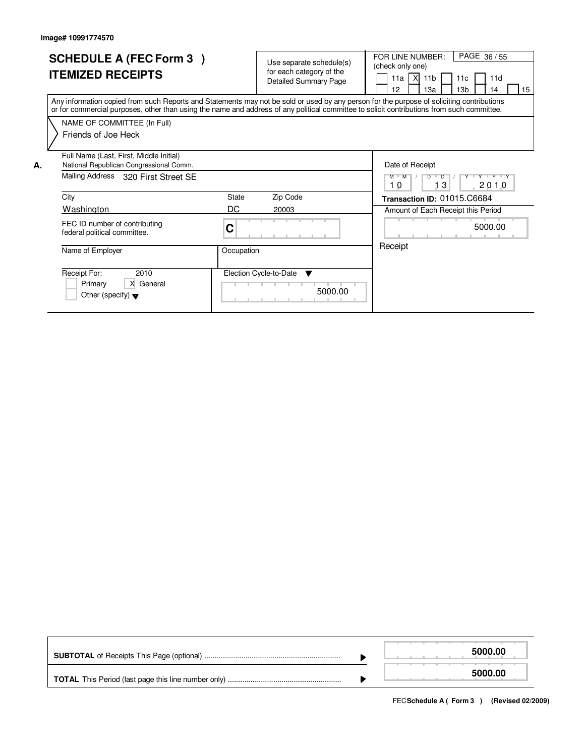|    | <b>SCHEDULE A (FEC Form 3)</b><br><b>ITEMIZED RECEIPTS</b>                                                                                                                                                                                                                              |             | Use separate schedule(s)<br>for each category of the<br><b>Detailed Summary Page</b> | PAGE 36 / 55<br>FOR LINE NUMBER:<br>(check only one)<br>11a   $X$  <br>11 <sub>b</sub><br>11d<br>11 <sub>c</sub><br>12<br>13a<br>13 <sub>b</sub><br>15<br>14 |
|----|-----------------------------------------------------------------------------------------------------------------------------------------------------------------------------------------------------------------------------------------------------------------------------------------|-------------|--------------------------------------------------------------------------------------|--------------------------------------------------------------------------------------------------------------------------------------------------------------|
|    | Any information copied from such Reports and Statements may not be sold or used by any person for the purpose of soliciting contributions<br>or for commercial purposes, other than using the name and address of any political committee to solicit contributions from such committee. |             |                                                                                      |                                                                                                                                                              |
|    | NAME OF COMMITTEE (In Full)<br>Friends of Joe Heck                                                                                                                                                                                                                                      |             |                                                                                      |                                                                                                                                                              |
| Α. | Full Name (Last, First, Middle Initial)<br>National Republican Congressional Comm.<br>Mailing Address 320 First Street SE                                                                                                                                                               |             |                                                                                      | Date of Receipt<br>Y Y Y Y Y Y<br>$\overline{D}$<br>$M$ $M$<br>D<br>3<br>2010<br>10                                                                          |
|    | City<br>Washington                                                                                                                                                                                                                                                                      | State<br>DC | Zip Code<br>20003                                                                    | Transaction ID: 01015.C6684<br>Amount of Each Receipt this Period                                                                                            |
|    | FEC ID number of contributing<br>federal political committee.                                                                                                                                                                                                                           | C           |                                                                                      | 5000.00                                                                                                                                                      |
|    | Name of Employer                                                                                                                                                                                                                                                                        | Occupation  |                                                                                      | Receipt                                                                                                                                                      |
|    | Receipt For:<br>2010<br>X General<br>Primary<br>Other (specify) $\blacktriangledown$                                                                                                                                                                                                    |             | Election Cycle-to-Date<br>▼<br>5000.00                                               |                                                                                                                                                              |

|  | 5000.00 |
|--|---------|
|  | 5000.00 |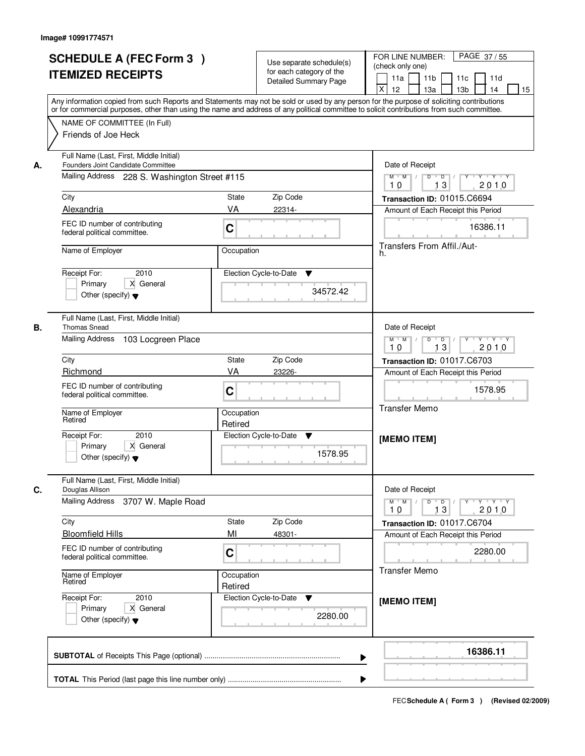|    | <b>SCHEDULE A (FEC Form 3)</b>                                                                                                                                                                                                                                                          |                       | Use separate schedule(s)<br>for each category of the | PAGE 37/55<br>FOR LINE NUMBER:<br>(check only one)                                                     |  |  |  |  |  |
|----|-----------------------------------------------------------------------------------------------------------------------------------------------------------------------------------------------------------------------------------------------------------------------------------------|-----------------------|------------------------------------------------------|--------------------------------------------------------------------------------------------------------|--|--|--|--|--|
|    | <b>ITEMIZED RECEIPTS</b>                                                                                                                                                                                                                                                                |                       | <b>Detailed Summary Page</b>                         | 11 <sub>b</sub><br>11d<br>11a<br>11c<br>X<br>12<br>13a<br>13 <sub>b</sub><br>14<br>15                  |  |  |  |  |  |
|    | Any information copied from such Reports and Statements may not be sold or used by any person for the purpose of soliciting contributions<br>or for commercial purposes, other than using the name and address of any political committee to solicit contributions from such committee. |                       |                                                      |                                                                                                        |  |  |  |  |  |
|    | NAME OF COMMITTEE (In Full)<br>Friends of Joe Heck                                                                                                                                                                                                                                      |                       |                                                      |                                                                                                        |  |  |  |  |  |
| А. | Full Name (Last, First, Middle Initial)<br>Founders Joint Candidate Committee                                                                                                                                                                                                           | Date of Receipt       |                                                      |                                                                                                        |  |  |  |  |  |
|    | Mailing Address 228 S. Washington Street #115                                                                                                                                                                                                                                           |                       |                                                      | $M$ $M$<br>$\overline{D}$<br>$\blacksquare$ D $\blacksquare$ /<br>$Y - Y - Y$<br>Y<br>13<br>2010<br>10 |  |  |  |  |  |
|    | City                                                                                                                                                                                                                                                                                    | <b>State</b>          | Zip Code                                             | Transaction ID: 01015.C6694                                                                            |  |  |  |  |  |
|    | Alexandria                                                                                                                                                                                                                                                                              | VA                    | 22314-                                               | Amount of Each Receipt this Period                                                                     |  |  |  |  |  |
|    | FEC ID number of contributing<br>federal political committee.                                                                                                                                                                                                                           | C                     |                                                      | 16386.11                                                                                               |  |  |  |  |  |
|    | Name of Employer                                                                                                                                                                                                                                                                        | Occupation            |                                                      | Transfers From Affil./Aut-<br>h.                                                                       |  |  |  |  |  |
|    | Receipt For:<br>2010                                                                                                                                                                                                                                                                    |                       | Election Cycle-to-Date<br>▼                          |                                                                                                        |  |  |  |  |  |
|    | Primary<br>X General<br>Other (specify) $\blacktriangledown$                                                                                                                                                                                                                            |                       | 34572.42                                             |                                                                                                        |  |  |  |  |  |
| В. | Full Name (Last, First, Middle Initial)<br><b>Thomas Snead</b>                                                                                                                                                                                                                          |                       |                                                      | Date of Receipt                                                                                        |  |  |  |  |  |
|    | Mailing Address<br>103 Locgreen Place                                                                                                                                                                                                                                                   |                       |                                                      | $M$ $M$ /<br>$D$ $D$ $1$<br>Y Y Y Y Y<br>13<br>2010<br>10                                              |  |  |  |  |  |
|    | City                                                                                                                                                                                                                                                                                    | <b>State</b>          | Zip Code                                             | Transaction ID: 01017.C6703                                                                            |  |  |  |  |  |
|    | Richmond                                                                                                                                                                                                                                                                                | VA                    | 23226-                                               | Amount of Each Receipt this Period                                                                     |  |  |  |  |  |
|    | FEC ID number of contributing<br>federal political committee.                                                                                                                                                                                                                           | C                     |                                                      | 1578.95<br><b>Transfer Memo</b>                                                                        |  |  |  |  |  |
|    | Name of Employer<br>Retired                                                                                                                                                                                                                                                             | Occupation<br>Retired |                                                      |                                                                                                        |  |  |  |  |  |
|    | 2010<br>Receipt For:                                                                                                                                                                                                                                                                    |                       | Election Cycle-to-Date<br>V                          | [MEMO ITEM]                                                                                            |  |  |  |  |  |
|    | Primary<br>X General<br>Other (specify) $\blacktriangledown$                                                                                                                                                                                                                            |                       | 1578.95                                              |                                                                                                        |  |  |  |  |  |
| C. | Full Name (Last, First, Middle Initial)<br>Douglas Allison                                                                                                                                                                                                                              |                       |                                                      | Date of Receipt                                                                                        |  |  |  |  |  |
|    | Mailing Address<br>3707 W. Maple Road                                                                                                                                                                                                                                                   |                       |                                                      | $D$ $D$ $/$<br>$M$ $M$<br>$Y - Y - Y - Y$<br>$Y^+$<br>2010<br>10<br>13                                 |  |  |  |  |  |
|    | City                                                                                                                                                                                                                                                                                    | State                 | Zip Code                                             | Transaction ID: 01017.C6704                                                                            |  |  |  |  |  |
|    | <b>Bloomfield Hills</b>                                                                                                                                                                                                                                                                 | MI                    | 48301-                                               | Amount of Each Receipt this Period                                                                     |  |  |  |  |  |
|    | FEC ID number of contributing<br>federal political committee.                                                                                                                                                                                                                           | C                     |                                                      | 2280.00<br><b>Transfer Memo</b>                                                                        |  |  |  |  |  |
|    | Name of Employer<br>Retired                                                                                                                                                                                                                                                             | Occupation<br>Retired |                                                      |                                                                                                        |  |  |  |  |  |
|    | Receipt For:<br>2010<br>X General<br>Primary<br>Other (specify) $\blacktriangledown$                                                                                                                                                                                                    |                       | Election Cycle-to-Date<br>v<br>2280.00               | [MEMO ITEM]                                                                                            |  |  |  |  |  |
|    |                                                                                                                                                                                                                                                                                         |                       | ▶                                                    | 16386.11                                                                                               |  |  |  |  |  |
|    |                                                                                                                                                                                                                                                                                         |                       |                                                      |                                                                                                        |  |  |  |  |  |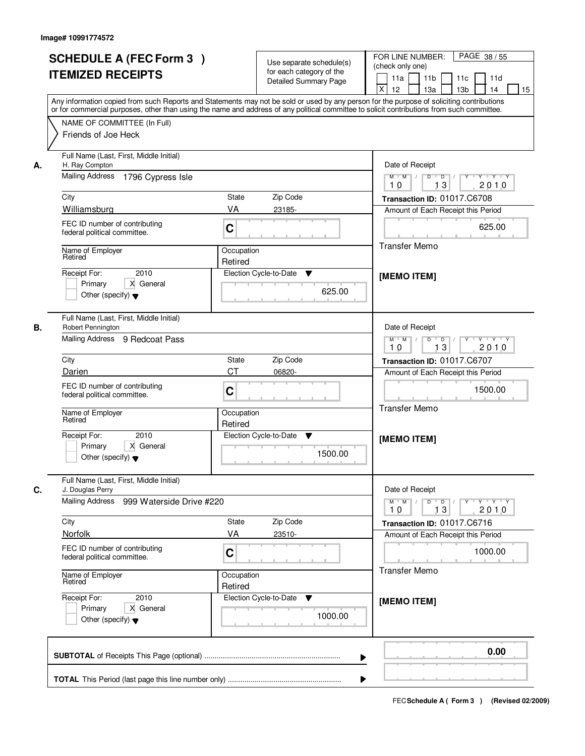| <b>SCHEDULE A (FEC Form 3)</b><br><b>ITEMIZED RECEIPTS</b>                                                                                                                                                                                                                                                                   | Use separate schedule(s)<br>for each category of the<br><b>Detailed Summary Page</b>                                                                                                                                                                                                    | PAGE 38 / 55<br>FOR LINE NUMBER:<br>(check only one)<br>11 <sub>b</sub><br>11a<br>11c<br>11d<br>X<br>12<br>13 <sub>b</sub><br>13a<br>14                                                                                                                           |
|------------------------------------------------------------------------------------------------------------------------------------------------------------------------------------------------------------------------------------------------------------------------------------------------------------------------------|-----------------------------------------------------------------------------------------------------------------------------------------------------------------------------------------------------------------------------------------------------------------------------------------|-------------------------------------------------------------------------------------------------------------------------------------------------------------------------------------------------------------------------------------------------------------------|
| NAME OF COMMITTEE (In Full)<br>Friends of Joe Heck                                                                                                                                                                                                                                                                           | Any information copied from such Reports and Statements may not be sold or used by any person for the purpose of soliciting contributions<br>or for commercial purposes, other than using the name and address of any political committee to solicit contributions from such committee. |                                                                                                                                                                                                                                                                   |
| Full Name (Last, First, Middle Initial)<br>H. Ray Compton<br><b>Mailing Address</b><br>1796 Cypress Isle<br>City<br>Williamsburg<br>FEC ID number of contributing<br>federal political committee.<br>Name of Employer<br>Retired<br>2010<br>Receipt For:<br>X General<br>Primary<br>Other (specify) $\blacktriangledown$     | Zip Code<br>State<br>VA<br>23185-<br>C<br>Occupation<br>Retired<br>Election Cycle-to-Date<br>▼<br>625.00                                                                                                                                                                                | Date of Receipt<br>$Y + Y + Y$<br>$M$ $M$ /<br>$D$ $D$ $/$<br>$\overline{Y}$<br>2010<br>10<br>13<br>Transaction ID: 01017.C6708<br>Amount of Each Receipt this Period<br>625.00<br><b>Transfer Memo</b><br>[MEMO ITEM]                                            |
| Full Name (Last, First, Middle Initial)<br>В.<br>Robert Pennington<br>Mailing Address 9 Redcoat Pass<br>City<br>Darien<br>FEC ID number of contributing<br>federal political committee.<br>Name of Employer<br>Retired<br>Receipt For:<br>2010<br>Primary<br>X General<br>Other (specify) $\blacktriangledown$               | Zip Code<br><b>State</b><br><b>CT</b><br>06820-<br>C<br>Occupation<br>Retired<br>Election Cycle-to-Date<br>v<br>1500.00                                                                                                                                                                 | Date of Receipt<br>$M$ $M$ /<br>$D$ $D$ $1$<br>Y 'Y 'Y<br>13<br>2010<br>10<br>Transaction ID: 01017.C6707<br>Amount of Each Receipt this Period<br>1500.00<br><b>Transfer Memo</b><br>[MEMO ITEM]                                                                 |
| Full Name (Last, First, Middle Initial)<br>J. Douglas Perry<br><b>Mailing Address</b><br>999 Waterside Drive #220<br>City<br>Norfolk<br>FEC ID number of contributing<br>federal political committee.<br>Name of Employer<br>Retired<br>Receipt For:<br>2010<br>Primary<br>X General<br>Other (specify) $\blacktriangledown$ | Zip Code<br>State<br>VA<br>23510-<br>C<br>Occupation<br>Retired<br>Election Cycle-to-Date<br>v<br>1000.00                                                                                                                                                                               | Date of Receipt<br>$M = M$<br>$\mathsf D$<br>$\overline{D}$ /<br>$\mathsf{Y} \dashv \mathsf{Y} \dashv \mathsf{Y}$<br>Y<br>13<br>2010<br>10<br>Transaction ID: 01017.C6716<br>Amount of Each Receipt this Period<br>1000.00<br><b>Transfer Memo</b><br>[MEMO ITEM] |
|                                                                                                                                                                                                                                                                                                                              | ▶                                                                                                                                                                                                                                                                                       | 0.00                                                                                                                                                                                                                                                              |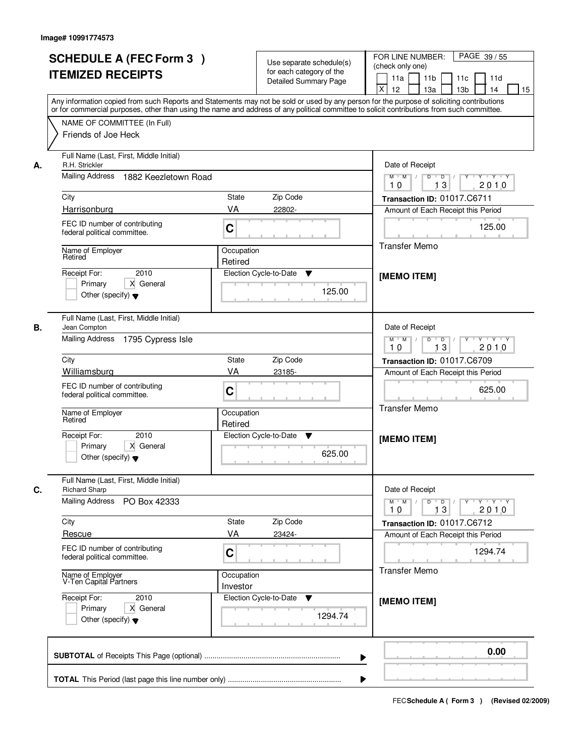| <b>SCHEDULE A (FEC Form 3)</b><br><b>ITEMIZED RECEIPTS</b>                                                                                                                                                                                                                                                                  | Use separate schedule(s)<br>for each category of the<br><b>Detailed Summary Page</b>                                                                                                                                                                                                    | FOR LINE NUMBER:<br>PAGE 39/55<br>(check only one)<br>11 <sub>b</sub><br>11a<br>11d<br>11c<br>X<br>12<br>13 <sub>b</sub><br>13a<br>14                                                                                                         |
|-----------------------------------------------------------------------------------------------------------------------------------------------------------------------------------------------------------------------------------------------------------------------------------------------------------------------------|-----------------------------------------------------------------------------------------------------------------------------------------------------------------------------------------------------------------------------------------------------------------------------------------|-----------------------------------------------------------------------------------------------------------------------------------------------------------------------------------------------------------------------------------------------|
| NAME OF COMMITTEE (In Full)<br>Friends of Joe Heck                                                                                                                                                                                                                                                                          | Any information copied from such Reports and Statements may not be sold or used by any person for the purpose of soliciting contributions<br>or for commercial purposes, other than using the name and address of any political committee to solicit contributions from such committee. |                                                                                                                                                                                                                                               |
| Full Name (Last, First, Middle Initial)<br>R.H. Strickler<br>Mailing Address<br>1882 Keezletown Road<br>City<br>Harrisonburg<br>FEC ID number of contributing<br>federal political committee.<br>Name of Employer<br>Retired<br>2010<br>Receipt For:<br>X General<br>Primary<br>Other (specify) $\blacktriangledown$        | Zip Code<br>State<br>VA<br>22802-<br>C<br>Occupation<br>Retired<br>Election Cycle-to-Date<br>▼<br>125.00                                                                                                                                                                                | Date of Receipt<br>$Y + Y + Y$<br>$M$ $M$ /<br>$D$ $D$ $/$<br>$\overline{Y}$<br>2010<br>10<br>13<br>Transaction ID: 01017.C6711<br>Amount of Each Receipt this Period<br>125.00<br><b>Transfer Memo</b><br>[MEMO ITEM]                        |
| Full Name (Last, First, Middle Initial)<br>Jean Compton<br>Mailing Address 1795 Cypress Isle<br>City<br>Williamsburg<br>FEC ID number of contributing<br>federal political committee.<br>Name of Employer<br>Retired<br>Receipt For:<br>2010<br>Primary<br>X General<br>Other (specify) $\blacktriangledown$                | Zip Code<br><b>State</b><br>VA<br>23185-<br>C<br>Occupation<br>Retired<br>Election Cycle-to-Date<br>v<br>625.00                                                                                                                                                                         | Date of Receipt<br>$M$ $M$ /<br>$D$ $D$ $1$<br>$Y - Y - Y$<br>13<br>2010<br>10<br>Transaction ID: 01017.C6709<br>Amount of Each Receipt this Period<br>625.00<br><b>Transfer Memo</b><br>[MEMO ITEM]                                          |
| Full Name (Last, First, Middle Initial)<br><b>Richard Sharp</b><br>Mailing Address<br>PO Box 42333<br>City<br>Rescue<br>FEC ID number of contributing<br>federal political committee.<br>Name of Employer<br>V-Ten Capital Partners<br>Receipt For:<br>2010<br>Primary<br>X General<br>Other (specify) $\blacktriangledown$ | Zip Code<br>State<br>VA<br>23424-<br>C<br>Occupation<br>Investor<br>Election Cycle-to-Date<br>v<br>1294.74                                                                                                                                                                              | Date of Receipt<br>$M$ $M$<br>$D$ $D$ $l$<br>$\mathsf{Y} \dashv \mathsf{Y} \dashv \mathsf{Y}$<br>Y<br>13<br>2010<br>10<br>Transaction ID: 01017.C6712<br>Amount of Each Receipt this Period<br>1294.74<br><b>Transfer Memo</b><br>[MEMO ITEM] |
|                                                                                                                                                                                                                                                                                                                             | ▶                                                                                                                                                                                                                                                                                       | 0.00                                                                                                                                                                                                                                          |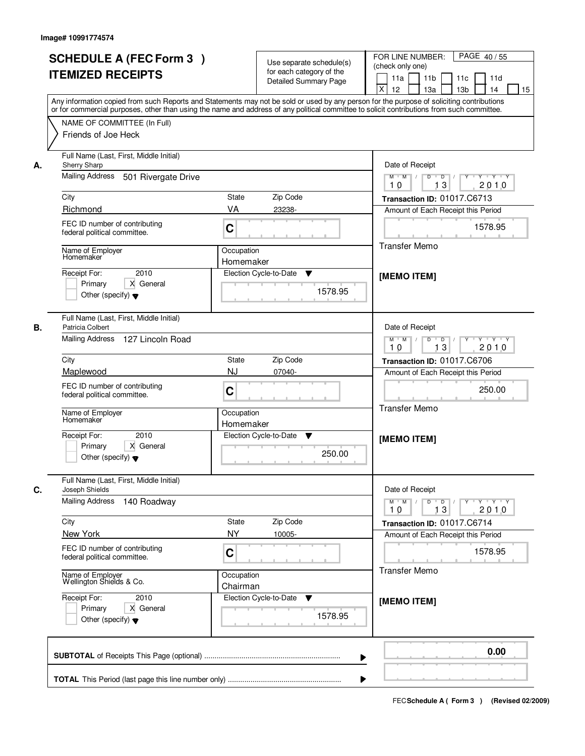| <b>SCHEDULE A (FEC Form 3)</b><br><b>ITEMIZED RECEIPTS</b>                                                                                                                                          | Use separate schedule(s)<br>for each category of the<br><b>Detailed Summary Page</b><br>Any information copied from such Reports and Statements may not be sold or used by any person for the purpose of soliciting contributions<br>or for commercial purposes, other than using the name and address of any political committee to solicit contributions from such committee. | PAGE 40/55<br>FOR LINE NUMBER:<br>(check only one)<br>11 <sub>b</sub><br>11a<br>11d<br>11c<br>X<br>12<br>13 <sub>b</sub><br>13a<br>14<br>15                                                              |
|-----------------------------------------------------------------------------------------------------------------------------------------------------------------------------------------------------|---------------------------------------------------------------------------------------------------------------------------------------------------------------------------------------------------------------------------------------------------------------------------------------------------------------------------------------------------------------------------------|----------------------------------------------------------------------------------------------------------------------------------------------------------------------------------------------------------|
| NAME OF COMMITTEE (In Full)<br>Friends of Joe Heck                                                                                                                                                  |                                                                                                                                                                                                                                                                                                                                                                                 |                                                                                                                                                                                                          |
| Full Name (Last, First, Middle Initial)<br>Sherry Sharp<br>А.<br><b>Mailing Address</b><br>501 Rivergate Drive<br>City<br>Richmond<br>FEC ID number of contributing<br>federal political committee. | Zip Code<br>State<br>VA<br>23238-<br>C                                                                                                                                                                                                                                                                                                                                          | Date of Receipt<br>$Y + Y + Y$<br>$M$ $M$ /<br>$D$ $D$ $/$<br>$\overline{Y}$<br>2010<br>10<br>13<br>Transaction ID: 01017.C6713<br>Amount of Each Receipt this Period<br>1578.95<br><b>Transfer Memo</b> |
| Name of Employer<br>Homemaker<br>2010<br>Receipt For:<br>X General<br>Primary<br>Other (specify) $\blacktriangledown$                                                                               | Occupation<br>Homemaker<br>Election Cycle-to-Date<br>Y<br>1578.95                                                                                                                                                                                                                                                                                                               | [MEMO ITEM]                                                                                                                                                                                              |
| Full Name (Last, First, Middle Initial)<br>В.<br>Patricia Colbert<br>Mailing Address 127 Lincoln Road<br>City                                                                                       | Zip Code<br><b>State</b>                                                                                                                                                                                                                                                                                                                                                        | Date of Receipt<br>$M$ $M$ /<br>$D$ $D$ $1$<br>$Y \vdash Y \vdash Y$<br>13<br>2010<br>10<br>Transaction ID: 01017.C6706                                                                                  |
| Maplewood<br>FEC ID number of contributing<br>federal political committee.<br>Name of Employer<br>Homemaker                                                                                         | <b>NJ</b><br>07040-<br>C<br>Occupation                                                                                                                                                                                                                                                                                                                                          | Amount of Each Receipt this Period<br>250.00<br><b>Transfer Memo</b>                                                                                                                                     |
| Receipt For:<br>2010<br>Primary<br>X General<br>Other (specify) $\blacktriangledown$                                                                                                                | Homemaker<br>Election Cycle-to-Date<br>v<br>250.00                                                                                                                                                                                                                                                                                                                              | [MEMO ITEM]                                                                                                                                                                                              |
| Full Name (Last, First, Middle Initial)<br>С.<br>Joseph Shields<br><b>Mailing Address</b><br>140 Roadway                                                                                            |                                                                                                                                                                                                                                                                                                                                                                                 | Date of Receipt<br>$M^{\prime}$ M $\rightarrow$ /<br>$\mathsf D$<br>$\overline{D}$ /<br>$Y - Y - Y - Y$<br>Y<br>13<br>2010<br>10                                                                         |
| City<br>New York<br>FEC ID number of contributing<br>federal political committee.                                                                                                                   | Zip Code<br>State<br><b>NY</b><br>10005-<br>C                                                                                                                                                                                                                                                                                                                                   | Transaction ID: 01017.C6714<br>Amount of Each Receipt this Period<br>1578.95                                                                                                                             |
| Name of Employer<br>Wellington Shields & Co.<br>Receipt For:<br>2010<br>Primary<br>X General<br>Other (specify) $\blacktriangledown$                                                                | Occupation<br>Chairman<br>Election Cycle-to-Date<br>v<br>1578.95                                                                                                                                                                                                                                                                                                                | <b>Transfer Memo</b><br>[MEMO ITEM]                                                                                                                                                                      |
|                                                                                                                                                                                                     | ▶                                                                                                                                                                                                                                                                                                                                                                               | 0.00                                                                                                                                                                                                     |
|                                                                                                                                                                                                     |                                                                                                                                                                                                                                                                                                                                                                                 |                                                                                                                                                                                                          |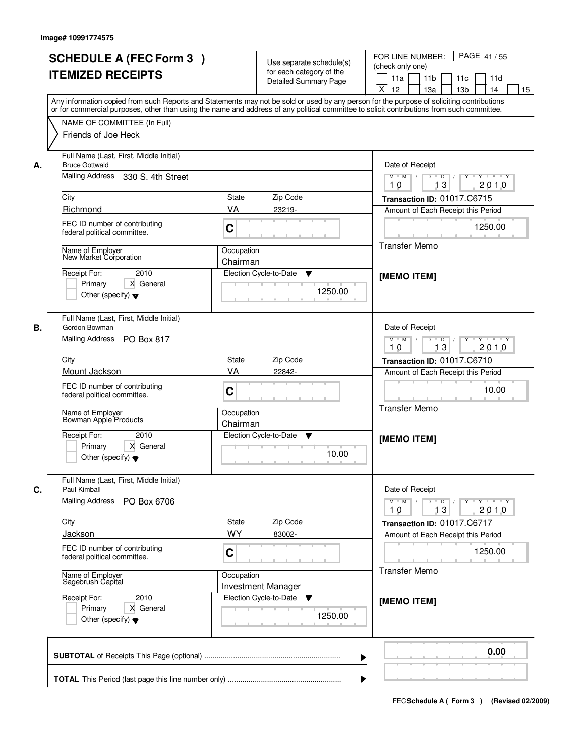| or for commercial purposes, other than using the name and address of any political committee to solicit contributions from such committee.<br>NAME OF COMMITTEE (In Full)<br>Friends of Joe Heck<br>Full Name (Last, First, Middle Initial)<br><b>Bruce Gottwald</b><br>А.<br>Mailing Address 330 S. 4th Street<br>City<br>State<br>Richmond<br>VA<br>FEC ID number of contributing<br>C<br>federal political committee.<br>Name of Employer<br>New Market Corporation<br>2010<br>Receipt For:<br>Primary<br>X General<br>Other (specify) $\blacktriangledown$<br>Full Name (Last, First, Middle Initial)<br>Gordon Bowman<br>В.<br>Mailing Address PO Box 817<br>City<br><b>State</b><br>Mount Jackson<br>VA<br>FEC ID number of contributing<br>C | Zip Code<br>23219-<br>Occupation<br>Chairman<br>Election Cycle-to-Date<br>▼<br>1250.00 | Date of Receipt<br>$\begin{array}{c c c c c c c c} \hline \textbf{0} & \textbf{0} & \textbf{0} & \textbf{0} & \textbf{0} & \textbf{0} & \textbf{0} & \textbf{0} & \textbf{0} & \textbf{0} & \textbf{0} & \textbf{0} & \textbf{0} & \textbf{0} & \textbf{0} & \textbf{0} & \textbf{0} & \textbf{0} & \textbf{0} & \textbf{0} & \textbf{0} & \textbf{0} & \textbf{0} & \textbf{0} & \textbf{0} & \textbf{0} & \textbf{0} & \textbf{0} &$<br>$M$ $M$ /<br>2010<br>10<br>13<br>Transaction ID: 01017.C6715<br>Amount of Each Receipt this Period<br>1250.00<br><b>Transfer Memo</b><br>[MEMO ITEM] |
|-----------------------------------------------------------------------------------------------------------------------------------------------------------------------------------------------------------------------------------------------------------------------------------------------------------------------------------------------------------------------------------------------------------------------------------------------------------------------------------------------------------------------------------------------------------------------------------------------------------------------------------------------------------------------------------------------------------------------------------------------------|----------------------------------------------------------------------------------------|------------------------------------------------------------------------------------------------------------------------------------------------------------------------------------------------------------------------------------------------------------------------------------------------------------------------------------------------------------------------------------------------------------------------------------------------------------------------------------------------------------------------------------------------------------------------------------------------|
|                                                                                                                                                                                                                                                                                                                                                                                                                                                                                                                                                                                                                                                                                                                                                     |                                                                                        |                                                                                                                                                                                                                                                                                                                                                                                                                                                                                                                                                                                                |
|                                                                                                                                                                                                                                                                                                                                                                                                                                                                                                                                                                                                                                                                                                                                                     |                                                                                        |                                                                                                                                                                                                                                                                                                                                                                                                                                                                                                                                                                                                |
|                                                                                                                                                                                                                                                                                                                                                                                                                                                                                                                                                                                                                                                                                                                                                     |                                                                                        |                                                                                                                                                                                                                                                                                                                                                                                                                                                                                                                                                                                                |
|                                                                                                                                                                                                                                                                                                                                                                                                                                                                                                                                                                                                                                                                                                                                                     |                                                                                        | Date of Receipt<br>$Y - Y - Y$<br>$M$ $M$ /<br>D<br>$\Box$ D $\Box$ /<br>13<br>2010<br>10                                                                                                                                                                                                                                                                                                                                                                                                                                                                                                      |
| federal political committee.                                                                                                                                                                                                                                                                                                                                                                                                                                                                                                                                                                                                                                                                                                                        | Zip Code<br>22842-                                                                     | Transaction ID: 01017.C6710<br>Amount of Each Receipt this Period<br>10.00<br><b>Transfer Memo</b>                                                                                                                                                                                                                                                                                                                                                                                                                                                                                             |
| Name of Employer<br>Bowman Apple Products<br>Receipt For:<br>2010<br>Primary<br>X General<br>Other (specify) $\blacktriangledown$                                                                                                                                                                                                                                                                                                                                                                                                                                                                                                                                                                                                                   | Occupation<br>Chairman<br>Election Cycle-to-Date<br>v<br>10.00                         | [MEMO ITEM]                                                                                                                                                                                                                                                                                                                                                                                                                                                                                                                                                                                    |
| Full Name (Last, First, Middle Initial)<br>C.<br>Paul Kimball<br><b>Mailing Address</b><br>PO Box 6706                                                                                                                                                                                                                                                                                                                                                                                                                                                                                                                                                                                                                                              |                                                                                        | Date of Receipt<br>$M$ $M$ $/$<br>$D$ $D$ $l$<br>$\mathsf{Y} \dashv \mathsf{Y} \dashv \mathsf{Y} \dashv \mathsf{Y}$<br>13<br>2010<br>10                                                                                                                                                                                                                                                                                                                                                                                                                                                        |
| City<br><b>State</b><br>WY<br><b>Jackson</b><br>FEC ID number of contributing<br>C<br>federal political committee.                                                                                                                                                                                                                                                                                                                                                                                                                                                                                                                                                                                                                                  | Zip Code<br>83002-                                                                     | Transaction ID: 01017.C6717<br>Amount of Each Receipt this Period<br>1250.00                                                                                                                                                                                                                                                                                                                                                                                                                                                                                                                   |
| Name of Employer<br>Sagebrush Capital<br>Receipt For:<br>2010<br>Primary<br>X General<br>Other (specify) $\blacktriangledown$                                                                                                                                                                                                                                                                                                                                                                                                                                                                                                                                                                                                                       | Occupation<br><b>Investment Manager</b><br>Election Cycle-to-Date<br>v<br>1250.00      | <b>Transfer Memo</b><br>[MEMO ITEM]                                                                                                                                                                                                                                                                                                                                                                                                                                                                                                                                                            |
|                                                                                                                                                                                                                                                                                                                                                                                                                                                                                                                                                                                                                                                                                                                                                     | ▶                                                                                      | 0.00                                                                                                                                                                                                                                                                                                                                                                                                                                                                                                                                                                                           |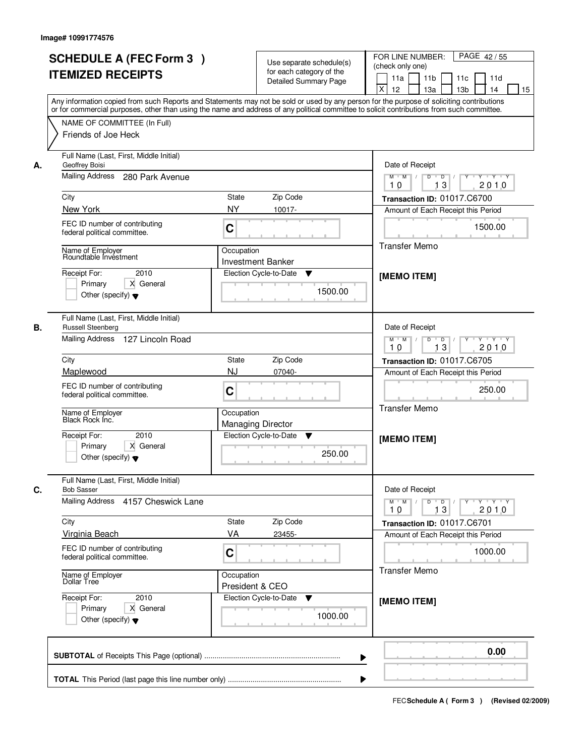| <b>SCHEDULE A (FEC Form 3)</b><br><b>ITEMIZED RECEIPTS</b>                                                                                                                                                                                                                                                                                                          | Use separate schedule(s)<br>for each category of the<br><b>Detailed Summary Page</b><br>Any information copied from such Reports and Statements may not be sold or used by any person for the purpose of soliciting contributions<br>or for commercial purposes, other than using the name and address of any political committee to solicit contributions from such committee. | FOR LINE NUMBER:<br>PAGE 42/55<br>(check only one)<br>11 <sub>b</sub><br>11a<br>11d<br>11c<br>X<br>12<br>13 <sub>b</sub><br>13a<br>14<br>15                                                                                      |
|---------------------------------------------------------------------------------------------------------------------------------------------------------------------------------------------------------------------------------------------------------------------------------------------------------------------------------------------------------------------|---------------------------------------------------------------------------------------------------------------------------------------------------------------------------------------------------------------------------------------------------------------------------------------------------------------------------------------------------------------------------------|----------------------------------------------------------------------------------------------------------------------------------------------------------------------------------------------------------------------------------|
| NAME OF COMMITTEE (In Full)<br>Friends of Joe Heck                                                                                                                                                                                                                                                                                                                  |                                                                                                                                                                                                                                                                                                                                                                                 |                                                                                                                                                                                                                                  |
| Full Name (Last, First, Middle Initial)<br>Geoffrey Boisi<br>А.<br>Mailing Address<br>280 Park Avenue<br>City<br>New York<br>FEC ID number of contributing<br>federal political committee.<br>Name of Employer<br>Roundtable Investment<br>Receipt For:<br>2010<br>X General<br>Primary                                                                             | Zip Code<br>State<br><b>NY</b><br>10017-<br>C<br>Occupation<br>Investment Banker<br>Election Cycle-to-Date<br>▼                                                                                                                                                                                                                                                                 | Date of Receipt<br>$Y + Y + Y$<br>$D$ $D$ $1$<br>$\overline{Y}$<br>$M$ $M$ /<br>2010<br>10<br>13<br>Transaction ID: 01017.C6700<br>Amount of Each Receipt this Period<br>1500.00<br><b>Transfer Memo</b><br>[MEMO ITEM]          |
| Other (specify) $\blacktriangledown$<br>Full Name (Last, First, Middle Initial)<br>В.<br>Russell Steenberg<br>Mailing Address 127 Lincoln Road<br>City<br>Maplewood<br>FEC ID number of contributing<br>federal political committee.<br>Name of Employer<br>Black Rock Inc.<br>Receipt For:<br>2010<br>Primary<br>X General<br>Other (specify) $\blacktriangledown$ | 1500.00<br>Zip Code<br><b>State</b><br><b>NJ</b><br>07040-<br>C<br>Occupation<br><b>Managing Director</b><br>Election Cycle-to-Date<br>v<br>250.00                                                                                                                                                                                                                              | Date of Receipt<br>$M$ $M$ /<br>$D$ $D$ $1$<br>$Y - Y - Y$<br>13<br>2010<br>10<br>Transaction ID: 01017.C6705<br>Amount of Each Receipt this Period<br>250.00<br><b>Transfer Memo</b><br>[MEMO ITEM]                             |
| Full Name (Last, First, Middle Initial)<br>С.<br><b>Bob Sasser</b><br>Mailing Address<br>4157 Cheswick Lane<br>City<br><b>Virginia Beach</b><br>FEC ID number of contributing<br>federal political committee.<br>Name of Employer<br>Dollar Tree<br>2010<br>Receipt For:<br>Primary<br>X General<br>Other (specify) $\blacktriangledown$                            | Zip Code<br>State<br>VA<br>23455-<br>C<br>Occupation<br>President & CEO<br>Election Cycle-to-Date<br>v<br>1000.00                                                                                                                                                                                                                                                               | Date of Receipt<br>$M = M$<br>$\mathsf D$<br>$\overline{D}$ /<br>$Y - Y - Y - Y$<br>Y<br>13<br>2010<br>10<br>Transaction ID: 01017.C6701<br>Amount of Each Receipt this Period<br>1000.00<br><b>Transfer Memo</b><br>[MEMO ITEM] |
|                                                                                                                                                                                                                                                                                                                                                                     | ▶                                                                                                                                                                                                                                                                                                                                                                               | 0.00                                                                                                                                                                                                                             |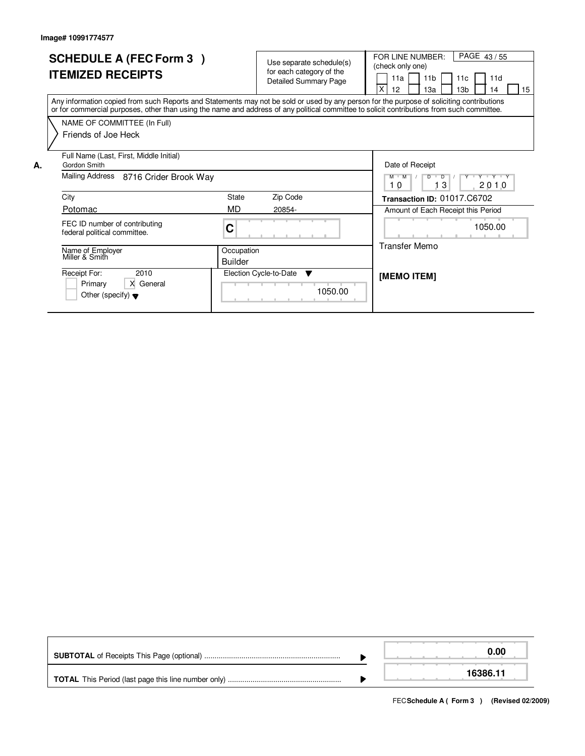|    | <b>SCHEDULE A (FEC Form 3)</b><br><b>ITEMIZED RECEIPTS</b>                                                                                                                                                                                                                              |                              | Use separate schedule(s)<br>for each category of the<br><b>Detailed Summary Page</b> | PAGE 43/55<br>FOR LINE NUMBER:<br>(check only one)<br>11 <sub>b</sub><br>11d<br>11a<br>11c<br>X<br>13 <sub>b</sub><br>12 <sup>2</sup><br>1За<br>14<br>15 |  |  |  |  |
|----|-----------------------------------------------------------------------------------------------------------------------------------------------------------------------------------------------------------------------------------------------------------------------------------------|------------------------------|--------------------------------------------------------------------------------------|----------------------------------------------------------------------------------------------------------------------------------------------------------|--|--|--|--|
|    | Any information copied from such Reports and Statements may not be sold or used by any person for the purpose of soliciting contributions<br>or for commercial purposes, other than using the name and address of any political committee to solicit contributions from such committee. |                              |                                                                                      |                                                                                                                                                          |  |  |  |  |
|    | NAME OF COMMITTEE (In Full)                                                                                                                                                                                                                                                             |                              |                                                                                      |                                                                                                                                                          |  |  |  |  |
|    | Friends of Joe Heck                                                                                                                                                                                                                                                                     |                              |                                                                                      |                                                                                                                                                          |  |  |  |  |
| А. | Full Name (Last, First, Middle Initial)<br>Gordon Smith                                                                                                                                                                                                                                 |                              |                                                                                      | Date of Receipt                                                                                                                                          |  |  |  |  |
|    | Mailing Address 8716 Crider Brook Way                                                                                                                                                                                                                                                   |                              |                                                                                      | $D$ $D$ $1$<br>$M$ $M$ /<br>Y V Y Y V Y<br>l 3<br>2010<br>10                                                                                             |  |  |  |  |
|    | City                                                                                                                                                                                                                                                                                    | State                        | Zip Code                                                                             | Transaction ID: 01017.C6702                                                                                                                              |  |  |  |  |
|    | Potomac                                                                                                                                                                                                                                                                                 | MD                           | 20854-                                                                               | Amount of Each Receipt this Period                                                                                                                       |  |  |  |  |
|    | FEC ID number of contributing<br>federal political committee.                                                                                                                                                                                                                           | C                            |                                                                                      | 1050.00                                                                                                                                                  |  |  |  |  |
|    | Name of Employer<br>Miller & Smith                                                                                                                                                                                                                                                      | Occupation<br><b>Builder</b> |                                                                                      | Transfer Memo                                                                                                                                            |  |  |  |  |
|    | Receipt For:<br>2010<br>X General<br>Primary<br>Other (specify) $\blacktriangledown$                                                                                                                                                                                                    |                              | Election Cycle-to-Date<br><b>V</b><br>1050.00                                        | <b>IMEMO ITEMI</b>                                                                                                                                       |  |  |  |  |

|  | 0.00     |
|--|----------|
|  | 16386.11 |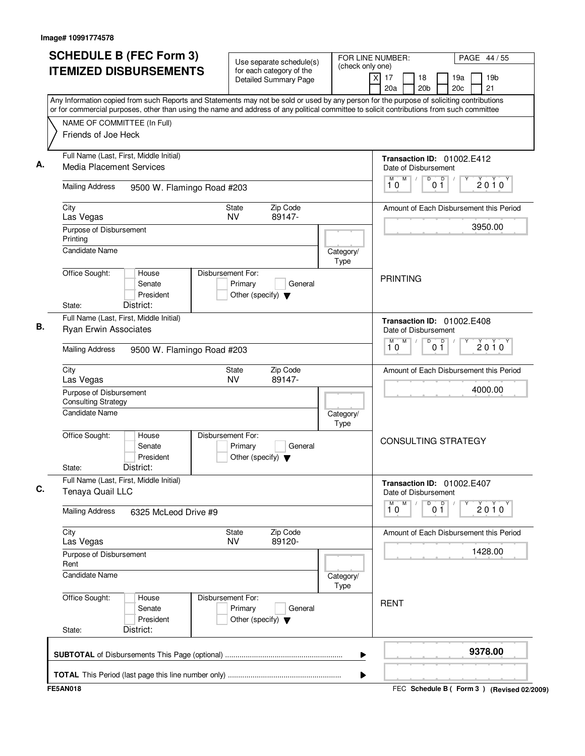| <b>SCHEDULE B (FEC Form 3)</b>                                                                                                                                                                                                                                                         | Use separate schedule(s)                                                        |                   | FOR LINE NUMBER:<br>(check only one)                                     |                       |                      |         | PAGE 44 / 55                            |  |  |
|----------------------------------------------------------------------------------------------------------------------------------------------------------------------------------------------------------------------------------------------------------------------------------------|---------------------------------------------------------------------------------|-------------------|--------------------------------------------------------------------------|-----------------------|----------------------|---------|-----------------------------------------|--|--|
| <b>ITEMIZED DISBURSEMENTS</b>                                                                                                                                                                                                                                                          | for each category of the<br><b>Detailed Summary Page</b>                        |                   | $\overline{x}$<br>17<br>20a                                              | 18<br>20 <sub>b</sub> | 19a<br>20c           |         | 19 <sub>b</sub><br>21                   |  |  |
| Any Information copied from such Reports and Statements may not be sold or used by any person for the purpose of soliciting contributions<br>or for commercial purposes, other than using the name and address of any political committee to solicit contributions from such committee |                                                                                 |                   |                                                                          |                       |                      |         |                                         |  |  |
| NAME OF COMMITTEE (In Full)<br>Friends of Joe Heck                                                                                                                                                                                                                                     |                                                                                 |                   |                                                                          |                       |                      |         |                                         |  |  |
| Full Name (Last, First, Middle Initial)<br><b>Media Placement Services</b>                                                                                                                                                                                                             |                                                                                 |                   | Transaction ID: 01002.E412                                               |                       |                      |         |                                         |  |  |
| <b>Mailing Address</b><br>9500 W. Flamingo Road #203                                                                                                                                                                                                                                   |                                                                                 |                   | Date of Disbursement<br>M<br>M<br>10                                     | $\overline{D}$        | $\overline{D}$<br>01 |         | 2010                                    |  |  |
| City<br>State                                                                                                                                                                                                                                                                          | Amount of Each Disbursement this Period                                         |                   |                                                                          |                       |                      |         |                                         |  |  |
| Las Vegas<br>Purpose of Disbursement<br>Printing                                                                                                                                                                                                                                       | <b>NV</b><br>89147-                                                             |                   |                                                                          |                       |                      |         | 3950.00                                 |  |  |
| <b>Candidate Name</b>                                                                                                                                                                                                                                                                  |                                                                                 | Category/<br>Type |                                                                          |                       |                      |         |                                         |  |  |
| Office Sought:<br>House<br>Senate<br>President<br>District:<br>State:                                                                                                                                                                                                                  | Disbursement For:<br>Primary<br>General<br>Other (specify) $\blacktriangledown$ |                   | <b>PRINTING</b>                                                          |                       |                      |         |                                         |  |  |
| Full Name (Last, First, Middle Initial)<br>Ryan Erwin Associates                                                                                                                                                                                                                       | Transaction ID: 01002.E408<br>Date of Disbursement                              |                   |                                                                          |                       |                      |         |                                         |  |  |
| <b>Mailing Address</b><br>9500 W. Flamingo Road #203                                                                                                                                                                                                                                   | M<br>D<br>М<br>D<br>$2010^y$<br>0 <sub>1</sub><br>10                            |                   |                                                                          |                       |                      |         |                                         |  |  |
| City<br>Las Vegas                                                                                                                                                                                                                                                                      | Zip Code<br>State<br><b>NV</b><br>89147-                                        |                   |                                                                          |                       |                      |         | Amount of Each Disbursement this Period |  |  |
| Purpose of Disbursement<br><b>Consulting Strategy</b><br><b>Candidate Name</b>                                                                                                                                                                                                         | Category/                                                                       |                   |                                                                          |                       |                      | 4000.00 |                                         |  |  |
| Office Sought:<br>House<br>Senate<br>President<br>District:<br>State:                                                                                                                                                                                                                  | Disbursement For:<br>Primary<br>General<br>Other (specify) $\blacktriangledown$ | Type              | <b>CONSULTING STRATEGY</b>                                               |                       |                      |         |                                         |  |  |
| Full Name (Last, First, Middle Initial)<br>Tenaya Quail LLC                                                                                                                                                                                                                            |                                                                                 |                   | Transaction ID: 01002.E407<br>Date of Disbursement<br>$\overline{1}^M$ 0 |                       |                      |         |                                         |  |  |
| <b>Mailing Address</b><br>6325 McLeod Drive #9                                                                                                                                                                                                                                         |                                                                                 |                   |                                                                          | D                     | 0 <sup>0</sup>       |         | 2010                                    |  |  |
| City<br>Las Vegas                                                                                                                                                                                                                                                                      | Zip Code<br>State<br>89120-<br>NV                                               |                   |                                                                          |                       |                      |         | Amount of Each Disbursement this Period |  |  |
| Purpose of Disbursement<br>Rent                                                                                                                                                                                                                                                        |                                                                                 |                   |                                                                          | 1428.00               |                      |         |                                         |  |  |
| Candidate Name                                                                                                                                                                                                                                                                         | Category/<br>Type                                                               |                   |                                                                          |                       |                      |         |                                         |  |  |
| Office Sought:<br>House<br>Senate<br>President<br>District:<br>State:                                                                                                                                                                                                                  | Disbursement For:<br>Primary<br>General<br>Other (specify) $\blacktriangledown$ |                   | <b>RENT</b>                                                              |                       |                      |         |                                         |  |  |
|                                                                                                                                                                                                                                                                                        |                                                                                 | ▶                 |                                                                          |                       |                      |         | 9378.00                                 |  |  |
|                                                                                                                                                                                                                                                                                        |                                                                                 | ▶                 |                                                                          |                       |                      |         |                                         |  |  |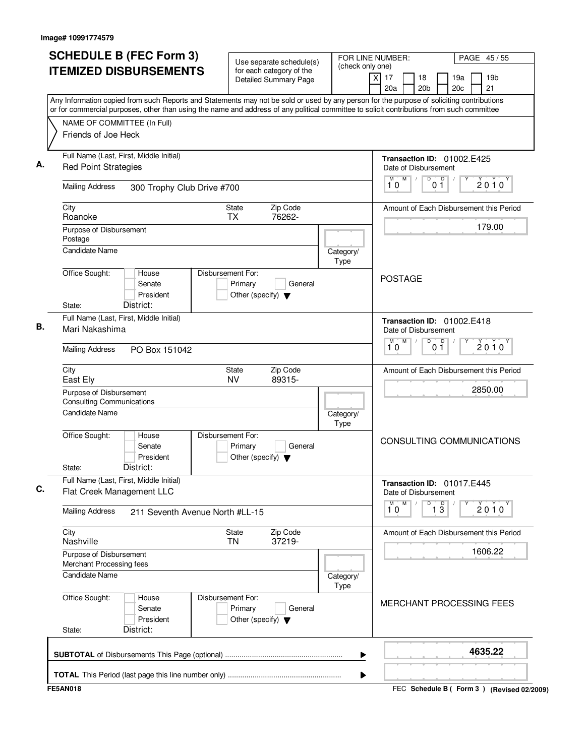| Use separate schedule(s)<br>for each category of the<br>Detailed Summary Page<br>Any Information copied from such Reports and Statements may not be sold or used by any person for the purpose of soliciting contributions<br>or for commercial purposes, other than using the name and address of any political committee to solicit contributions from such committee | (check only one)                                                                                                                                                                                                                                                                                                                                                                                    | $(\overline{x})$<br>17<br>20a | 18<br>20 <sub>b</sub>      |                          | 19a<br>20c                                      | 19 <sub>b</sub><br>21                                                                                                                                                                                                                                                                                                                                  |
|-------------------------------------------------------------------------------------------------------------------------------------------------------------------------------------------------------------------------------------------------------------------------------------------------------------------------------------------------------------------------|-----------------------------------------------------------------------------------------------------------------------------------------------------------------------------------------------------------------------------------------------------------------------------------------------------------------------------------------------------------------------------------------------------|-------------------------------|----------------------------|--------------------------|-------------------------------------------------|--------------------------------------------------------------------------------------------------------------------------------------------------------------------------------------------------------------------------------------------------------------------------------------------------------------------------------------------------------|
|                                                                                                                                                                                                                                                                                                                                                                         |                                                                                                                                                                                                                                                                                                                                                                                                     |                               |                            |                          |                                                 |                                                                                                                                                                                                                                                                                                                                                        |
|                                                                                                                                                                                                                                                                                                                                                                         |                                                                                                                                                                                                                                                                                                                                                                                                     |                               |                            |                          |                                                 |                                                                                                                                                                                                                                                                                                                                                        |
|                                                                                                                                                                                                                                                                                                                                                                         |                                                                                                                                                                                                                                                                                                                                                                                                     |                               |                            |                          |                                                 |                                                                                                                                                                                                                                                                                                                                                        |
|                                                                                                                                                                                                                                                                                                                                                                         |                                                                                                                                                                                                                                                                                                                                                                                                     |                               |                            |                          |                                                 |                                                                                                                                                                                                                                                                                                                                                        |
|                                                                                                                                                                                                                                                                                                                                                                         |                                                                                                                                                                                                                                                                                                                                                                                                     |                               |                            |                          |                                                 |                                                                                                                                                                                                                                                                                                                                                        |
|                                                                                                                                                                                                                                                                                                                                                                         |                                                                                                                                                                                                                                                                                                                                                                                                     |                               | Transaction ID: 01002.E425 |                          |                                                 |                                                                                                                                                                                                                                                                                                                                                        |
|                                                                                                                                                                                                                                                                                                                                                                         |                                                                                                                                                                                                                                                                                                                                                                                                     |                               | Date of Disbursement       |                          |                                                 |                                                                                                                                                                                                                                                                                                                                                        |
|                                                                                                                                                                                                                                                                                                                                                                         |                                                                                                                                                                                                                                                                                                                                                                                                     | 10                            | D<br>M                     | D                        |                                                 | $2010^Y$                                                                                                                                                                                                                                                                                                                                               |
|                                                                                                                                                                                                                                                                                                                                                                         |                                                                                                                                                                                                                                                                                                                                                                                                     |                               |                            |                          |                                                 |                                                                                                                                                                                                                                                                                                                                                        |
|                                                                                                                                                                                                                                                                                                                                                                         |                                                                                                                                                                                                                                                                                                                                                                                                     |                               |                            |                          |                                                 |                                                                                                                                                                                                                                                                                                                                                        |
|                                                                                                                                                                                                                                                                                                                                                                         |                                                                                                                                                                                                                                                                                                                                                                                                     |                               |                            |                          |                                                 | 179.00                                                                                                                                                                                                                                                                                                                                                 |
|                                                                                                                                                                                                                                                                                                                                                                         |                                                                                                                                                                                                                                                                                                                                                                                                     |                               |                            |                          |                                                 |                                                                                                                                                                                                                                                                                                                                                        |
|                                                                                                                                                                                                                                                                                                                                                                         | Category/                                                                                                                                                                                                                                                                                                                                                                                           |                               |                            |                          |                                                 |                                                                                                                                                                                                                                                                                                                                                        |
|                                                                                                                                                                                                                                                                                                                                                                         | <b>Type</b>                                                                                                                                                                                                                                                                                                                                                                                         |                               |                            |                          |                                                 |                                                                                                                                                                                                                                                                                                                                                        |
|                                                                                                                                                                                                                                                                                                                                                                         |                                                                                                                                                                                                                                                                                                                                                                                                     |                               |                            |                          |                                                 |                                                                                                                                                                                                                                                                                                                                                        |
|                                                                                                                                                                                                                                                                                                                                                                         |                                                                                                                                                                                                                                                                                                                                                                                                     |                               |                            |                          |                                                 |                                                                                                                                                                                                                                                                                                                                                        |
|                                                                                                                                                                                                                                                                                                                                                                         |                                                                                                                                                                                                                                                                                                                                                                                                     |                               |                            |                          |                                                 |                                                                                                                                                                                                                                                                                                                                                        |
|                                                                                                                                                                                                                                                                                                                                                                         |                                                                                                                                                                                                                                                                                                                                                                                                     |                               |                            |                          |                                                 |                                                                                                                                                                                                                                                                                                                                                        |
|                                                                                                                                                                                                                                                                                                                                                                         |                                                                                                                                                                                                                                                                                                                                                                                                     |                               |                            |                          |                                                 |                                                                                                                                                                                                                                                                                                                                                        |
|                                                                                                                                                                                                                                                                                                                                                                         |                                                                                                                                                                                                                                                                                                                                                                                                     | М<br>10                       |                            |                          |                                                 | 2010                                                                                                                                                                                                                                                                                                                                                   |
| Zip Code<br>State                                                                                                                                                                                                                                                                                                                                                       |                                                                                                                                                                                                                                                                                                                                                                                                     |                               |                            |                          |                                                 |                                                                                                                                                                                                                                                                                                                                                        |
| <b>NV</b>                                                                                                                                                                                                                                                                                                                                                               |                                                                                                                                                                                                                                                                                                                                                                                                     |                               |                            |                          |                                                 |                                                                                                                                                                                                                                                                                                                                                        |
|                                                                                                                                                                                                                                                                                                                                                                         |                                                                                                                                                                                                                                                                                                                                                                                                     |                               |                            |                          |                                                 | 2850.00                                                                                                                                                                                                                                                                                                                                                |
|                                                                                                                                                                                                                                                                                                                                                                         |                                                                                                                                                                                                                                                                                                                                                                                                     |                               |                            |                          |                                                 |                                                                                                                                                                                                                                                                                                                                                        |
|                                                                                                                                                                                                                                                                                                                                                                         | Type                                                                                                                                                                                                                                                                                                                                                                                                |                               |                            |                          |                                                 |                                                                                                                                                                                                                                                                                                                                                        |
|                                                                                                                                                                                                                                                                                                                                                                         |                                                                                                                                                                                                                                                                                                                                                                                                     |                               |                            |                          |                                                 |                                                                                                                                                                                                                                                                                                                                                        |
|                                                                                                                                                                                                                                                                                                                                                                         |                                                                                                                                                                                                                                                                                                                                                                                                     |                               |                            |                          |                                                 |                                                                                                                                                                                                                                                                                                                                                        |
|                                                                                                                                                                                                                                                                                                                                                                         |                                                                                                                                                                                                                                                                                                                                                                                                     |                               |                            |                          |                                                 |                                                                                                                                                                                                                                                                                                                                                        |
|                                                                                                                                                                                                                                                                                                                                                                         |                                                                                                                                                                                                                                                                                                                                                                                                     |                               |                            |                          |                                                 |                                                                                                                                                                                                                                                                                                                                                        |
|                                                                                                                                                                                                                                                                                                                                                                         |                                                                                                                                                                                                                                                                                                                                                                                                     |                               |                            |                          |                                                 |                                                                                                                                                                                                                                                                                                                                                        |
|                                                                                                                                                                                                                                                                                                                                                                         |                                                                                                                                                                                                                                                                                                                                                                                                     | M                             | D                          |                          |                                                 | $2010^y$                                                                                                                                                                                                                                                                                                                                               |
|                                                                                                                                                                                                                                                                                                                                                                         |                                                                                                                                                                                                                                                                                                                                                                                                     |                               |                            |                          |                                                 |                                                                                                                                                                                                                                                                                                                                                        |
| Zip Code<br>State                                                                                                                                                                                                                                                                                                                                                       |                                                                                                                                                                                                                                                                                                                                                                                                     |                               |                            |                          |                                                 |                                                                                                                                                                                                                                                                                                                                                        |
|                                                                                                                                                                                                                                                                                                                                                                         |                                                                                                                                                                                                                                                                                                                                                                                                     |                               |                            |                          |                                                 | 1606.22                                                                                                                                                                                                                                                                                                                                                |
|                                                                                                                                                                                                                                                                                                                                                                         |                                                                                                                                                                                                                                                                                                                                                                                                     |                               |                            |                          |                                                 |                                                                                                                                                                                                                                                                                                                                                        |
|                                                                                                                                                                                                                                                                                                                                                                         |                                                                                                                                                                                                                                                                                                                                                                                                     |                               |                            |                          |                                                 |                                                                                                                                                                                                                                                                                                                                                        |
|                                                                                                                                                                                                                                                                                                                                                                         | Type                                                                                                                                                                                                                                                                                                                                                                                                |                               |                            |                          |                                                 |                                                                                                                                                                                                                                                                                                                                                        |
|                                                                                                                                                                                                                                                                                                                                                                         |                                                                                                                                                                                                                                                                                                                                                                                                     |                               |                            |                          |                                                 |                                                                                                                                                                                                                                                                                                                                                        |
|                                                                                                                                                                                                                                                                                                                                                                         |                                                                                                                                                                                                                                                                                                                                                                                                     |                               |                            |                          |                                                 |                                                                                                                                                                                                                                                                                                                                                        |
|                                                                                                                                                                                                                                                                                                                                                                         |                                                                                                                                                                                                                                                                                                                                                                                                     |                               |                            |                          |                                                 |                                                                                                                                                                                                                                                                                                                                                        |
|                                                                                                                                                                                                                                                                                                                                                                         |                                                                                                                                                                                                                                                                                                                                                                                                     |                               |                            |                          |                                                 |                                                                                                                                                                                                                                                                                                                                                        |
|                                                                                                                                                                                                                                                                                                                                                                         | ▶                                                                                                                                                                                                                                                                                                                                                                                                   |                               |                            |                          |                                                 | 4635.22                                                                                                                                                                                                                                                                                                                                                |
|                                                                                                                                                                                                                                                                                                                                                                         |                                                                                                                                                                                                                                                                                                                                                                                                     |                               |                            |                          |                                                 |                                                                                                                                                                                                                                                                                                                                                        |
|                                                                                                                                                                                                                                                                                                                                                                         | 300 Trophy Club Drive #700<br>State<br>Zip Code<br>76262-<br><b>TX</b><br>Disbursement For:<br>Primary<br>General<br>Other (specify) $\blacktriangledown$<br>89315-<br>Disbursement For:<br>Primary<br>General<br>Other (specify) $\blacktriangledown$<br>211 Seventh Avenue North #LL-15<br><b>TN</b><br>37219-<br>Disbursement For:<br>Primary<br>General<br>Other (specify) $\blacktriangledown$ | Category/<br>Category/<br>▶   | 10                         | <b>POSTAGE</b><br>M<br>M | 0 1<br>D<br>0 <sup>0</sup><br>$\overline{1\,3}$ | Amount of Each Disbursement this Period<br>Transaction ID: 01002.E418<br>Date of Disbursement<br>Amount of Each Disbursement this Period<br>CONSULTING COMMUNICATIONS<br>Transaction ID: 01017.E445<br>Date of Disbursement<br>Amount of Each Disbursement this Period<br><b>MERCHANT PROCESSING FEES</b><br>FEC Schedule B (Form 3) (Revised 02/2009) |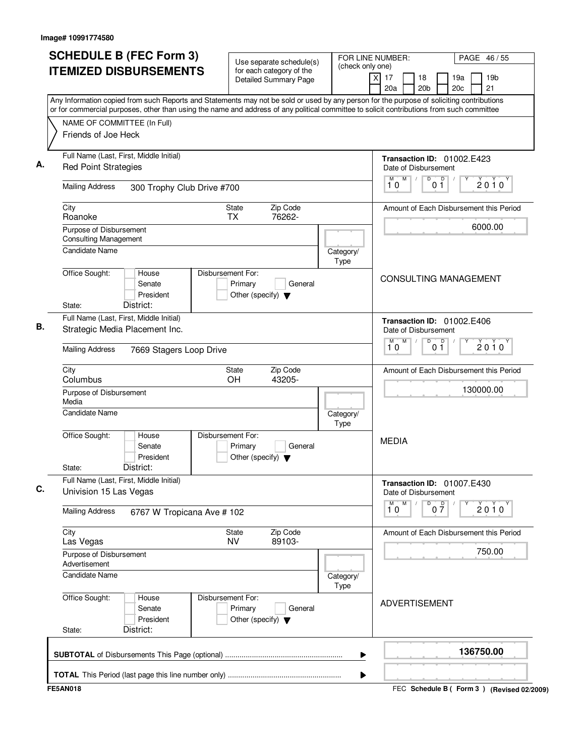| (check only one)<br><b>ITEMIZED DISBURSEMENTS</b><br>for each category of the<br>$\overline{X}$<br>17<br>18<br>19a<br>19 <sub>b</sub><br><b>Detailed Summary Page</b><br>21<br>20a<br>20 <sub>b</sub><br>20c<br>Any Information copied from such Reports and Statements may not be sold or used by any person for the purpose of soliciting contributions<br>or for commercial purposes, other than using the name and address of any political committee to solicit contributions from such committee<br>NAME OF COMMITTEE (In Full)<br>Friends of Joe Heck<br>Full Name (Last, First, Middle Initial)<br>Transaction ID: 01002.E423<br><b>Red Point Strategies</b><br>Date of Disbursement<br>M<br>D<br>0 <sup>0</sup><br>M<br>$\sqrt{ }$<br>$2010^y$<br>10<br><b>Mailing Address</b><br>300 Trophy Club Drive #700<br>Zip Code<br>City<br>State<br>Amount of Each Disbursement this Period<br>76262-<br>Roanoke<br><b>TX</b><br>6000.00<br>Purpose of Disbursement<br><b>Consulting Management</b><br>Candidate Name<br>Category/<br>Type<br>Office Sought:<br>Disbursement For:<br>House<br><b>CONSULTING MANAGEMENT</b><br>Primary<br>Senate<br>General<br>President<br>Other (specify) $\blacktriangledown$<br>District:<br>State:<br>Full Name (Last, First, Middle Initial)<br>Transaction ID: 01002.E406<br>Strategic Media Placement Inc.<br>Date of Disbursement<br>M<br>D<br>м<br>0 <sup>0</sup><br>$2010^y$<br>10<br><b>Mailing Address</b><br>7669 Stagers Loop Drive<br>Zip Code<br>City<br>State<br>Amount of Each Disbursement this Period<br>OH<br>43205-<br>Columbus<br>130000.00<br>Purpose of Disbursement<br>Media<br><b>Candidate Name</b><br>Category/<br>Type<br>Office Sought:<br>Disbursement For:<br>House<br><b>MEDIA</b><br>Primary<br>General<br>Senate<br>President<br>Other (specify) $\blacktriangledown$<br>District:<br>State:<br>Full Name (Last, First, Middle Initial)<br>Transaction ID: 01007.E430<br>Univision 15 Las Vegas<br>Date of Disbursement<br>$\overline{\mathbf{1}}^{\mathsf{M}}\mathbf{0}$<br>M<br>$\overline{0}$ $\overline{7}$<br>$2010^y$<br><b>Mailing Address</b><br>6767 W Tropicana Ave # 102<br>City<br>Zip Code<br>State<br>Amount of Each Disbursement this Period<br>89103-<br><b>NV</b><br>Las Vegas<br>750.00<br>Purpose of Disbursement<br>Advertisement<br><b>Candidate Name</b><br>Category/<br>Type<br>Office Sought:<br>Disbursement For:<br>House<br><b>ADVERTISEMENT</b><br>Senate<br>Primary<br>General<br>President<br>Other (specify) $\blacktriangledown$<br>District:<br>State:<br>136750.00 | ▶<br>▶<br><b>FE5AN018</b><br>FEC Schedule B ( Form 3 ) (Revised 02/2009) | <b>SCHEDULE B (FEC Form 3)</b> | Use separate schedule(s) | FOR LINE NUMBER: |  | PAGE 46/55 |
|----------------------------------------------------------------------------------------------------------------------------------------------------------------------------------------------------------------------------------------------------------------------------------------------------------------------------------------------------------------------------------------------------------------------------------------------------------------------------------------------------------------------------------------------------------------------------------------------------------------------------------------------------------------------------------------------------------------------------------------------------------------------------------------------------------------------------------------------------------------------------------------------------------------------------------------------------------------------------------------------------------------------------------------------------------------------------------------------------------------------------------------------------------------------------------------------------------------------------------------------------------------------------------------------------------------------------------------------------------------------------------------------------------------------------------------------------------------------------------------------------------------------------------------------------------------------------------------------------------------------------------------------------------------------------------------------------------------------------------------------------------------------------------------------------------------------------------------------------------------------------------------------------------------------------------------------------------------------------------------------------------------------------------------------------------------------------------------------------------------------------------------------------------------------------------------------------------------------------------------------------------------------------------------------------------------------------------------------------------------------------------------------------------------------------------------------------------------------------------------------------------------------------------------------------------------------------|--------------------------------------------------------------------------|--------------------------------|--------------------------|------------------|--|------------|
|                                                                                                                                                                                                                                                                                                                                                                                                                                                                                                                                                                                                                                                                                                                                                                                                                                                                                                                                                                                                                                                                                                                                                                                                                                                                                                                                                                                                                                                                                                                                                                                                                                                                                                                                                                                                                                                                                                                                                                                                                                                                                                                                                                                                                                                                                                                                                                                                                                                                                                                                                                            |                                                                          |                                |                          |                  |  |            |
|                                                                                                                                                                                                                                                                                                                                                                                                                                                                                                                                                                                                                                                                                                                                                                                                                                                                                                                                                                                                                                                                                                                                                                                                                                                                                                                                                                                                                                                                                                                                                                                                                                                                                                                                                                                                                                                                                                                                                                                                                                                                                                                                                                                                                                                                                                                                                                                                                                                                                                                                                                            |                                                                          |                                |                          |                  |  |            |
|                                                                                                                                                                                                                                                                                                                                                                                                                                                                                                                                                                                                                                                                                                                                                                                                                                                                                                                                                                                                                                                                                                                                                                                                                                                                                                                                                                                                                                                                                                                                                                                                                                                                                                                                                                                                                                                                                                                                                                                                                                                                                                                                                                                                                                                                                                                                                                                                                                                                                                                                                                            |                                                                          |                                |                          |                  |  |            |
|                                                                                                                                                                                                                                                                                                                                                                                                                                                                                                                                                                                                                                                                                                                                                                                                                                                                                                                                                                                                                                                                                                                                                                                                                                                                                                                                                                                                                                                                                                                                                                                                                                                                                                                                                                                                                                                                                                                                                                                                                                                                                                                                                                                                                                                                                                                                                                                                                                                                                                                                                                            |                                                                          |                                |                          |                  |  |            |
|                                                                                                                                                                                                                                                                                                                                                                                                                                                                                                                                                                                                                                                                                                                                                                                                                                                                                                                                                                                                                                                                                                                                                                                                                                                                                                                                                                                                                                                                                                                                                                                                                                                                                                                                                                                                                                                                                                                                                                                                                                                                                                                                                                                                                                                                                                                                                                                                                                                                                                                                                                            |                                                                          |                                |                          |                  |  |            |
|                                                                                                                                                                                                                                                                                                                                                                                                                                                                                                                                                                                                                                                                                                                                                                                                                                                                                                                                                                                                                                                                                                                                                                                                                                                                                                                                                                                                                                                                                                                                                                                                                                                                                                                                                                                                                                                                                                                                                                                                                                                                                                                                                                                                                                                                                                                                                                                                                                                                                                                                                                            |                                                                          |                                |                          |                  |  |            |
|                                                                                                                                                                                                                                                                                                                                                                                                                                                                                                                                                                                                                                                                                                                                                                                                                                                                                                                                                                                                                                                                                                                                                                                                                                                                                                                                                                                                                                                                                                                                                                                                                                                                                                                                                                                                                                                                                                                                                                                                                                                                                                                                                                                                                                                                                                                                                                                                                                                                                                                                                                            |                                                                          |                                |                          |                  |  |            |
|                                                                                                                                                                                                                                                                                                                                                                                                                                                                                                                                                                                                                                                                                                                                                                                                                                                                                                                                                                                                                                                                                                                                                                                                                                                                                                                                                                                                                                                                                                                                                                                                                                                                                                                                                                                                                                                                                                                                                                                                                                                                                                                                                                                                                                                                                                                                                                                                                                                                                                                                                                            |                                                                          |                                |                          |                  |  |            |
|                                                                                                                                                                                                                                                                                                                                                                                                                                                                                                                                                                                                                                                                                                                                                                                                                                                                                                                                                                                                                                                                                                                                                                                                                                                                                                                                                                                                                                                                                                                                                                                                                                                                                                                                                                                                                                                                                                                                                                                                                                                                                                                                                                                                                                                                                                                                                                                                                                                                                                                                                                            |                                                                          |                                |                          |                  |  |            |
|                                                                                                                                                                                                                                                                                                                                                                                                                                                                                                                                                                                                                                                                                                                                                                                                                                                                                                                                                                                                                                                                                                                                                                                                                                                                                                                                                                                                                                                                                                                                                                                                                                                                                                                                                                                                                                                                                                                                                                                                                                                                                                                                                                                                                                                                                                                                                                                                                                                                                                                                                                            |                                                                          |                                |                          |                  |  |            |
|                                                                                                                                                                                                                                                                                                                                                                                                                                                                                                                                                                                                                                                                                                                                                                                                                                                                                                                                                                                                                                                                                                                                                                                                                                                                                                                                                                                                                                                                                                                                                                                                                                                                                                                                                                                                                                                                                                                                                                                                                                                                                                                                                                                                                                                                                                                                                                                                                                                                                                                                                                            |                                                                          |                                |                          |                  |  |            |
|                                                                                                                                                                                                                                                                                                                                                                                                                                                                                                                                                                                                                                                                                                                                                                                                                                                                                                                                                                                                                                                                                                                                                                                                                                                                                                                                                                                                                                                                                                                                                                                                                                                                                                                                                                                                                                                                                                                                                                                                                                                                                                                                                                                                                                                                                                                                                                                                                                                                                                                                                                            |                                                                          |                                |                          |                  |  |            |
|                                                                                                                                                                                                                                                                                                                                                                                                                                                                                                                                                                                                                                                                                                                                                                                                                                                                                                                                                                                                                                                                                                                                                                                                                                                                                                                                                                                                                                                                                                                                                                                                                                                                                                                                                                                                                                                                                                                                                                                                                                                                                                                                                                                                                                                                                                                                                                                                                                                                                                                                                                            |                                                                          |                                |                          |                  |  |            |
|                                                                                                                                                                                                                                                                                                                                                                                                                                                                                                                                                                                                                                                                                                                                                                                                                                                                                                                                                                                                                                                                                                                                                                                                                                                                                                                                                                                                                                                                                                                                                                                                                                                                                                                                                                                                                                                                                                                                                                                                                                                                                                                                                                                                                                                                                                                                                                                                                                                                                                                                                                            |                                                                          |                                |                          |                  |  |            |
|                                                                                                                                                                                                                                                                                                                                                                                                                                                                                                                                                                                                                                                                                                                                                                                                                                                                                                                                                                                                                                                                                                                                                                                                                                                                                                                                                                                                                                                                                                                                                                                                                                                                                                                                                                                                                                                                                                                                                                                                                                                                                                                                                                                                                                                                                                                                                                                                                                                                                                                                                                            |                                                                          |                                |                          |                  |  |            |
|                                                                                                                                                                                                                                                                                                                                                                                                                                                                                                                                                                                                                                                                                                                                                                                                                                                                                                                                                                                                                                                                                                                                                                                                                                                                                                                                                                                                                                                                                                                                                                                                                                                                                                                                                                                                                                                                                                                                                                                                                                                                                                                                                                                                                                                                                                                                                                                                                                                                                                                                                                            |                                                                          |                                |                          |                  |  |            |
|                                                                                                                                                                                                                                                                                                                                                                                                                                                                                                                                                                                                                                                                                                                                                                                                                                                                                                                                                                                                                                                                                                                                                                                                                                                                                                                                                                                                                                                                                                                                                                                                                                                                                                                                                                                                                                                                                                                                                                                                                                                                                                                                                                                                                                                                                                                                                                                                                                                                                                                                                                            |                                                                          |                                |                          |                  |  |            |
|                                                                                                                                                                                                                                                                                                                                                                                                                                                                                                                                                                                                                                                                                                                                                                                                                                                                                                                                                                                                                                                                                                                                                                                                                                                                                                                                                                                                                                                                                                                                                                                                                                                                                                                                                                                                                                                                                                                                                                                                                                                                                                                                                                                                                                                                                                                                                                                                                                                                                                                                                                            |                                                                          |                                |                          |                  |  |            |
|                                                                                                                                                                                                                                                                                                                                                                                                                                                                                                                                                                                                                                                                                                                                                                                                                                                                                                                                                                                                                                                                                                                                                                                                                                                                                                                                                                                                                                                                                                                                                                                                                                                                                                                                                                                                                                                                                                                                                                                                                                                                                                                                                                                                                                                                                                                                                                                                                                                                                                                                                                            |                                                                          |                                |                          |                  |  |            |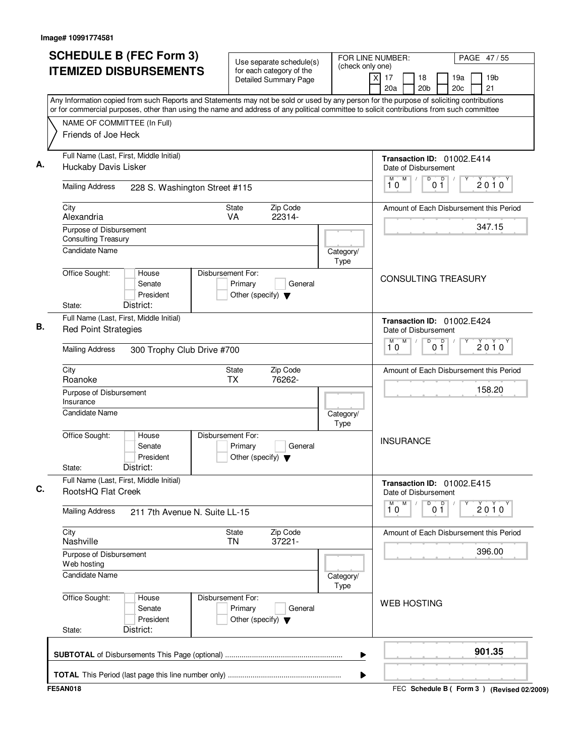| <b>SCHEDULE B (FEC Form 3)</b>                                                                                                                                                                                                                                                         | Use separate schedule(s)                                                        | FOR LINE NUMBER:<br>(check only one) |                                                    |                       |                      | PAGE 47/55                                |  |
|----------------------------------------------------------------------------------------------------------------------------------------------------------------------------------------------------------------------------------------------------------------------------------------|---------------------------------------------------------------------------------|--------------------------------------|----------------------------------------------------|-----------------------|----------------------|-------------------------------------------|--|
| <b>ITEMIZED DISBURSEMENTS</b>                                                                                                                                                                                                                                                          | for each category of the<br><b>Detailed Summary Page</b>                        |                                      | $\overline{x}$<br>17<br>20a                        | 18<br>20 <sub>b</sub> | 19a<br>20c           | 19 <sub>b</sub><br>21                     |  |
| Any Information copied from such Reports and Statements may not be sold or used by any person for the purpose of soliciting contributions<br>or for commercial purposes, other than using the name and address of any political committee to solicit contributions from such committee |                                                                                 |                                      |                                                    |                       |                      |                                           |  |
| NAME OF COMMITTEE (In Full)                                                                                                                                                                                                                                                            |                                                                                 |                                      |                                                    |                       |                      |                                           |  |
| Friends of Joe Heck                                                                                                                                                                                                                                                                    |                                                                                 |                                      |                                                    |                       |                      |                                           |  |
| Full Name (Last, First, Middle Initial)<br>Huckaby Davis Lisker                                                                                                                                                                                                                        |                                                                                 |                                      | Transaction ID: 01002.E414<br>Date of Disbursement |                       |                      |                                           |  |
| <b>Mailing Address</b><br>228 S. Washington Street #115                                                                                                                                                                                                                                |                                                                                 |                                      | M<br>M<br>10                                       | $\overline{D}$        | $\overline{D}$<br>01 | 2010                                      |  |
| City<br>Alexandria                                                                                                                                                                                                                                                                     | Zip Code<br>State<br>VA<br>22314-                                               |                                      |                                                    |                       |                      | Amount of Each Disbursement this Period   |  |
| Purpose of Disbursement<br><b>Consulting Treasury</b>                                                                                                                                                                                                                                  |                                                                                 |                                      |                                                    |                       |                      | 347.15                                    |  |
| <b>Candidate Name</b>                                                                                                                                                                                                                                                                  |                                                                                 | Category/<br>Type                    |                                                    |                       |                      |                                           |  |
| Office Sought:<br>House<br>Senate<br>President<br>District:<br>State:                                                                                                                                                                                                                  | Disbursement For:<br>Primary<br>General<br>Other (specify) $\blacktriangledown$ |                                      | <b>CONSULTING TREASURY</b>                         |                       |                      |                                           |  |
| Full Name (Last, First, Middle Initial)<br><b>Red Point Strategies</b>                                                                                                                                                                                                                 |                                                                                 |                                      | Transaction ID: 01002.E424<br>Date of Disbursement |                       |                      |                                           |  |
| <b>Mailing Address</b><br>300 Trophy Club Drive #700                                                                                                                                                                                                                                   |                                                                                 |                                      | M<br>М<br>10                                       | D                     | D<br>$0\bar{1}$      | $2010^y$                                  |  |
| City<br>Roanoke                                                                                                                                                                                                                                                                        | Zip Code<br>State<br><b>TX</b><br>76262-                                        |                                      |                                                    |                       |                      | Amount of Each Disbursement this Period   |  |
| Purpose of Disbursement<br>Insurance                                                                                                                                                                                                                                                   |                                                                                 |                                      |                                                    |                       |                      | 158.20                                    |  |
| <b>Candidate Name</b>                                                                                                                                                                                                                                                                  |                                                                                 | Category/<br>Type                    |                                                    |                       |                      |                                           |  |
| Office Sought:<br>House<br>Senate<br>President<br>District:<br>State:                                                                                                                                                                                                                  | Disbursement For:<br>Primary<br>General<br>Other (specify) $\blacktriangledown$ |                                      | <b>INSURANCE</b>                                   |                       |                      |                                           |  |
| Full Name (Last, First, Middle Initial)<br>RootsHQ Flat Creek                                                                                                                                                                                                                          |                                                                                 |                                      | Transaction ID: 01002.E415<br>Date of Disbursement |                       |                      |                                           |  |
| <b>Mailing Address</b><br>211 7th Avenue N. Suite LL-15                                                                                                                                                                                                                                |                                                                                 |                                      | $\overline{1}^M$ 0<br>M                            | D                     | 0 <sup>0</sup>       | 2010                                      |  |
| City<br>Nashville                                                                                                                                                                                                                                                                      | Zip Code<br>State<br>37221-<br>TN                                               |                                      |                                                    |                       |                      | Amount of Each Disbursement this Period   |  |
| Purpose of Disbursement<br>Web hosting                                                                                                                                                                                                                                                 |                                                                                 |                                      |                                                    |                       |                      | 396.00                                    |  |
| Candidate Name                                                                                                                                                                                                                                                                         |                                                                                 | Category/<br>Type                    |                                                    |                       |                      |                                           |  |
| Office Sought:<br>House<br>Senate<br>President<br>District:<br>State:                                                                                                                                                                                                                  | Disbursement For:<br>Primary<br>General<br>Other (specify) $\blacktriangledown$ |                                      | <b>WEB HOSTING</b>                                 |                       |                      |                                           |  |
|                                                                                                                                                                                                                                                                                        |                                                                                 | ▶                                    |                                                    |                       |                      | 901.35                                    |  |
|                                                                                                                                                                                                                                                                                        |                                                                                 | ▶                                    |                                                    |                       |                      |                                           |  |
| <b>FE5AN018</b>                                                                                                                                                                                                                                                                        |                                                                                 |                                      |                                                    |                       |                      | FEC Schedule B (Form 3) (Revised 02/2009) |  |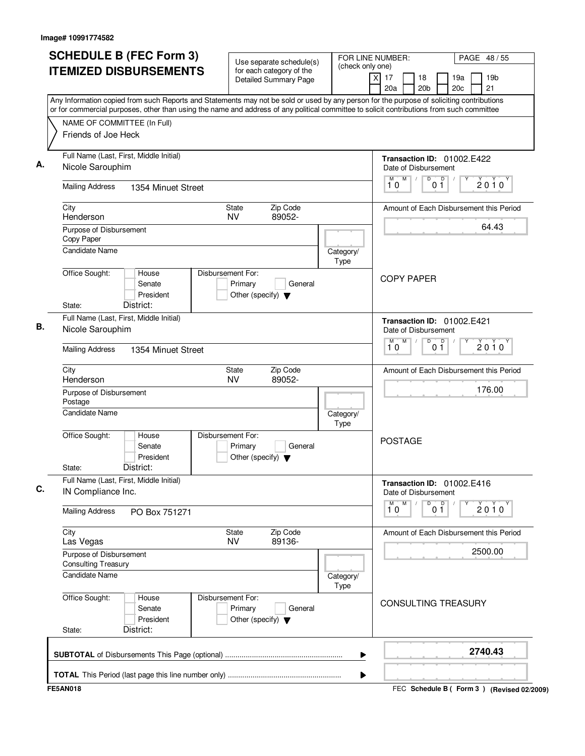| <b>SCHEDULE B (FEC Form 3)</b>                                                                                                                                                                                                                                                         | Use separate schedule(s)                                                        |                          | FOR LINE NUMBER:                                                       | PAGE 48 / 55                                    |  |
|----------------------------------------------------------------------------------------------------------------------------------------------------------------------------------------------------------------------------------------------------------------------------------------|---------------------------------------------------------------------------------|--------------------------|------------------------------------------------------------------------|-------------------------------------------------|--|
| <b>ITEMIZED DISBURSEMENTS</b>                                                                                                                                                                                                                                                          | for each category of the<br>Detailed Summary Page                               | (check only one)         | $\mathsf{X}$<br>17<br>18<br>20a<br>20 <sub>b</sub>                     | 19 <sub>b</sub><br>19a<br>20 <sub>c</sub><br>21 |  |
| Any Information copied from such Reports and Statements may not be sold or used by any person for the purpose of soliciting contributions<br>or for commercial purposes, other than using the name and address of any political committee to solicit contributions from such committee |                                                                                 |                          |                                                                        |                                                 |  |
| NAME OF COMMITTEE (In Full)                                                                                                                                                                                                                                                            |                                                                                 |                          |                                                                        |                                                 |  |
| Friends of Joe Heck                                                                                                                                                                                                                                                                    |                                                                                 |                          |                                                                        |                                                 |  |
| Full Name (Last, First, Middle Initial)<br>Nicole Sarouphim                                                                                                                                                                                                                            |                                                                                 |                          | Transaction ID: 01002.E422<br>Date of Disbursement                     |                                                 |  |
| <b>Mailing Address</b><br>1354 Minuet Street                                                                                                                                                                                                                                           |                                                                                 |                          | M<br>0 <sup>0</sup><br>M<br>D<br>10                                    | $2010^y$                                        |  |
| City<br>Henderson                                                                                                                                                                                                                                                                      | Zip Code<br>State<br>89052-<br><b>NV</b>                                        |                          |                                                                        | Amount of Each Disbursement this Period         |  |
| Purpose of Disbursement<br>Copy Paper                                                                                                                                                                                                                                                  |                                                                                 |                          |                                                                        | 64.43                                           |  |
| <b>Candidate Name</b>                                                                                                                                                                                                                                                                  |                                                                                 | Category/<br><b>Type</b> |                                                                        |                                                 |  |
| Office Sought:<br>House<br>Senate<br>President<br>District:<br>State:                                                                                                                                                                                                                  | Disbursement For:<br>Primary<br>General<br>Other (specify) $\blacktriangledown$ |                          | <b>COPY PAPER</b>                                                      |                                                 |  |
| Full Name (Last, First, Middle Initial)                                                                                                                                                                                                                                                |                                                                                 |                          |                                                                        |                                                 |  |
| Nicole Sarouphim                                                                                                                                                                                                                                                                       |                                                                                 |                          | Transaction ID: 01002.E421<br>Date of Disbursement<br>M<br>D<br>D<br>M |                                                 |  |
| <b>Mailing Address</b><br>1354 Minuet Street                                                                                                                                                                                                                                           |                                                                                 |                          | 10<br>01                                                               | $2010^y$                                        |  |
| City<br>Henderson                                                                                                                                                                                                                                                                      | Zip Code<br><b>State</b><br><b>NV</b><br>89052-                                 |                          |                                                                        | Amount of Each Disbursement this Period         |  |
| Purpose of Disbursement<br>Postage                                                                                                                                                                                                                                                     |                                                                                 |                          |                                                                        | 176.00                                          |  |
| Candidate Name                                                                                                                                                                                                                                                                         |                                                                                 | Category/<br>Type        |                                                                        |                                                 |  |
| Office Sought:<br>House<br>Senate<br>President<br>District:<br>State:                                                                                                                                                                                                                  | Disbursement For:<br>Primary<br>General<br>Other (specify) $\blacktriangledown$ |                          | <b>POSTAGE</b>                                                         |                                                 |  |
| Full Name (Last, First, Middle Initial)<br>IN Compliance Inc.                                                                                                                                                                                                                          |                                                                                 |                          | Transaction ID: 01002.E416<br>Date of Disbursement                     |                                                 |  |
| <b>Mailing Address</b><br>PO Box 751271                                                                                                                                                                                                                                                |                                                                                 |                          | ${\sf M}$<br>D<br>M<br>0 <sup>0</sup><br>10                            | Y<br>2010                                       |  |
| City<br>Las Vegas                                                                                                                                                                                                                                                                      | Zip Code<br>State<br>89136-<br><b>NV</b>                                        |                          |                                                                        | Amount of Each Disbursement this Period         |  |
| Purpose of Disbursement<br><b>Consulting Treasury</b>                                                                                                                                                                                                                                  |                                                                                 |                          | 2500.00                                                                |                                                 |  |
| <b>Candidate Name</b>                                                                                                                                                                                                                                                                  |                                                                                 | Category/<br>Type        |                                                                        |                                                 |  |
| Office Sought:<br>House<br>Senate<br>President<br>District:<br>State:                                                                                                                                                                                                                  | Disbursement For:<br>Primary<br>General<br>Other (specify) $\blacktriangledown$ |                          | <b>CONSULTING TREASURY</b>                                             |                                                 |  |
|                                                                                                                                                                                                                                                                                        |                                                                                 | ▶                        |                                                                        | 2740.43                                         |  |
|                                                                                                                                                                                                                                                                                        |                                                                                 | ▶                        |                                                                        |                                                 |  |
| <b>FE5AN018</b>                                                                                                                                                                                                                                                                        |                                                                                 |                          |                                                                        | FEC Schedule B ( Form 3 ) (Revised 02/2009)     |  |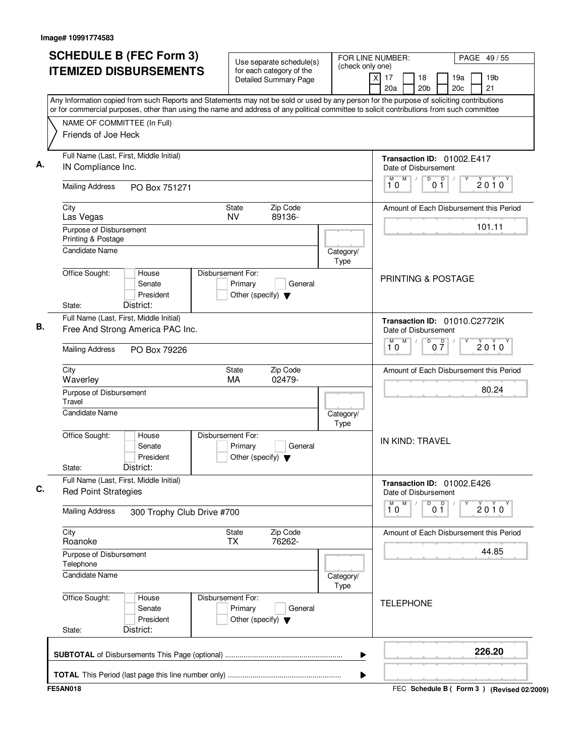| <b>SCHEDULE B (FEC Form 3)</b>                                                                                                            | Use separate schedule(s)                                                        |                          | FOR LINE NUMBER:                                              | PAGE 49/55                                      |  |
|-------------------------------------------------------------------------------------------------------------------------------------------|---------------------------------------------------------------------------------|--------------------------|---------------------------------------------------------------|-------------------------------------------------|--|
| <b>ITEMIZED DISBURSEMENTS</b>                                                                                                             | for each category of the<br>Detailed Summary Page                               | (check only one)         | $\overline{\mathsf{x}}$<br>17<br>18<br>20a<br>20 <sub>b</sub> | 19 <sub>b</sub><br>19a<br>20 <sub>c</sub><br>21 |  |
| Any Information copied from such Reports and Statements may not be sold or used by any person for the purpose of soliciting contributions |                                                                                 |                          |                                                               |                                                 |  |
| or for commercial purposes, other than using the name and address of any political committee to solicit contributions from such committee |                                                                                 |                          |                                                               |                                                 |  |
| NAME OF COMMITTEE (In Full)<br>Friends of Joe Heck                                                                                        |                                                                                 |                          |                                                               |                                                 |  |
| Full Name (Last, First, Middle Initial)<br>IN Compliance Inc.                                                                             |                                                                                 |                          | Transaction ID: 01002.E417<br>Date of Disbursement            |                                                 |  |
| <b>Mailing Address</b><br>PO Box 751271                                                                                                   |                                                                                 |                          | M<br>D<br>0 <sup>0</sup><br>М<br>10                           | 2010                                            |  |
| City<br>Las Vegas                                                                                                                         | Zip Code<br>State<br><b>NV</b><br>89136-                                        |                          |                                                               | Amount of Each Disbursement this Period         |  |
| Purpose of Disbursement<br>Printing & Postage<br><b>Candidate Name</b>                                                                    |                                                                                 |                          |                                                               | 101.11                                          |  |
|                                                                                                                                           |                                                                                 | Category/<br><b>Type</b> |                                                               |                                                 |  |
| Office Sought:<br>House<br>Senate<br>President<br>District:<br>State:                                                                     | Disbursement For:<br>Primary<br>General<br>Other (specify) $\blacktriangledown$ |                          | <b>PRINTING &amp; POSTAGE</b>                                 |                                                 |  |
| Full Name (Last, First, Middle Initial)                                                                                                   |                                                                                 |                          |                                                               |                                                 |  |
| Free And Strong America PAC Inc.                                                                                                          |                                                                                 |                          | Transaction ID: 01010.C2772lK<br>Date of Disbursement         |                                                 |  |
| <b>Mailing Address</b><br>PO Box 79226                                                                                                    |                                                                                 |                          | M<br>D<br>$0\overline{7}$<br>M<br>10                          | $2010^y$                                        |  |
| City<br>Waverley                                                                                                                          | Zip Code<br><b>State</b><br>02479-<br>MA                                        |                          |                                                               | Amount of Each Disbursement this Period         |  |
| Purpose of Disbursement<br>Travel                                                                                                         |                                                                                 |                          | 80.24                                                         |                                                 |  |
| <b>Candidate Name</b>                                                                                                                     |                                                                                 | Category/<br>Type        |                                                               |                                                 |  |
| Office Sought:<br>House<br>Senate<br>President<br>District:<br>State:                                                                     | Disbursement For:<br>Primary<br>General<br>Other (specify) $\blacktriangledown$ |                          | IN KIND: TRAVEL                                               |                                                 |  |
| Full Name (Last, First, Middle Initial)<br><b>Red Point Strategies</b>                                                                    |                                                                                 |                          | Transaction ID: 01002.E426<br>Date of Disbursement            |                                                 |  |
| <b>Mailing Address</b><br>300 Trophy Club Drive #700                                                                                      |                                                                                 |                          | M<br>M<br>D<br>0 <sup>0</sup><br>10                           | Y<br>2010                                       |  |
| City<br>Roanoke                                                                                                                           | Zip Code<br>State<br><b>TX</b><br>76262-                                        |                          |                                                               | Amount of Each Disbursement this Period         |  |
| Purpose of Disbursement<br>Telephone                                                                                                      |                                                                                 |                          | 44.85                                                         |                                                 |  |
| <b>Candidate Name</b>                                                                                                                     |                                                                                 | Category/<br>Type        |                                                               |                                                 |  |
| Office Sought:<br>House<br>Senate<br>President<br>District:<br>State:                                                                     | Disbursement For:<br>Primary<br>General<br>Other (specify) $\blacktriangledown$ |                          | <b>TELEPHONE</b>                                              |                                                 |  |
|                                                                                                                                           |                                                                                 | ▶                        |                                                               | 226.20                                          |  |
|                                                                                                                                           |                                                                                 | ▶                        |                                                               |                                                 |  |
| <b>FE5AN018</b>                                                                                                                           |                                                                                 |                          |                                                               | FEC Schedule B ( Form 3 ) (Revised 02/2009)     |  |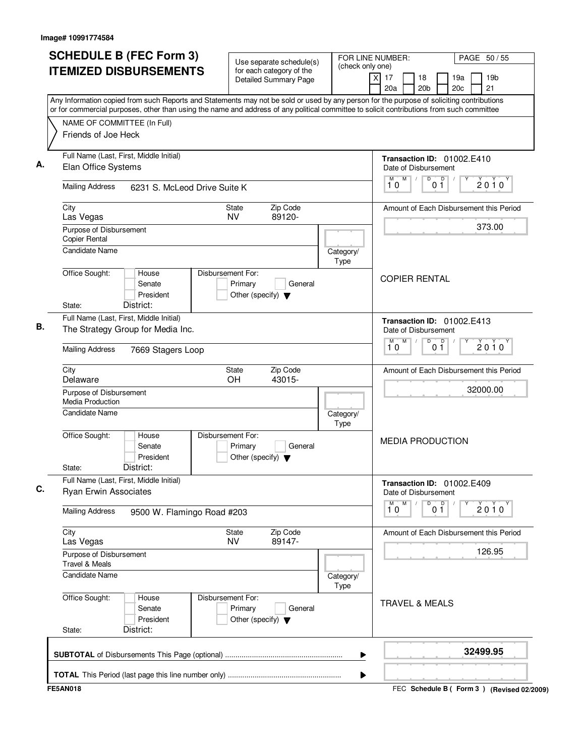| <b>SCHEDULE B (FEC Form 3)</b>                                                                                                                                                                                                                                                         | Use separate schedule(s)                                                        |                          | FOR LINE NUMBER:                                              | PAGE 50 / 55                                    |  |
|----------------------------------------------------------------------------------------------------------------------------------------------------------------------------------------------------------------------------------------------------------------------------------------|---------------------------------------------------------------------------------|--------------------------|---------------------------------------------------------------|-------------------------------------------------|--|
| <b>ITEMIZED DISBURSEMENTS</b>                                                                                                                                                                                                                                                          | for each category of the<br>Detailed Summary Page                               | (check only one)         | $\overline{\mathsf{x}}$<br>17<br>18<br>20a<br>20 <sub>b</sub> | 19 <sub>b</sub><br>19a<br>20 <sub>c</sub><br>21 |  |
| Any Information copied from such Reports and Statements may not be sold or used by any person for the purpose of soliciting contributions<br>or for commercial purposes, other than using the name and address of any political committee to solicit contributions from such committee |                                                                                 |                          |                                                               |                                                 |  |
| NAME OF COMMITTEE (In Full)                                                                                                                                                                                                                                                            |                                                                                 |                          |                                                               |                                                 |  |
| Friends of Joe Heck                                                                                                                                                                                                                                                                    |                                                                                 |                          |                                                               |                                                 |  |
| Full Name (Last, First, Middle Initial)<br>Elan Office Systems                                                                                                                                                                                                                         |                                                                                 |                          | Transaction ID: 01002.E410<br>Date of Disbursement            |                                                 |  |
| <b>Mailing Address</b><br>6231 S. McLeod Drive Suite K                                                                                                                                                                                                                                 |                                                                                 |                          | M<br>D<br>0 <sup>0</sup><br>М<br>10                           | $2010^y$                                        |  |
| City<br>Las Vegas                                                                                                                                                                                                                                                                      | Zip Code<br>State<br><b>NV</b><br>89120-                                        |                          |                                                               | Amount of Each Disbursement this Period         |  |
| Purpose of Disbursement                                                                                                                                                                                                                                                                |                                                                                 |                          |                                                               | 373.00                                          |  |
| <b>Copier Rental</b><br><b>Candidate Name</b>                                                                                                                                                                                                                                          |                                                                                 | Category/<br><b>Type</b> |                                                               |                                                 |  |
| Office Sought:<br>House<br>Senate<br>President<br>District:<br>State:                                                                                                                                                                                                                  | Disbursement For:<br>Primary<br>General<br>Other (specify) $\blacktriangledown$ |                          | <b>COPIER RENTAL</b>                                          |                                                 |  |
| Full Name (Last, First, Middle Initial)                                                                                                                                                                                                                                                |                                                                                 |                          | Transaction ID: 01002.E413                                    |                                                 |  |
| The Strategy Group for Media Inc.                                                                                                                                                                                                                                                      |                                                                                 |                          | Date of Disbursement                                          |                                                 |  |
| <b>Mailing Address</b><br>7669 Stagers Loop                                                                                                                                                                                                                                            |                                                                                 |                          | $\overline{D}$<br>M<br>D<br>M<br>0 <sub>1</sub><br>10         | $2010^y$                                        |  |
| City<br>Delaware                                                                                                                                                                                                                                                                       | Zip Code<br><b>State</b><br>OH<br>43015-                                        |                          |                                                               | Amount of Each Disbursement this Period         |  |
| Purpose of Disbursement<br><b>Media Production</b>                                                                                                                                                                                                                                     |                                                                                 |                          | 32000.00                                                      |                                                 |  |
| Candidate Name                                                                                                                                                                                                                                                                         |                                                                                 | Category/<br>Type        |                                                               |                                                 |  |
| Office Sought:<br>House<br>Senate<br>President<br>District:<br>State:                                                                                                                                                                                                                  | Disbursement For:<br>Primary<br>General<br>Other (specify) $\blacktriangledown$ |                          | <b>MEDIA PRODUCTION</b>                                       |                                                 |  |
| Full Name (Last, First, Middle Initial)<br>Ryan Erwin Associates                                                                                                                                                                                                                       |                                                                                 |                          | Transaction ID: 01002.E409<br>Date of Disbursement            |                                                 |  |
| <b>Mailing Address</b><br>9500 W. Flamingo Road #203                                                                                                                                                                                                                                   |                                                                                 |                          | M<br>M<br>D<br>0 <sup>0</sup><br>10                           | Y<br>2010                                       |  |
| City<br>Las Vegas                                                                                                                                                                                                                                                                      | Zip Code<br>State<br><b>NV</b><br>89147-                                        |                          |                                                               | Amount of Each Disbursement this Period         |  |
| Purpose of Disbursement<br><b>Travel &amp; Meals</b>                                                                                                                                                                                                                                   |                                                                                 |                          | 126.95                                                        |                                                 |  |
| Candidate Name                                                                                                                                                                                                                                                                         |                                                                                 | Category/<br>Type        |                                                               |                                                 |  |
| Office Sought:<br>House<br>Senate<br>President<br>District:<br>State:                                                                                                                                                                                                                  | Disbursement For:<br>Primary<br>General<br>Other (specify) $\blacktriangledown$ |                          | <b>TRAVEL &amp; MEALS</b>                                     |                                                 |  |
|                                                                                                                                                                                                                                                                                        |                                                                                 | ▶                        |                                                               | 32499.95                                        |  |
|                                                                                                                                                                                                                                                                                        |                                                                                 | ▶                        |                                                               |                                                 |  |
| <b>FE5AN018</b>                                                                                                                                                                                                                                                                        |                                                                                 |                          |                                                               | FEC Schedule B ( Form 3 ) (Revised 02/2009)     |  |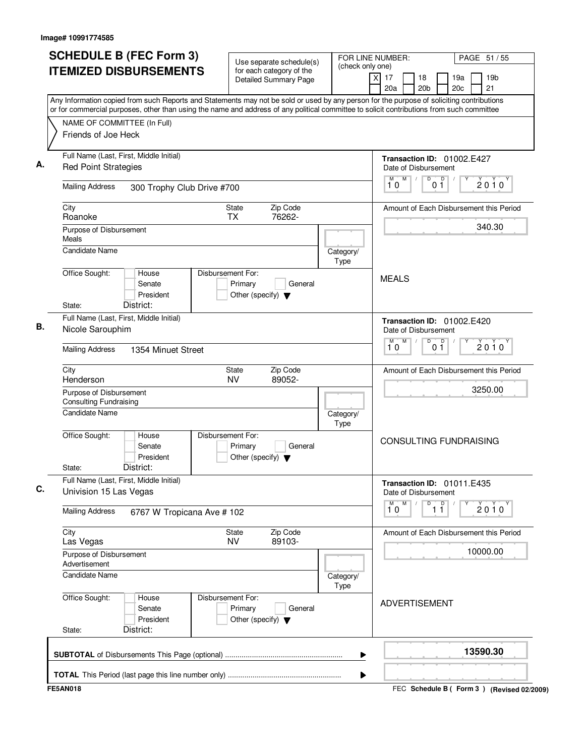| (check only one)<br>for each category of the<br>$\times$<br>17<br>18<br>19a<br>19 <sub>b</sub><br><b>Detailed Summary Page</b><br>20 <sub>b</sub><br>20 <sub>c</sub><br>21<br>20a<br>Any Information copied from such Reports and Statements may not be sold or used by any person for the purpose of soliciting contributions<br>or for commercial purposes, other than using the name and address of any political committee to solicit contributions from such committee<br>NAME OF COMMITTEE (In Full)<br>Friends of Joe Heck<br>Full Name (Last, First, Middle Initial)<br>Transaction ID: 01002.E427<br><b>Red Point Strategies</b><br>Date of Disbursement<br>D<br>D<br>M<br>М<br>$2010^y$<br>10<br>01<br><b>Mailing Address</b><br>300 Trophy Club Drive #700<br>City<br>State<br>Zip Code<br>Roanoke<br><b>TX</b><br>76262-<br>340.30<br>Purpose of Disbursement<br>Meals<br><b>Candidate Name</b><br>Category/<br><b>Type</b><br>Office Sought:<br>Disbursement For:<br>House<br><b>MEALS</b><br>Senate<br>Primary<br>General<br>President<br>Other (specify) $\blacktriangledown$<br>District:<br>State:<br>Full Name (Last, First, Middle Initial)<br>Transaction ID: 01002.E420<br>Nicole Sarouphim<br>Date of Disbursement<br>M<br>D<br>0 <sup>0</sup><br>M<br>$2010^y$<br>10<br><b>Mailing Address</b><br>1354 Minuet Street<br>City<br>Zip Code<br>State<br><b>NV</b><br>89052-<br>Henderson<br>3250.00<br>Purpose of Disbursement<br><b>Consulting Fundraising</b><br>Candidate Name<br>Category/<br>Type<br>Office Sought:<br>House<br>Disbursement For:<br><b>CONSULTING FUNDRAISING</b><br>Senate<br>Primary<br>General<br>President<br>Other (specify) $\blacktriangledown$<br>District:<br>State:<br>Full Name (Last, First, Middle Initial)<br>Transaction ID: 01011.E435<br>Univision 15 Las Vegas<br>Date of Disbursement<br>D<br>M<br>$\overline{11}$<br>Y<br>M<br>$2010^y$<br>10<br><b>Mailing Address</b><br>6767 W Tropicana Ave # 102<br>City<br>Zip Code<br>State<br><b>NV</b><br>89103-<br>Las Vegas<br>10000.00<br>Purpose of Disbursement<br>Advertisement<br><b>Candidate Name</b><br>Category/<br>Type<br>Disbursement For:<br>Office Sought:<br>House<br><b>ADVERTISEMENT</b><br>Primary<br>General<br>Senate<br>President<br>Other (specify) $\blacktriangledown$<br>District:<br>State:<br>13590.30<br>▶ | ▶ | <b>SCHEDULE B (FEC Form 3)</b> | Use separate schedule(s) |  | FOR LINE NUMBER: | PAGE 51 / 55 |
|-------------------------------------------------------------------------------------------------------------------------------------------------------------------------------------------------------------------------------------------------------------------------------------------------------------------------------------------------------------------------------------------------------------------------------------------------------------------------------------------------------------------------------------------------------------------------------------------------------------------------------------------------------------------------------------------------------------------------------------------------------------------------------------------------------------------------------------------------------------------------------------------------------------------------------------------------------------------------------------------------------------------------------------------------------------------------------------------------------------------------------------------------------------------------------------------------------------------------------------------------------------------------------------------------------------------------------------------------------------------------------------------------------------------------------------------------------------------------------------------------------------------------------------------------------------------------------------------------------------------------------------------------------------------------------------------------------------------------------------------------------------------------------------------------------------------------------------------------------------------------------------------------------------------------------------------------------------------------------------------------------------------------------------------------------------------------------------------------------------------------------------------------------------------------------------------------------------------------------------------------------------------------------------------------------------------------------------------------|---|--------------------------------|--------------------------|--|------------------|--------------|
|                                                                                                                                                                                                                                                                                                                                                                                                                                                                                                                                                                                                                                                                                                                                                                                                                                                                                                                                                                                                                                                                                                                                                                                                                                                                                                                                                                                                                                                                                                                                                                                                                                                                                                                                                                                                                                                                                                                                                                                                                                                                                                                                                                                                                                                                                                                                                 |   | <b>ITEMIZED DISBURSEMENTS</b>  |                          |  |                  |              |
|                                                                                                                                                                                                                                                                                                                                                                                                                                                                                                                                                                                                                                                                                                                                                                                                                                                                                                                                                                                                                                                                                                                                                                                                                                                                                                                                                                                                                                                                                                                                                                                                                                                                                                                                                                                                                                                                                                                                                                                                                                                                                                                                                                                                                                                                                                                                                 |   |                                |                          |  |                  |              |
|                                                                                                                                                                                                                                                                                                                                                                                                                                                                                                                                                                                                                                                                                                                                                                                                                                                                                                                                                                                                                                                                                                                                                                                                                                                                                                                                                                                                                                                                                                                                                                                                                                                                                                                                                                                                                                                                                                                                                                                                                                                                                                                                                                                                                                                                                                                                                 |   |                                |                          |  |                  |              |
|                                                                                                                                                                                                                                                                                                                                                                                                                                                                                                                                                                                                                                                                                                                                                                                                                                                                                                                                                                                                                                                                                                                                                                                                                                                                                                                                                                                                                                                                                                                                                                                                                                                                                                                                                                                                                                                                                                                                                                                                                                                                                                                                                                                                                                                                                                                                                 |   |                                |                          |  |                  |              |
| Amount of Each Disbursement this Period                                                                                                                                                                                                                                                                                                                                                                                                                                                                                                                                                                                                                                                                                                                                                                                                                                                                                                                                                                                                                                                                                                                                                                                                                                                                                                                                                                                                                                                                                                                                                                                                                                                                                                                                                                                                                                                                                                                                                                                                                                                                                                                                                                                                                                                                                                         |   |                                |                          |  |                  |              |
|                                                                                                                                                                                                                                                                                                                                                                                                                                                                                                                                                                                                                                                                                                                                                                                                                                                                                                                                                                                                                                                                                                                                                                                                                                                                                                                                                                                                                                                                                                                                                                                                                                                                                                                                                                                                                                                                                                                                                                                                                                                                                                                                                                                                                                                                                                                                                 |   |                                |                          |  |                  |              |
|                                                                                                                                                                                                                                                                                                                                                                                                                                                                                                                                                                                                                                                                                                                                                                                                                                                                                                                                                                                                                                                                                                                                                                                                                                                                                                                                                                                                                                                                                                                                                                                                                                                                                                                                                                                                                                                                                                                                                                                                                                                                                                                                                                                                                                                                                                                                                 |   |                                |                          |  |                  |              |
| Amount of Each Disbursement this Period<br>Amount of Each Disbursement this Period                                                                                                                                                                                                                                                                                                                                                                                                                                                                                                                                                                                                                                                                                                                                                                                                                                                                                                                                                                                                                                                                                                                                                                                                                                                                                                                                                                                                                                                                                                                                                                                                                                                                                                                                                                                                                                                                                                                                                                                                                                                                                                                                                                                                                                                              |   |                                |                          |  |                  |              |
|                                                                                                                                                                                                                                                                                                                                                                                                                                                                                                                                                                                                                                                                                                                                                                                                                                                                                                                                                                                                                                                                                                                                                                                                                                                                                                                                                                                                                                                                                                                                                                                                                                                                                                                                                                                                                                                                                                                                                                                                                                                                                                                                                                                                                                                                                                                                                 |   |                                |                          |  |                  |              |
|                                                                                                                                                                                                                                                                                                                                                                                                                                                                                                                                                                                                                                                                                                                                                                                                                                                                                                                                                                                                                                                                                                                                                                                                                                                                                                                                                                                                                                                                                                                                                                                                                                                                                                                                                                                                                                                                                                                                                                                                                                                                                                                                                                                                                                                                                                                                                 |   |                                |                          |  |                  |              |
|                                                                                                                                                                                                                                                                                                                                                                                                                                                                                                                                                                                                                                                                                                                                                                                                                                                                                                                                                                                                                                                                                                                                                                                                                                                                                                                                                                                                                                                                                                                                                                                                                                                                                                                                                                                                                                                                                                                                                                                                                                                                                                                                                                                                                                                                                                                                                 |   |                                |                          |  |                  |              |
|                                                                                                                                                                                                                                                                                                                                                                                                                                                                                                                                                                                                                                                                                                                                                                                                                                                                                                                                                                                                                                                                                                                                                                                                                                                                                                                                                                                                                                                                                                                                                                                                                                                                                                                                                                                                                                                                                                                                                                                                                                                                                                                                                                                                                                                                                                                                                 |   |                                |                          |  |                  |              |
|                                                                                                                                                                                                                                                                                                                                                                                                                                                                                                                                                                                                                                                                                                                                                                                                                                                                                                                                                                                                                                                                                                                                                                                                                                                                                                                                                                                                                                                                                                                                                                                                                                                                                                                                                                                                                                                                                                                                                                                                                                                                                                                                                                                                                                                                                                                                                 |   |                                |                          |  |                  |              |
|                                                                                                                                                                                                                                                                                                                                                                                                                                                                                                                                                                                                                                                                                                                                                                                                                                                                                                                                                                                                                                                                                                                                                                                                                                                                                                                                                                                                                                                                                                                                                                                                                                                                                                                                                                                                                                                                                                                                                                                                                                                                                                                                                                                                                                                                                                                                                 |   |                                |                          |  |                  |              |
|                                                                                                                                                                                                                                                                                                                                                                                                                                                                                                                                                                                                                                                                                                                                                                                                                                                                                                                                                                                                                                                                                                                                                                                                                                                                                                                                                                                                                                                                                                                                                                                                                                                                                                                                                                                                                                                                                                                                                                                                                                                                                                                                                                                                                                                                                                                                                 |   |                                |                          |  |                  |              |
|                                                                                                                                                                                                                                                                                                                                                                                                                                                                                                                                                                                                                                                                                                                                                                                                                                                                                                                                                                                                                                                                                                                                                                                                                                                                                                                                                                                                                                                                                                                                                                                                                                                                                                                                                                                                                                                                                                                                                                                                                                                                                                                                                                                                                                                                                                                                                 |   |                                |                          |  |                  |              |
|                                                                                                                                                                                                                                                                                                                                                                                                                                                                                                                                                                                                                                                                                                                                                                                                                                                                                                                                                                                                                                                                                                                                                                                                                                                                                                                                                                                                                                                                                                                                                                                                                                                                                                                                                                                                                                                                                                                                                                                                                                                                                                                                                                                                                                                                                                                                                 |   |                                |                          |  |                  |              |
|                                                                                                                                                                                                                                                                                                                                                                                                                                                                                                                                                                                                                                                                                                                                                                                                                                                                                                                                                                                                                                                                                                                                                                                                                                                                                                                                                                                                                                                                                                                                                                                                                                                                                                                                                                                                                                                                                                                                                                                                                                                                                                                                                                                                                                                                                                                                                 |   |                                |                          |  |                  |              |
|                                                                                                                                                                                                                                                                                                                                                                                                                                                                                                                                                                                                                                                                                                                                                                                                                                                                                                                                                                                                                                                                                                                                                                                                                                                                                                                                                                                                                                                                                                                                                                                                                                                                                                                                                                                                                                                                                                                                                                                                                                                                                                                                                                                                                                                                                                                                                 |   |                                |                          |  |                  |              |
|                                                                                                                                                                                                                                                                                                                                                                                                                                                                                                                                                                                                                                                                                                                                                                                                                                                                                                                                                                                                                                                                                                                                                                                                                                                                                                                                                                                                                                                                                                                                                                                                                                                                                                                                                                                                                                                                                                                                                                                                                                                                                                                                                                                                                                                                                                                                                 |   |                                |                          |  |                  |              |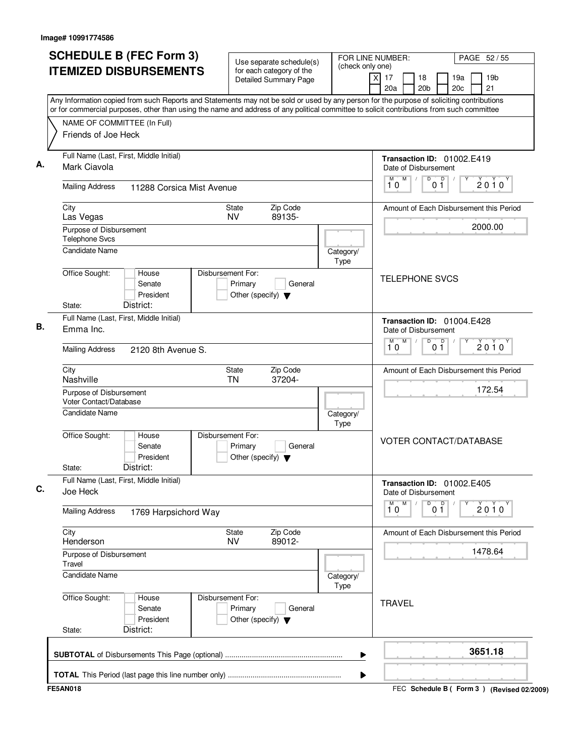| <b>SCHEDULE B (FEC Form 3)</b>                                                                                                            | Use separate schedule(s)                                                        | FOR LINE NUMBER:  |                                                                  | PAGE 52/55                                      |
|-------------------------------------------------------------------------------------------------------------------------------------------|---------------------------------------------------------------------------------|-------------------|------------------------------------------------------------------|-------------------------------------------------|
| <b>ITEMIZED DISBURSEMENTS</b>                                                                                                             | for each category of the<br><b>Detailed Summary Page</b>                        | (check only one)  | x<br>17<br>18<br>20a<br>20 <sub>b</sub>                          | 19 <sub>b</sub><br>19a<br>20 <sub>c</sub><br>21 |
| Any Information copied from such Reports and Statements may not be sold or used by any person for the purpose of soliciting contributions |                                                                                 |                   |                                                                  |                                                 |
| or for commercial purposes, other than using the name and address of any political committee to solicit contributions from such committee |                                                                                 |                   |                                                                  |                                                 |
| NAME OF COMMITTEE (In Full)<br>Friends of Joe Heck                                                                                        |                                                                                 |                   |                                                                  |                                                 |
| Full Name (Last, First, Middle Initial)                                                                                                   |                                                                                 |                   | Transaction ID: 01002.E419                                       |                                                 |
| Mark Ciavola                                                                                                                              |                                                                                 |                   | Date of Disbursement<br>M<br>D                                   |                                                 |
| <b>Mailing Address</b><br>11288 Corsica Mist Avenue                                                                                       |                                                                                 |                   | $\overline{p}$<br>0 <sub>1</sub><br>10                           | $2010^y$                                        |
| City                                                                                                                                      | Zip Code<br>State<br><b>NV</b><br>89135-                                        |                   |                                                                  | Amount of Each Disbursement this Period         |
| Las Vegas<br>Purpose of Disbursement                                                                                                      |                                                                                 |                   |                                                                  | 2000.00                                         |
| <b>Telephone Svcs</b>                                                                                                                     |                                                                                 |                   |                                                                  |                                                 |
| Candidate Name                                                                                                                            |                                                                                 | Category/<br>Type |                                                                  |                                                 |
| Office Sought:<br>House<br>Senate<br>President<br>District:<br>State:                                                                     | Disbursement For:<br>Primary<br>General<br>Other (specify) $\blacktriangledown$ |                   | <b>TELEPHONE SVCS</b>                                            |                                                 |
| Full Name (Last, First, Middle Initial)                                                                                                   |                                                                                 |                   |                                                                  |                                                 |
| Emma Inc.                                                                                                                                 |                                                                                 |                   | Transaction ID: 01004.E428<br>Date of Disbursement               |                                                 |
| <b>Mailing Address</b><br>2120 8th Avenue S.                                                                                              |                                                                                 |                   | M<br>D<br>$\mathsf{D}$<br>М<br>0 <sub>1</sub><br>10              | $2010^y$                                        |
| City<br>Nashville                                                                                                                         | Zip Code<br>State<br>37204-<br>TN                                               |                   |                                                                  | Amount of Each Disbursement this Period         |
| Purpose of Disbursement                                                                                                                   |                                                                                 |                   |                                                                  | 172.54                                          |
| Voter Contact/Database                                                                                                                    |                                                                                 |                   |                                                                  |                                                 |
| <b>Candidate Name</b>                                                                                                                     |                                                                                 | Category/<br>Type |                                                                  |                                                 |
| Office Sought:<br>House<br>Senate<br>President<br>District:<br>State:                                                                     | Disbursement For:<br>Primary<br>General<br>Other (specify) $\blacktriangledown$ |                   | <b>VOTER CONTACT/DATABASE</b>                                    |                                                 |
| Full Name (Last, First, Middle Initial)<br>Joe Heck                                                                                       |                                                                                 |                   | Transaction ID: 01002.E405<br>Date of Disbursement               |                                                 |
| <b>Mailing Address</b><br>1769 Harpsichord Way                                                                                            |                                                                                 |                   | $\overline{\mathbf{1}^M \mathbf{0}}$<br>M<br>D<br>0 <sup>0</sup> | 2010                                            |
| City<br>Henderson                                                                                                                         | Zip Code<br>State<br><b>NV</b><br>89012-                                        |                   |                                                                  | Amount of Each Disbursement this Period         |
| Purpose of Disbursement<br>Travel                                                                                                         |                                                                                 |                   |                                                                  | 1478.64                                         |
| <b>Candidate Name</b>                                                                                                                     |                                                                                 | Category/<br>Type |                                                                  |                                                 |
| Office Sought:<br>House<br>Senate<br>President<br>District:<br>State:                                                                     | Disbursement For:<br>Primary<br>General<br>Other (specify) $\blacktriangledown$ |                   | <b>TRAVEL</b>                                                    |                                                 |
|                                                                                                                                           |                                                                                 | ▶                 |                                                                  | 3651.18                                         |
|                                                                                                                                           |                                                                                 | ▶                 |                                                                  |                                                 |
| <b>FE5AN018</b>                                                                                                                           |                                                                                 |                   |                                                                  | FEC Schedule B ( Form 3 ) (Revised 02/2009)     |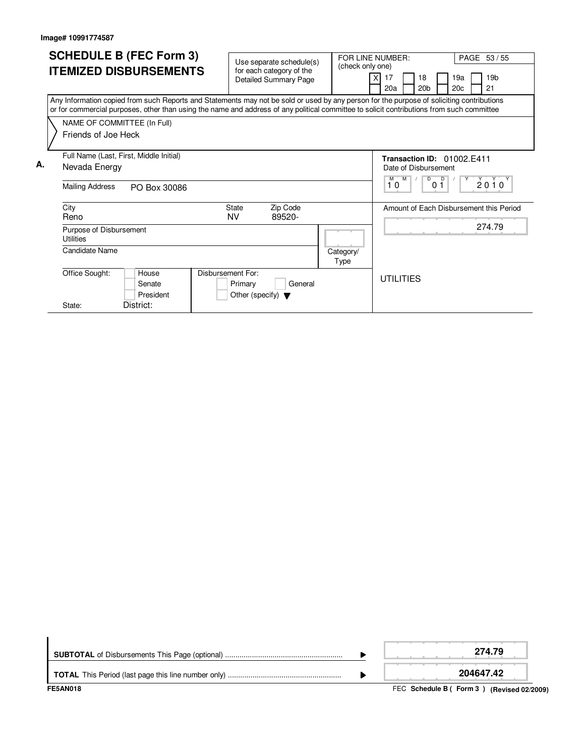|    |                  |                                         | <b>SCHEDULE B (FEC Form 3)</b>                                                                                                                                                                                                                                                         |                                                                      |                                                          |                   |                                                      |                                       |  |                       |                      |                                 |  |                                         |
|----|------------------|-----------------------------------------|----------------------------------------------------------------------------------------------------------------------------------------------------------------------------------------------------------------------------------------------------------------------------------------|----------------------------------------------------------------------|----------------------------------------------------------|-------------------|------------------------------------------------------|---------------------------------------|--|-----------------------|----------------------|---------------------------------|--|-----------------------------------------|
|    |                  |                                         |                                                                                                                                                                                                                                                                                        |                                                                      | Use separate schedule(s)                                 |                   | FOR LINE NUMBER:<br>PAGE 53 / 55<br>(check only one) |                                       |  |                       |                      |                                 |  |                                         |
|    |                  |                                         | <b>ITEMIZED DISBURSEMENTS</b>                                                                                                                                                                                                                                                          |                                                                      | for each category of the<br><b>Detailed Summary Page</b> |                   |                                                      | 17<br>20a                             |  | 18<br>20 <sub>b</sub> |                      | 19a<br>20c                      |  | 19 <sub>b</sub><br>21                   |
|    |                  |                                         | Any Information copied from such Reports and Statements may not be sold or used by any person for the purpose of soliciting contributions<br>or for commercial purposes, other than using the name and address of any political committee to solicit contributions from such committee |                                                                      |                                                          |                   |                                                      |                                       |  |                       |                      |                                 |  |                                         |
|    |                  | Friends of Joe Heck                     | NAME OF COMMITTEE (In Full)                                                                                                                                                                                                                                                            |                                                                      |                                                          |                   |                                                      |                                       |  |                       |                      |                                 |  |                                         |
| А. |                  | Nevada Energy<br><b>Mailing Address</b> | Full Name (Last, First, Middle Initial)<br>PO Box 30086                                                                                                                                                                                                                                |                                                                      |                                                          |                   |                                                      | Date of Disbursement<br>$M$ $M$<br>10 |  | $\overline{D}$        | $\overline{D}$<br>01 | Transaction ID: 01002 F411<br>Y |  | $2010^y$                                |
|    | City<br>Reno     |                                         |                                                                                                                                                                                                                                                                                        | <b>State</b><br><b>NV</b>                                            | Zip Code<br>89520-                                       |                   |                                                      |                                       |  |                       |                      |                                 |  | Amount of Each Disbursement this Period |
|    | <b>Utilities</b> | Purpose of Disbursement                 |                                                                                                                                                                                                                                                                                        |                                                                      |                                                          |                   |                                                      |                                       |  |                       |                      |                                 |  | 274.79                                  |
|    |                  | Candidate Name                          |                                                                                                                                                                                                                                                                                        |                                                                      |                                                          | Category/<br>Type |                                                      |                                       |  |                       |                      |                                 |  |                                         |
|    |                  | Office Sought:                          | House<br>Senate<br>President                                                                                                                                                                                                                                                           | Disbursement For:<br>Primary<br>Other (specify) $\blacktriangledown$ | General                                                  |                   |                                                      | <b>UTILITIES</b>                      |  |                       |                      |                                 |  |                                         |
|    | State:           |                                         | District:                                                                                                                                                                                                                                                                              |                                                                      |                                                          |                   |                                                      |                                       |  |                       |                      |                                 |  |                                         |

| <b>FE5AN018</b> | FEC Schedule B (Form 3) (Revised 02/2009) |
|-----------------|-------------------------------------------|
|                 | 204647.42                                 |
|                 | 274.79                                    |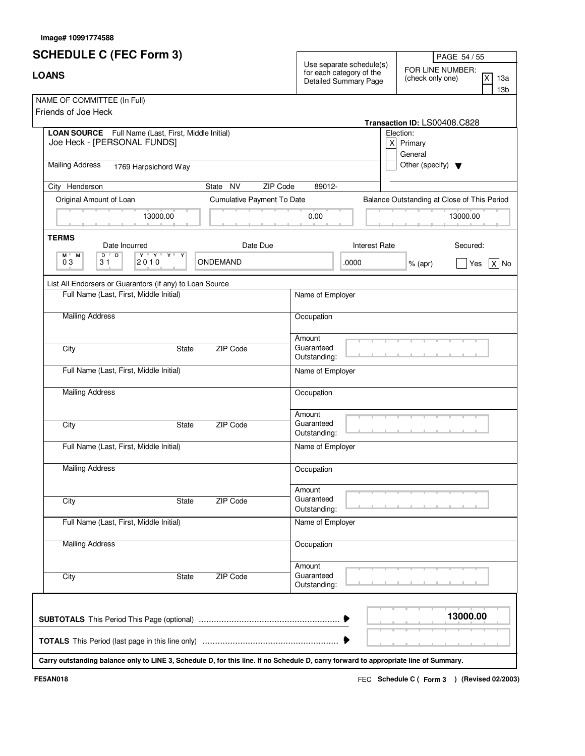| <b>SCHEDULE C (FEC Form 3)</b>                                                                                                       |                            |                                                                               | PAGE 54 / 55                                                          |
|--------------------------------------------------------------------------------------------------------------------------------------|----------------------------|-------------------------------------------------------------------------------|-----------------------------------------------------------------------|
| <b>LOANS</b>                                                                                                                         |                            | Use separate schedule(s)<br>for each category of the<br>Detailed Summary Page | FOR LINE NUMBER:<br>IX.<br>(check only one)<br>13a<br>13 <sub>b</sub> |
| NAME OF COMMITTEE (In Full)<br>Friends of Joe Heck                                                                                   |                            |                                                                               | Transaction ID: LS00408.C828                                          |
| LOAN SOURCE Full Name (Last, First, Middle Initial)<br>Joe Heck - [PERSONAL FUNDS]                                                   |                            |                                                                               | Election:<br>$X$ Primary<br>General                                   |
| <b>Mailing Address</b><br>1769 Harpsichord Way                                                                                       |                            |                                                                               | Other (specify) $\blacktriangledown$                                  |
| City Henderson                                                                                                                       | State NV<br>ZIP Code       | 89012-                                                                        |                                                                       |
| Original Amount of Loan                                                                                                              | Cumulative Payment To Date |                                                                               | Balance Outstanding at Close of This Period                           |
| 13000.00                                                                                                                             |                            | 0.00                                                                          | 13000.00                                                              |
| <b>TERMS</b><br>Date Incurred                                                                                                        | Date Due                   | <b>Interest Rate</b>                                                          | Secured:                                                              |
| $\mathbf{Y} + \mathbf{Y} + \mathbf{Y} + \mathbf{Y}$<br>$D$ <sup><math>\top</math></sup><br>D<br>M<br>Y<br>M "<br>03<br>2010<br>31    | ONDEMAND                   | .0000                                                                         | $X $ No<br>$%$ (apr)<br>Yes                                           |
| List All Endorsers or Guarantors (if any) to Loan Source                                                                             |                            |                                                                               |                                                                       |
| Full Name (Last, First, Middle Initial)                                                                                              |                            | Name of Employer                                                              |                                                                       |
| <b>Mailing Address</b>                                                                                                               |                            | Occupation                                                                    |                                                                       |
| City<br>State                                                                                                                        | ZIP Code                   | Amount<br>Guaranteed<br>Outstanding:                                          |                                                                       |
| Full Name (Last, First, Middle Initial)                                                                                              |                            | Name of Employer                                                              |                                                                       |
| <b>Mailing Address</b>                                                                                                               |                            | Occupation                                                                    |                                                                       |
| City<br>State                                                                                                                        | ZIP Code                   | Amount<br>Guaranteed<br>Outstanding:                                          |                                                                       |
| Full Name (Last, First, Middle Initial)                                                                                              |                            | Name of Employer                                                              |                                                                       |
| <b>Mailing Address</b>                                                                                                               |                            | Occupation                                                                    |                                                                       |
| City<br>State                                                                                                                        | ZIP Code                   | Amount<br>Guaranteed<br>Outstanding:                                          |                                                                       |
| Full Name (Last, First, Middle Initial)                                                                                              |                            | Name of Employer                                                              |                                                                       |
| <b>Mailing Address</b>                                                                                                               |                            | Occupation                                                                    |                                                                       |
| City<br>State                                                                                                                        | ZIP Code                   | Amount<br>Guaranteed<br>Outstanding:                                          |                                                                       |
|                                                                                                                                      |                            |                                                                               | 13000.00                                                              |
|                                                                                                                                      |                            |                                                                               |                                                                       |
| Carry outstanding balance only to LINE 3, Schedule D, for this line. If no Schedule D, carry forward to appropriate line of Summary. |                            |                                                                               |                                                                       |

**Image# 10991774588**

FEC **Schedule C ( ) Form 3 FE5AN018 (Revised 02/2003)**